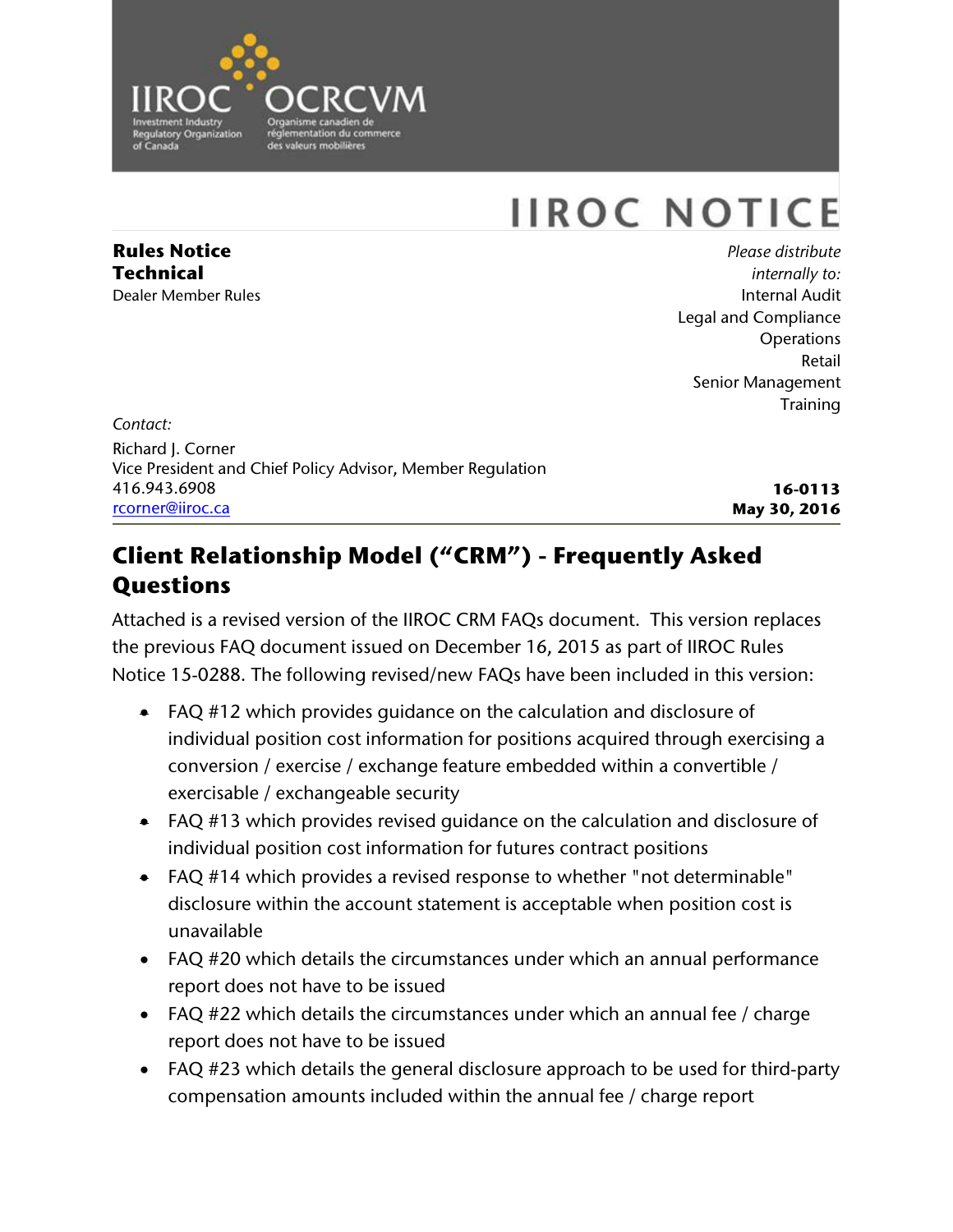

# **IIROC NOTICE**

**Rules Notice Technical** Dealer Member Rules

*Please distribute internally to:* Internal Audit Legal and Compliance **Operations** Retail Senior Management **Training** 

*Contact:* Richard J. Corner Vice President and Chief Policy Advisor, Member Regulation 416.943.6908 [rcorner@iiroc.ca](mailto:rcorner@iiroc.ca)

**16-0113 May 30, 2016**

# **Client Relationship Model ("CRM") - Frequently Asked Questions**

Attached is a revised version of the IIROC CRM FAQs document. This version replaces the previous FAQ document issued on December 16, 2015 as part of IIROC Rules Notice 15-0288. The following revised/new FAQs have been included in this version:

- FAQ #12 which provides guidance on the calculation and disclosure of individual position cost information for positions acquired through exercising a conversion / exercise / exchange feature embedded within a convertible / exercisable / exchangeable security
- FAQ #13 which provides revised guidance on the calculation and disclosure of individual position cost information for futures contract positions
- FAQ #14 which provides a revised response to whether "not determinable" disclosure within the account statement is acceptable when position cost is unavailable
- FAQ #20 which details the circumstances under which an annual performance report does not have to be issued
- FAQ #22 which details the circumstances under which an annual fee / charge report does not have to be issued
- FAQ #23 which details the general disclosure approach to be used for third-party compensation amounts included within the annual fee / charge report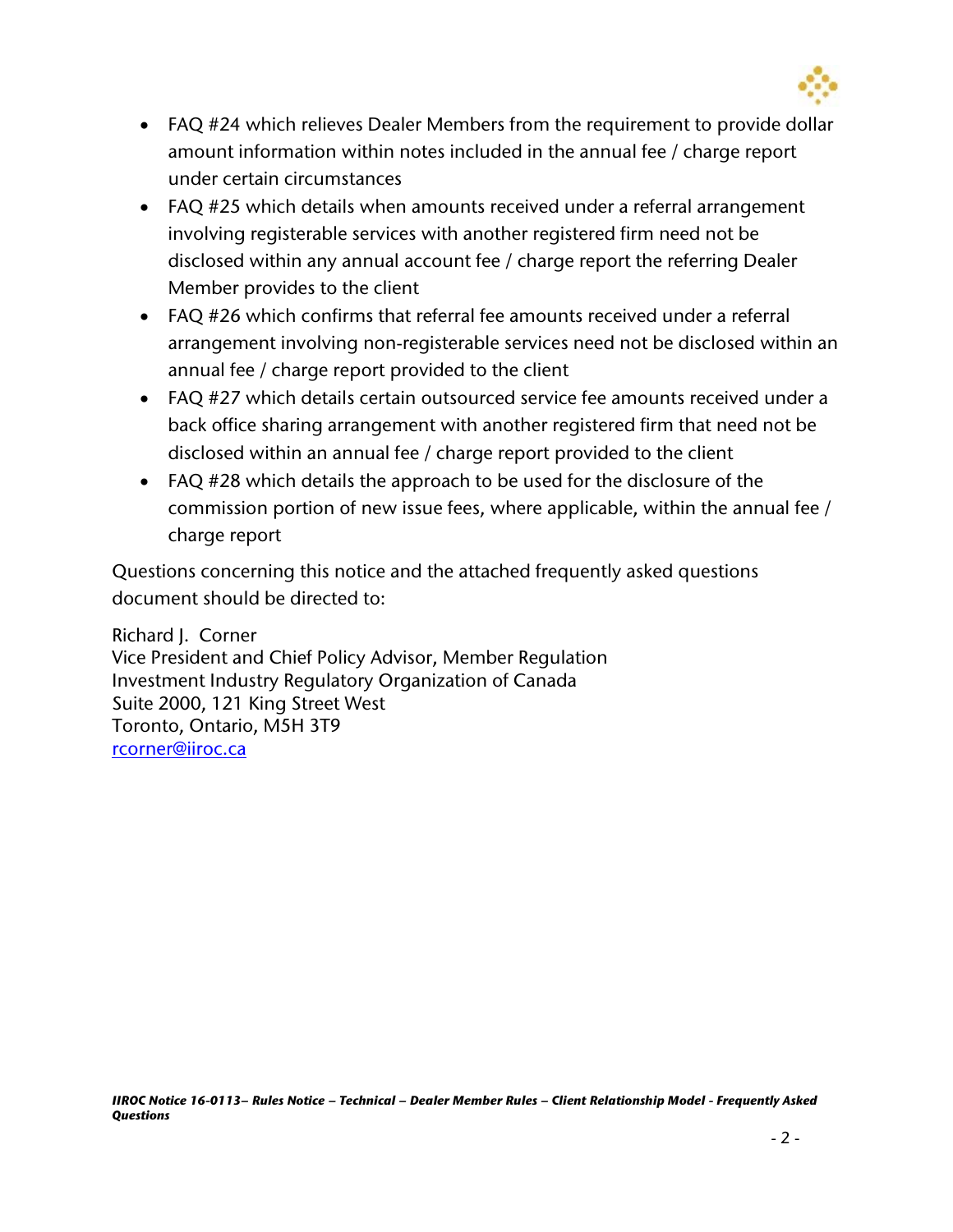

- FAQ #24 which relieves Dealer Members from the requirement to provide dollar amount information within notes included in the annual fee / charge report under certain circumstances
- FAQ #25 which details when amounts received under a referral arrangement involving registerable services with another registered firm need not be disclosed within any annual account fee / charge report the referring Dealer Member provides to the client
- FAQ #26 which confirms that referral fee amounts received under a referral arrangement involving non-registerable services need not be disclosed within an annual fee / charge report provided to the client
- FAQ #27 which details certain outsourced service fee amounts received under a back office sharing arrangement with another registered firm that need not be disclosed within an annual fee / charge report provided to the client
- FAQ #28 which details the approach to be used for the disclosure of the commission portion of new issue fees, where applicable, within the annual fee / charge report

Questions concerning this notice and the attached frequently asked questions document should be directed to:

Richard J. Corner Vice President and Chief Policy Advisor, Member Regulation Investment Industry Regulatory Organization of Canada Suite 2000, 121 King Street West Toronto, Ontario, M5H 3T9 [rcorner@iiroc.ca](mailto:rcorner@iiroc.ca)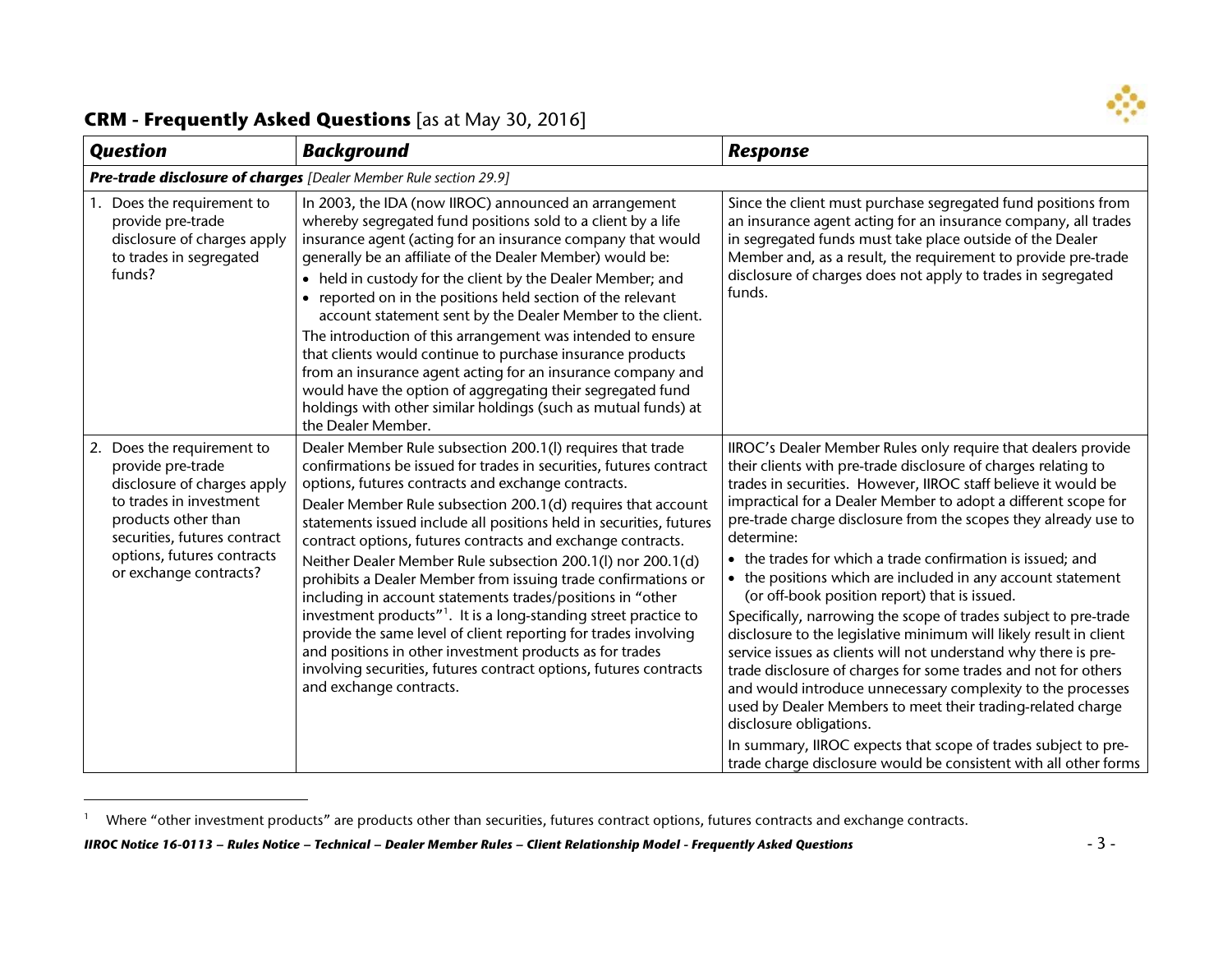<span id="page-2-0"></span>

 $\overline{a}$ 

| <b>Question</b>                                                                                                                                                                                                          | <b>Background</b>                                                                                                                                                                                                                                                                                                                                                                                                                                                                                                                                                                                                                                                                                                                                                                                                                                                                                         | <b>Response</b>                                                                                                                                                                                                                                                                                                                                                                                                                                                                                                                                                                                                                                                                                                                                                                                                                                                                                                                                                                                                                                                                                                  |
|--------------------------------------------------------------------------------------------------------------------------------------------------------------------------------------------------------------------------|-----------------------------------------------------------------------------------------------------------------------------------------------------------------------------------------------------------------------------------------------------------------------------------------------------------------------------------------------------------------------------------------------------------------------------------------------------------------------------------------------------------------------------------------------------------------------------------------------------------------------------------------------------------------------------------------------------------------------------------------------------------------------------------------------------------------------------------------------------------------------------------------------------------|------------------------------------------------------------------------------------------------------------------------------------------------------------------------------------------------------------------------------------------------------------------------------------------------------------------------------------------------------------------------------------------------------------------------------------------------------------------------------------------------------------------------------------------------------------------------------------------------------------------------------------------------------------------------------------------------------------------------------------------------------------------------------------------------------------------------------------------------------------------------------------------------------------------------------------------------------------------------------------------------------------------------------------------------------------------------------------------------------------------|
|                                                                                                                                                                                                                          | Pre-trade disclosure of charges [Dealer Member Rule section 29.9]                                                                                                                                                                                                                                                                                                                                                                                                                                                                                                                                                                                                                                                                                                                                                                                                                                         |                                                                                                                                                                                                                                                                                                                                                                                                                                                                                                                                                                                                                                                                                                                                                                                                                                                                                                                                                                                                                                                                                                                  |
| Does the requirement to<br>provide pre-trade<br>disclosure of charges apply<br>to trades in segregated<br>funds?                                                                                                         | In 2003, the IDA (now IIROC) announced an arrangement<br>whereby segregated fund positions sold to a client by a life<br>insurance agent (acting for an insurance company that would<br>generally be an affiliate of the Dealer Member) would be:<br>• held in custody for the client by the Dealer Member; and<br>• reported on in the positions held section of the relevant<br>account statement sent by the Dealer Member to the client.<br>The introduction of this arrangement was intended to ensure<br>that clients would continue to purchase insurance products<br>from an insurance agent acting for an insurance company and<br>would have the option of aggregating their segregated fund<br>holdings with other similar holdings (such as mutual funds) at<br>the Dealer Member.                                                                                                            | Since the client must purchase segregated fund positions from<br>an insurance agent acting for an insurance company, all trades<br>in segregated funds must take place outside of the Dealer<br>Member and, as a result, the requirement to provide pre-trade<br>disclosure of charges does not apply to trades in segregated<br>funds.                                                                                                                                                                                                                                                                                                                                                                                                                                                                                                                                                                                                                                                                                                                                                                          |
| 2. Does the requirement to<br>provide pre-trade<br>disclosure of charges apply<br>to trades in investment<br>products other than<br>securities, futures contract<br>options, futures contracts<br>or exchange contracts? | Dealer Member Rule subsection 200.1(I) requires that trade<br>confirmations be issued for trades in securities, futures contract<br>options, futures contracts and exchange contracts.<br>Dealer Member Rule subsection 200.1(d) requires that account<br>statements issued include all positions held in securities, futures<br>contract options, futures contracts and exchange contracts.<br>Neither Dealer Member Rule subsection 200.1(l) nor 200.1(d)<br>prohibits a Dealer Member from issuing trade confirmations or<br>including in account statements trades/positions in "other<br>investment products" <sup>1</sup> . It is a long-standing street practice to<br>provide the same level of client reporting for trades involving<br>and positions in other investment products as for trades<br>involving securities, futures contract options, futures contracts<br>and exchange contracts. | IIROC's Dealer Member Rules only require that dealers provide<br>their clients with pre-trade disclosure of charges relating to<br>trades in securities. However, IIROC staff believe it would be<br>impractical for a Dealer Member to adopt a different scope for<br>pre-trade charge disclosure from the scopes they already use to<br>determine:<br>• the trades for which a trade confirmation is issued; and<br>• the positions which are included in any account statement<br>(or off-book position report) that is issued.<br>Specifically, narrowing the scope of trades subject to pre-trade<br>disclosure to the legislative minimum will likely result in client<br>service issues as clients will not understand why there is pre-<br>trade disclosure of charges for some trades and not for others<br>and would introduce unnecessary complexity to the processes<br>used by Dealer Members to meet their trading-related charge<br>disclosure obligations.<br>In summary, IIROC expects that scope of trades subject to pre-<br>trade charge disclosure would be consistent with all other forms |

<sup>&</sup>lt;sup>1</sup> Where "other investment products" are products other than securities, futures contract options, futures contracts and exchange contracts.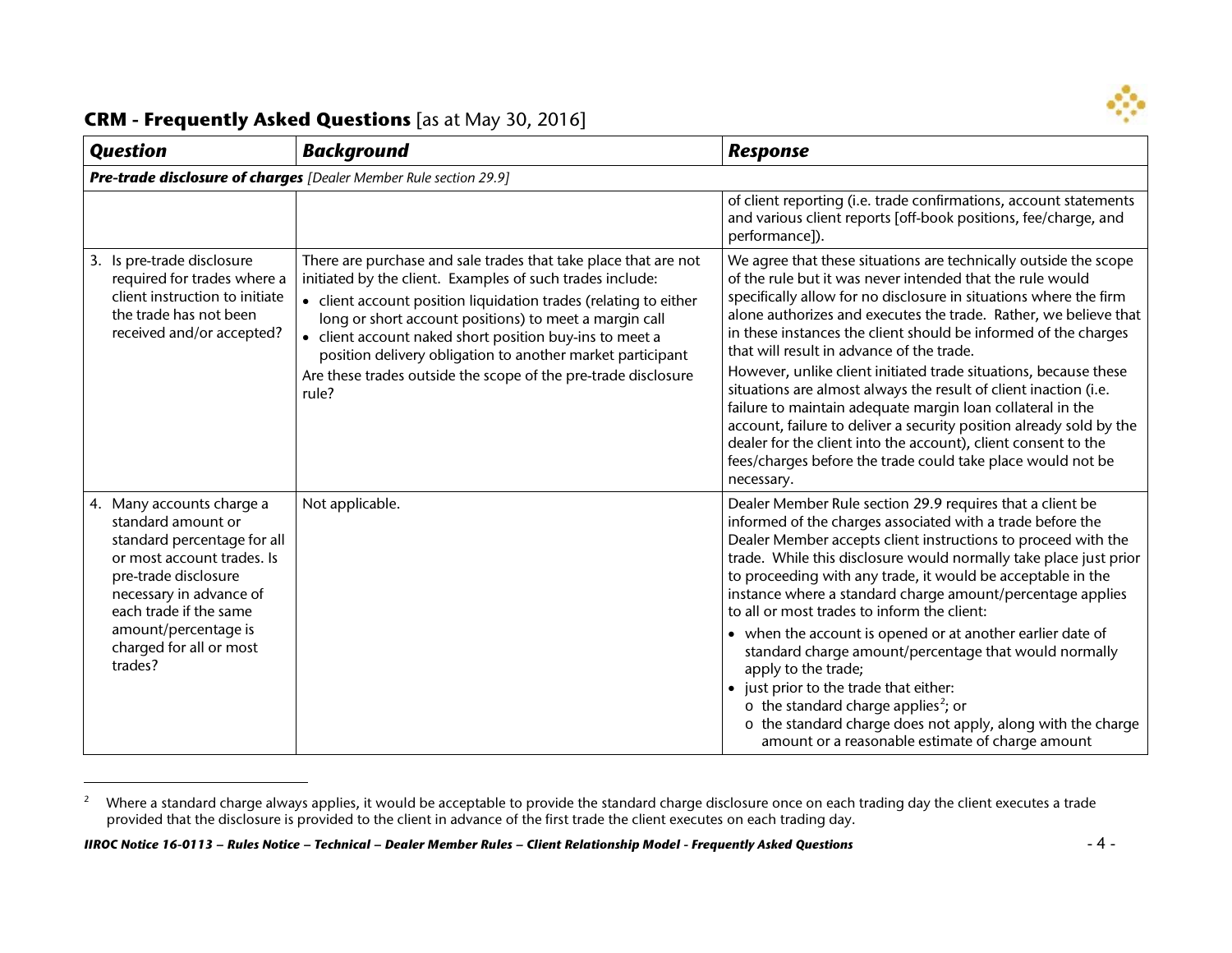<span id="page-3-0"></span>

 $\overline{a}$ 

| <b>Question</b>                                                                                                                                                                                                                                         | <b>Background</b>                                                                                                                                                                                                                                                                                                                                                                                                                                              | <b>Response</b>                                                                                                                                                                                                                                                                                                                                                                                                                                                                                                                                                                                                                                                                                                                                                                                                    |
|---------------------------------------------------------------------------------------------------------------------------------------------------------------------------------------------------------------------------------------------------------|----------------------------------------------------------------------------------------------------------------------------------------------------------------------------------------------------------------------------------------------------------------------------------------------------------------------------------------------------------------------------------------------------------------------------------------------------------------|--------------------------------------------------------------------------------------------------------------------------------------------------------------------------------------------------------------------------------------------------------------------------------------------------------------------------------------------------------------------------------------------------------------------------------------------------------------------------------------------------------------------------------------------------------------------------------------------------------------------------------------------------------------------------------------------------------------------------------------------------------------------------------------------------------------------|
|                                                                                                                                                                                                                                                         | Pre-trade disclosure of charges [Dealer Member Rule section 29.9]                                                                                                                                                                                                                                                                                                                                                                                              |                                                                                                                                                                                                                                                                                                                                                                                                                                                                                                                                                                                                                                                                                                                                                                                                                    |
|                                                                                                                                                                                                                                                         |                                                                                                                                                                                                                                                                                                                                                                                                                                                                | of client reporting (i.e. trade confirmations, account statements<br>and various client reports [off-book positions, fee/charge, and<br>performance]).                                                                                                                                                                                                                                                                                                                                                                                                                                                                                                                                                                                                                                                             |
| 3. Is pre-trade disclosure<br>required for trades where a<br>client instruction to initiate<br>the trade has not been<br>received and/or accepted?                                                                                                      | There are purchase and sale trades that take place that are not<br>initiated by the client. Examples of such trades include:<br>• client account position liquidation trades (relating to either<br>long or short account positions) to meet a margin call<br>• client account naked short position buy-ins to meet a<br>position delivery obligation to another market participant<br>Are these trades outside the scope of the pre-trade disclosure<br>rule? | We agree that these situations are technically outside the scope<br>of the rule but it was never intended that the rule would<br>specifically allow for no disclosure in situations where the firm<br>alone authorizes and executes the trade. Rather, we believe that<br>in these instances the client should be informed of the charges<br>that will result in advance of the trade.<br>However, unlike client initiated trade situations, because these<br>situations are almost always the result of client inaction (i.e.<br>failure to maintain adequate margin loan collateral in the<br>account, failure to deliver a security position already sold by the<br>dealer for the client into the account), client consent to the<br>fees/charges before the trade could take place would not be<br>necessary. |
| 4. Many accounts charge a<br>standard amount or<br>standard percentage for all<br>or most account trades. Is<br>pre-trade disclosure<br>necessary in advance of<br>each trade if the same<br>amount/percentage is<br>charged for all or most<br>trades? | Not applicable.                                                                                                                                                                                                                                                                                                                                                                                                                                                | Dealer Member Rule section 29.9 requires that a client be<br>informed of the charges associated with a trade before the<br>Dealer Member accepts client instructions to proceed with the<br>trade. While this disclosure would normally take place just prior<br>to proceeding with any trade, it would be acceptable in the<br>instance where a standard charge amount/percentage applies<br>to all or most trades to inform the client:<br>• when the account is opened or at another earlier date of<br>standard charge amount/percentage that would normally<br>apply to the trade;<br>• just prior to the trade that either:<br>$\circ$ the standard charge applies <sup>2</sup> ; or<br>o the standard charge does not apply, along with the charge<br>amount or a reasonable estimate of charge amount      |

<sup>&</sup>lt;sup>2</sup> Where a standard charge always applies, it would be acceptable to provide the standard charge disclosure once on each trading day the client executes a trade provided that the disclosure is provided to the client in advance of the first trade the client executes on each trading day.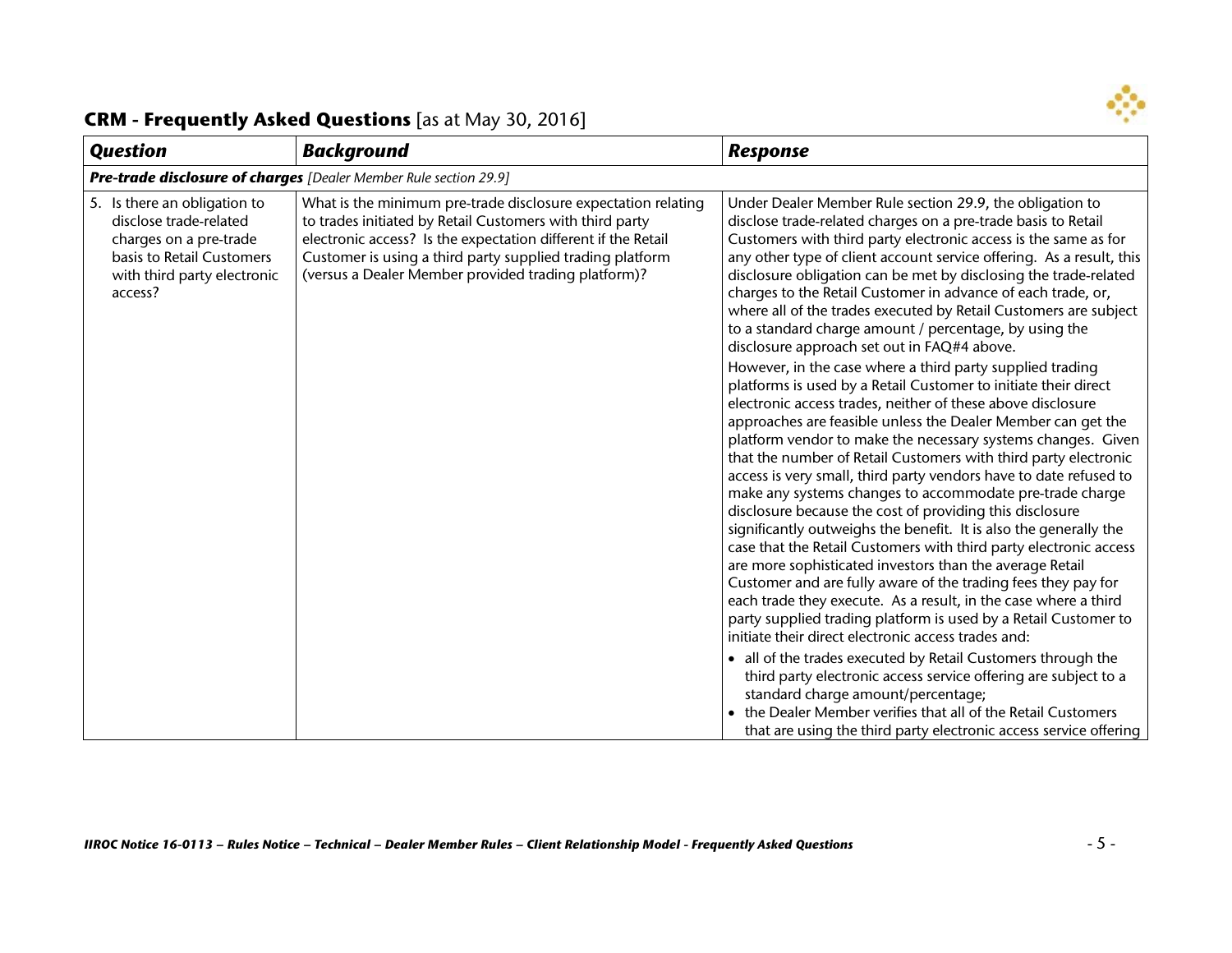

| <b>Question</b>                                                                                                                                         | <b>Background</b>                                                                                                                                                                                                                                                                                              | <b>Response</b>                                                                                                                                                                                                                                                                                                                                                                                                                                                                                                                                                                                                                                                                                                                                                                                                                                                                                                                                                                                                                                                                                                                                                                                                                                                                                                                                                                                                                                                                                                                                                                                                                                                                                                                                                                                                                                                                                                                                                       |  |
|---------------------------------------------------------------------------------------------------------------------------------------------------------|----------------------------------------------------------------------------------------------------------------------------------------------------------------------------------------------------------------------------------------------------------------------------------------------------------------|-----------------------------------------------------------------------------------------------------------------------------------------------------------------------------------------------------------------------------------------------------------------------------------------------------------------------------------------------------------------------------------------------------------------------------------------------------------------------------------------------------------------------------------------------------------------------------------------------------------------------------------------------------------------------------------------------------------------------------------------------------------------------------------------------------------------------------------------------------------------------------------------------------------------------------------------------------------------------------------------------------------------------------------------------------------------------------------------------------------------------------------------------------------------------------------------------------------------------------------------------------------------------------------------------------------------------------------------------------------------------------------------------------------------------------------------------------------------------------------------------------------------------------------------------------------------------------------------------------------------------------------------------------------------------------------------------------------------------------------------------------------------------------------------------------------------------------------------------------------------------------------------------------------------------------------------------------------------------|--|
|                                                                                                                                                         | Pre-trade disclosure of charges [Dealer Member Rule section 29.9]                                                                                                                                                                                                                                              |                                                                                                                                                                                                                                                                                                                                                                                                                                                                                                                                                                                                                                                                                                                                                                                                                                                                                                                                                                                                                                                                                                                                                                                                                                                                                                                                                                                                                                                                                                                                                                                                                                                                                                                                                                                                                                                                                                                                                                       |  |
| 5. Is there an obligation to<br>disclose trade-related<br>charges on a pre-trade<br>basis to Retail Customers<br>with third party electronic<br>access? | What is the minimum pre-trade disclosure expectation relating<br>to trades initiated by Retail Customers with third party<br>electronic access? Is the expectation different if the Retail<br>Customer is using a third party supplied trading platform<br>(versus a Dealer Member provided trading platform)? | Under Dealer Member Rule section 29.9, the obligation to<br>disclose trade-related charges on a pre-trade basis to Retail<br>Customers with third party electronic access is the same as for<br>any other type of client account service offering. As a result, this<br>disclosure obligation can be met by disclosing the trade-related<br>charges to the Retail Customer in advance of each trade, or,<br>where all of the trades executed by Retail Customers are subject<br>to a standard charge amount / percentage, by using the<br>disclosure approach set out in FAQ#4 above.<br>However, in the case where a third party supplied trading<br>platforms is used by a Retail Customer to initiate their direct<br>electronic access trades, neither of these above disclosure<br>approaches are feasible unless the Dealer Member can get the<br>platform vendor to make the necessary systems changes. Given<br>that the number of Retail Customers with third party electronic<br>access is very small, third party vendors have to date refused to<br>make any systems changes to accommodate pre-trade charge<br>disclosure because the cost of providing this disclosure<br>significantly outweighs the benefit. It is also the generally the<br>case that the Retail Customers with third party electronic access<br>are more sophisticated investors than the average Retail<br>Customer and are fully aware of the trading fees they pay for<br>each trade they execute. As a result, in the case where a third<br>party supplied trading platform is used by a Retail Customer to<br>initiate their direct electronic access trades and:<br>• all of the trades executed by Retail Customers through the<br>third party electronic access service offering are subject to a<br>standard charge amount/percentage;<br>the Dealer Member verifies that all of the Retail Customers<br>that are using the third party electronic access service offering |  |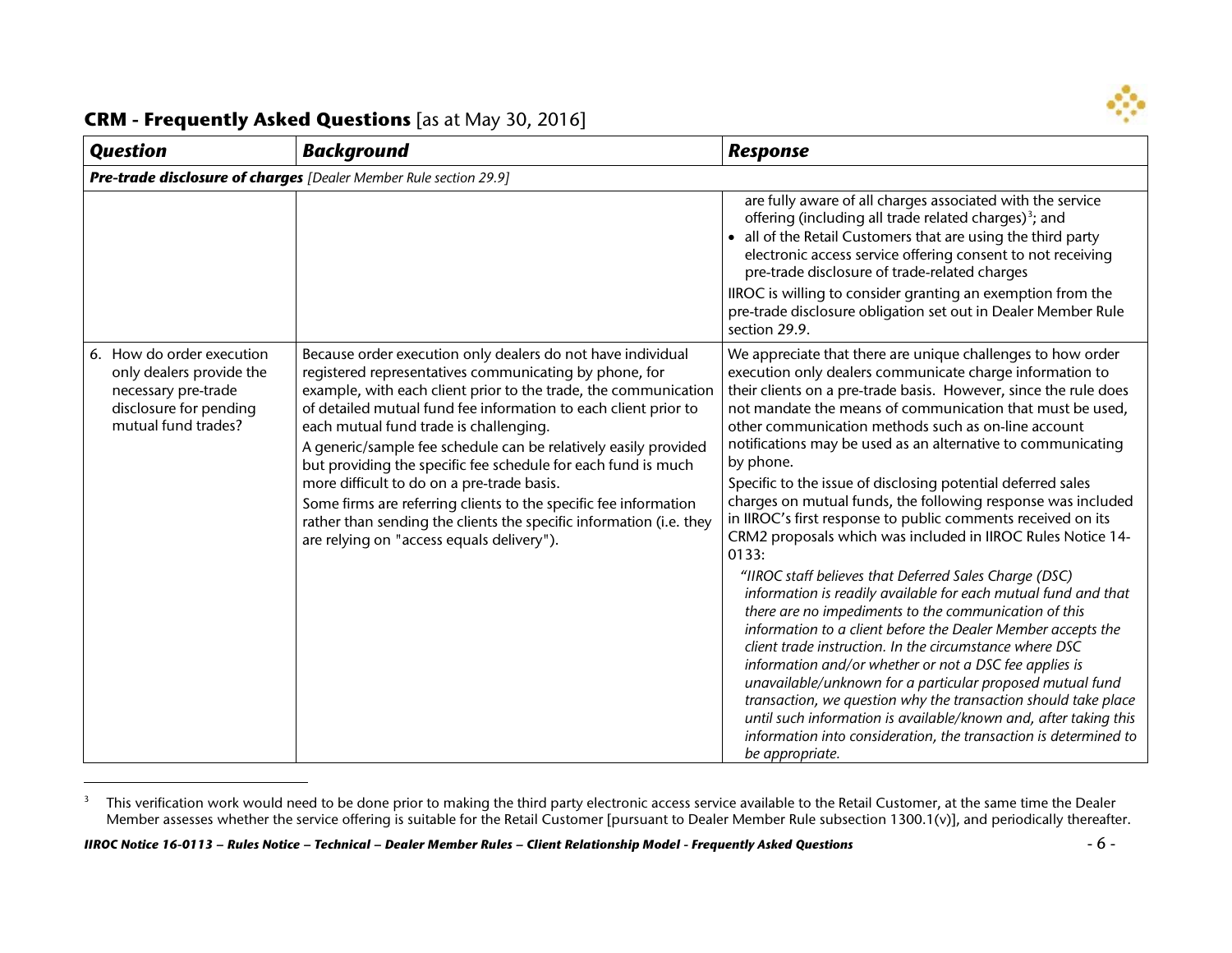<span id="page-5-0"></span>

 $\overline{a}$ 

| <b>Question</b>                                                                                                               | <b>Background</b>                                                                                                                                                                                                                                                                                                                                                                                                                                                                                                                                                                                                                                                               | Response                                                                                                                                                                                                                                                                                                                                                                                                                                                                                                                                                                                                                                                                                                                                                                                                                                                                                                                                                                                                                                                                                                                                                                                                                                                                                                                                 |
|-------------------------------------------------------------------------------------------------------------------------------|---------------------------------------------------------------------------------------------------------------------------------------------------------------------------------------------------------------------------------------------------------------------------------------------------------------------------------------------------------------------------------------------------------------------------------------------------------------------------------------------------------------------------------------------------------------------------------------------------------------------------------------------------------------------------------|------------------------------------------------------------------------------------------------------------------------------------------------------------------------------------------------------------------------------------------------------------------------------------------------------------------------------------------------------------------------------------------------------------------------------------------------------------------------------------------------------------------------------------------------------------------------------------------------------------------------------------------------------------------------------------------------------------------------------------------------------------------------------------------------------------------------------------------------------------------------------------------------------------------------------------------------------------------------------------------------------------------------------------------------------------------------------------------------------------------------------------------------------------------------------------------------------------------------------------------------------------------------------------------------------------------------------------------|
|                                                                                                                               | Pre-trade disclosure of charges [Dealer Member Rule section 29.9]                                                                                                                                                                                                                                                                                                                                                                                                                                                                                                                                                                                                               |                                                                                                                                                                                                                                                                                                                                                                                                                                                                                                                                                                                                                                                                                                                                                                                                                                                                                                                                                                                                                                                                                                                                                                                                                                                                                                                                          |
|                                                                                                                               |                                                                                                                                                                                                                                                                                                                                                                                                                                                                                                                                                                                                                                                                                 | are fully aware of all charges associated with the service<br>offering (including all trade related charges) <sup>3</sup> ; and<br>• all of the Retail Customers that are using the third party<br>electronic access service offering consent to not receiving<br>pre-trade disclosure of trade-related charges<br>IIROC is willing to consider granting an exemption from the<br>pre-trade disclosure obligation set out in Dealer Member Rule<br>section 29.9.                                                                                                                                                                                                                                                                                                                                                                                                                                                                                                                                                                                                                                                                                                                                                                                                                                                                         |
| 6. How do order execution<br>only dealers provide the<br>necessary pre-trade<br>disclosure for pending<br>mutual fund trades? | Because order execution only dealers do not have individual<br>registered representatives communicating by phone, for<br>example, with each client prior to the trade, the communication<br>of detailed mutual fund fee information to each client prior to<br>each mutual fund trade is challenging.<br>A generic/sample fee schedule can be relatively easily provided<br>but providing the specific fee schedule for each fund is much<br>more difficult to do on a pre-trade basis.<br>Some firms are referring clients to the specific fee information<br>rather than sending the clients the specific information (i.e. they<br>are relying on "access equals delivery"). | We appreciate that there are unique challenges to how order<br>execution only dealers communicate charge information to<br>their clients on a pre-trade basis. However, since the rule does<br>not mandate the means of communication that must be used,<br>other communication methods such as on-line account<br>notifications may be used as an alternative to communicating<br>by phone.<br>Specific to the issue of disclosing potential deferred sales<br>charges on mutual funds, the following response was included<br>in IIROC's first response to public comments received on its<br>CRM2 proposals which was included in IIROC Rules Notice 14-<br>0133:<br>"IIROC staff believes that Deferred Sales Charge (DSC)<br>information is readily available for each mutual fund and that<br>there are no impediments to the communication of this<br>information to a client before the Dealer Member accepts the<br>client trade instruction. In the circumstance where DSC<br>information and/or whether or not a DSC fee applies is<br>unavailable/unknown for a particular proposed mutual fund<br>transaction, we question why the transaction should take place<br>until such information is available/known and, after taking this<br>information into consideration, the transaction is determined to<br>be appropriate. |

<sup>&</sup>lt;sup>3</sup> This verification work would need to be done prior to making the third party electronic access service available to the Retail Customer, at the same time the Dealer Member assesses whether the service offering is suitable for the Retail Customer [pursuant to Dealer Member Rule subsection 1300.1(v)], and periodically thereafter.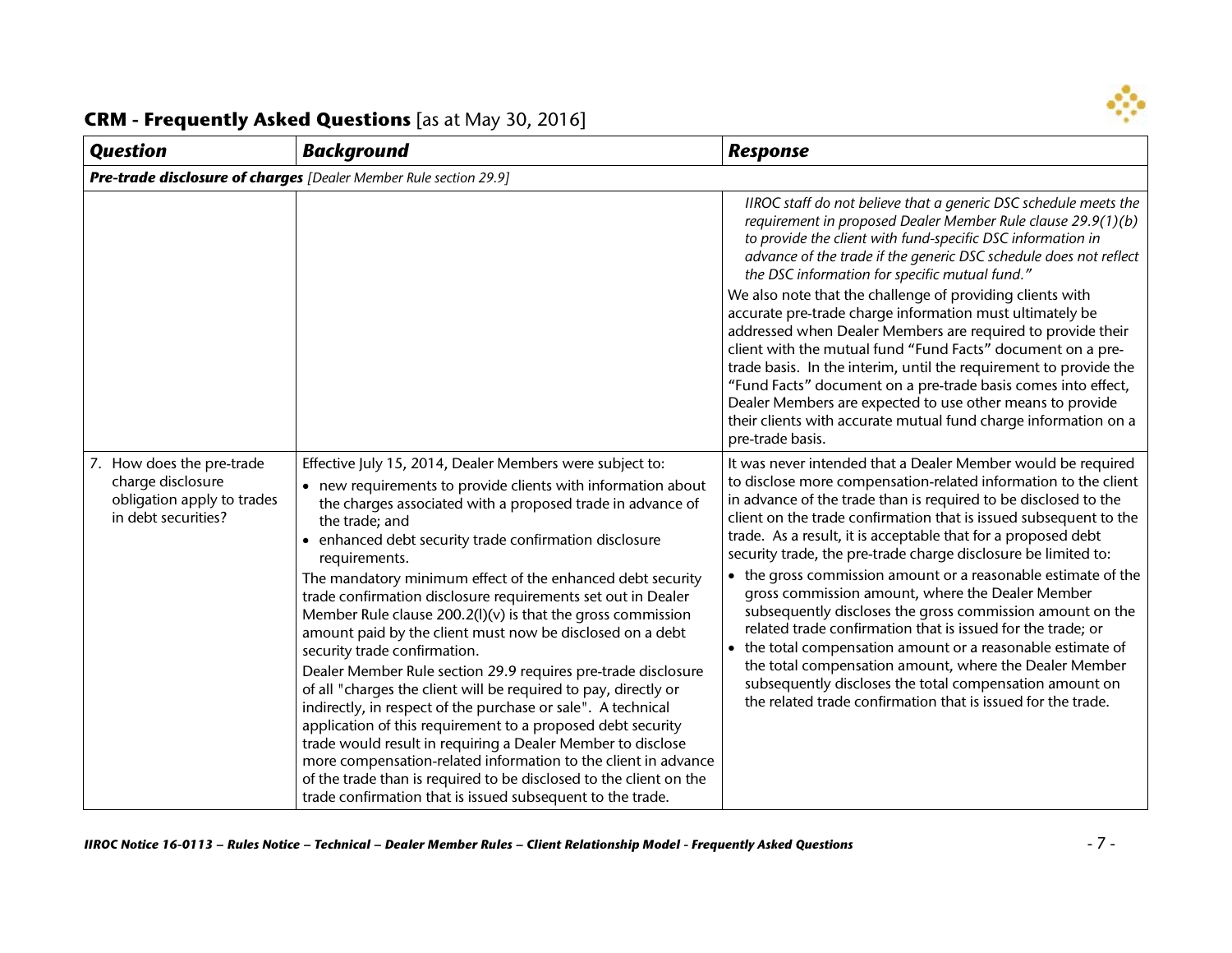

| <b>Question</b>                                                                                     | <b>Background</b>                                                                                                                                                                                                                                                                                                                                                                                                                                                                                                                                                                                                                                                                                                                                                                                                                                                                                                                                                                                                                                                                                                     | <b>Response</b>                                                                                                                                                                                                                                                                                                                                                                                                                                                                                                                                                                                                                                                                                                                                                                                                                                                                                               |
|-----------------------------------------------------------------------------------------------------|-----------------------------------------------------------------------------------------------------------------------------------------------------------------------------------------------------------------------------------------------------------------------------------------------------------------------------------------------------------------------------------------------------------------------------------------------------------------------------------------------------------------------------------------------------------------------------------------------------------------------------------------------------------------------------------------------------------------------------------------------------------------------------------------------------------------------------------------------------------------------------------------------------------------------------------------------------------------------------------------------------------------------------------------------------------------------------------------------------------------------|---------------------------------------------------------------------------------------------------------------------------------------------------------------------------------------------------------------------------------------------------------------------------------------------------------------------------------------------------------------------------------------------------------------------------------------------------------------------------------------------------------------------------------------------------------------------------------------------------------------------------------------------------------------------------------------------------------------------------------------------------------------------------------------------------------------------------------------------------------------------------------------------------------------|
|                                                                                                     | Pre-trade disclosure of charges [Dealer Member Rule section 29.9]                                                                                                                                                                                                                                                                                                                                                                                                                                                                                                                                                                                                                                                                                                                                                                                                                                                                                                                                                                                                                                                     |                                                                                                                                                                                                                                                                                                                                                                                                                                                                                                                                                                                                                                                                                                                                                                                                                                                                                                               |
|                                                                                                     |                                                                                                                                                                                                                                                                                                                                                                                                                                                                                                                                                                                                                                                                                                                                                                                                                                                                                                                                                                                                                                                                                                                       | IIROC staff do not believe that a generic DSC schedule meets the<br>requirement in proposed Dealer Member Rule clause 29.9(1)(b)<br>to provide the client with fund-specific DSC information in<br>advance of the trade if the generic DSC schedule does not reflect<br>the DSC information for specific mutual fund."<br>We also note that the challenge of providing clients with<br>accurate pre-trade charge information must ultimately be<br>addressed when Dealer Members are required to provide their<br>client with the mutual fund "Fund Facts" document on a pre-<br>trade basis. In the interim, until the requirement to provide the<br>"Fund Facts" document on a pre-trade basis comes into effect,<br>Dealer Members are expected to use other means to provide<br>their clients with accurate mutual fund charge information on a<br>pre-trade basis.                                       |
| 7. How does the pre-trade<br>charge disclosure<br>obligation apply to trades<br>in debt securities? | Effective July 15, 2014, Dealer Members were subject to:<br>• new requirements to provide clients with information about<br>the charges associated with a proposed trade in advance of<br>the trade; and<br>enhanced debt security trade confirmation disclosure<br>requirements.<br>The mandatory minimum effect of the enhanced debt security<br>trade confirmation disclosure requirements set out in Dealer<br>Member Rule clause $200.2(1)(v)$ is that the gross commission<br>amount paid by the client must now be disclosed on a debt<br>security trade confirmation.<br>Dealer Member Rule section 29.9 requires pre-trade disclosure<br>of all "charges the client will be required to pay, directly or<br>indirectly, in respect of the purchase or sale". A technical<br>application of this requirement to a proposed debt security<br>trade would result in requiring a Dealer Member to disclose<br>more compensation-related information to the client in advance<br>of the trade than is required to be disclosed to the client on the<br>trade confirmation that is issued subsequent to the trade. | It was never intended that a Dealer Member would be required<br>to disclose more compensation-related information to the client<br>in advance of the trade than is required to be disclosed to the<br>client on the trade confirmation that is issued subsequent to the<br>trade. As a result, it is acceptable that for a proposed debt<br>security trade, the pre-trade charge disclosure be limited to:<br>• the gross commission amount or a reasonable estimate of the<br>gross commission amount, where the Dealer Member<br>subsequently discloses the gross commission amount on the<br>related trade confirmation that is issued for the trade; or<br>the total compensation amount or a reasonable estimate of<br>the total compensation amount, where the Dealer Member<br>subsequently discloses the total compensation amount on<br>the related trade confirmation that is issued for the trade. |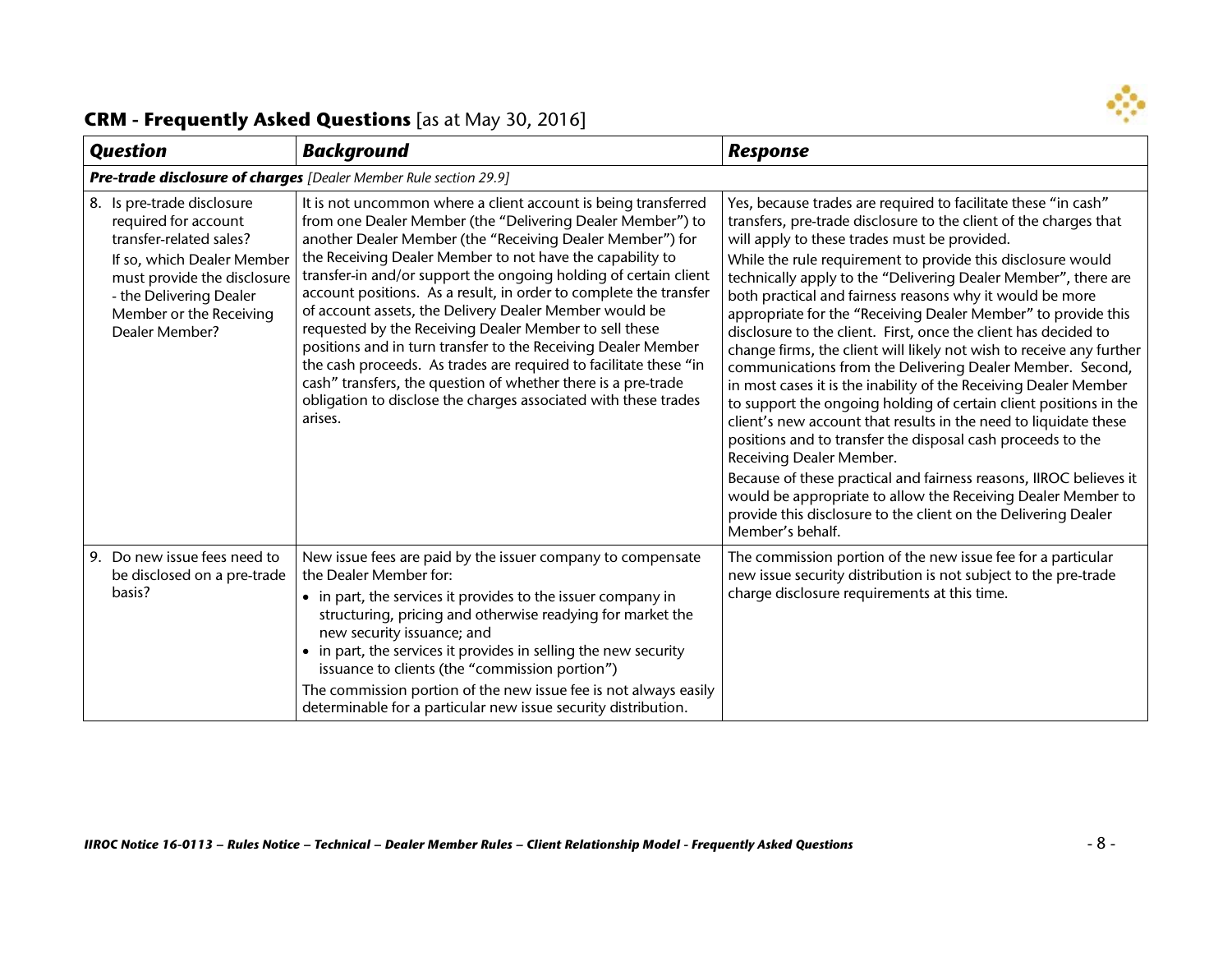

| <b>Question</b>                                                                                                                                                                                                    | <b>Background</b>                                                                                                                                                                                                                                                                                                                                                                                                                                                                                                                                                                                                                                                                                                                                                                                        | <b>Response</b>                                                                                                                                                                                                                                                                                                                                                                                                                                                                                                                                                                                                                                                                                                                                                                                                                                                                                                                                                                                                                                                                                                                                                                               |  |
|--------------------------------------------------------------------------------------------------------------------------------------------------------------------------------------------------------------------|----------------------------------------------------------------------------------------------------------------------------------------------------------------------------------------------------------------------------------------------------------------------------------------------------------------------------------------------------------------------------------------------------------------------------------------------------------------------------------------------------------------------------------------------------------------------------------------------------------------------------------------------------------------------------------------------------------------------------------------------------------------------------------------------------------|-----------------------------------------------------------------------------------------------------------------------------------------------------------------------------------------------------------------------------------------------------------------------------------------------------------------------------------------------------------------------------------------------------------------------------------------------------------------------------------------------------------------------------------------------------------------------------------------------------------------------------------------------------------------------------------------------------------------------------------------------------------------------------------------------------------------------------------------------------------------------------------------------------------------------------------------------------------------------------------------------------------------------------------------------------------------------------------------------------------------------------------------------------------------------------------------------|--|
|                                                                                                                                                                                                                    | Pre-trade disclosure of charges [Dealer Member Rule section 29.9]                                                                                                                                                                                                                                                                                                                                                                                                                                                                                                                                                                                                                                                                                                                                        |                                                                                                                                                                                                                                                                                                                                                                                                                                                                                                                                                                                                                                                                                                                                                                                                                                                                                                                                                                                                                                                                                                                                                                                               |  |
| 8. Is pre-trade disclosure<br>required for account<br>transfer-related sales?<br>If so, which Dealer Member<br>must provide the disclosure<br>- the Delivering Dealer<br>Member or the Receiving<br>Dealer Member? | It is not uncommon where a client account is being transferred<br>from one Dealer Member (the "Delivering Dealer Member") to<br>another Dealer Member (the "Receiving Dealer Member") for<br>the Receiving Dealer Member to not have the capability to<br>transfer-in and/or support the ongoing holding of certain client<br>account positions. As a result, in order to complete the transfer<br>of account assets, the Delivery Dealer Member would be<br>requested by the Receiving Dealer Member to sell these<br>positions and in turn transfer to the Receiving Dealer Member<br>the cash proceeds. As trades are required to facilitate these "in<br>cash" transfers, the question of whether there is a pre-trade<br>obligation to disclose the charges associated with these trades<br>arises. | Yes, because trades are required to facilitate these "in cash"<br>transfers, pre-trade disclosure to the client of the charges that<br>will apply to these trades must be provided.<br>While the rule requirement to provide this disclosure would<br>technically apply to the "Delivering Dealer Member", there are<br>both practical and fairness reasons why it would be more<br>appropriate for the "Receiving Dealer Member" to provide this<br>disclosure to the client. First, once the client has decided to<br>change firms, the client will likely not wish to receive any further<br>communications from the Delivering Dealer Member. Second,<br>in most cases it is the inability of the Receiving Dealer Member<br>to support the ongoing holding of certain client positions in the<br>client's new account that results in the need to liquidate these<br>positions and to transfer the disposal cash proceeds to the<br>Receiving Dealer Member.<br>Because of these practical and fairness reasons, IIROC believes it<br>would be appropriate to allow the Receiving Dealer Member to<br>provide this disclosure to the client on the Delivering Dealer<br>Member's behalf. |  |
| 9. Do new issue fees need to<br>be disclosed on a pre-trade<br>basis?                                                                                                                                              | New issue fees are paid by the issuer company to compensate<br>the Dealer Member for:<br>• in part, the services it provides to the issuer company in<br>structuring, pricing and otherwise readying for market the<br>new security issuance; and<br>• in part, the services it provides in selling the new security<br>issuance to clients (the "commission portion")<br>The commission portion of the new issue fee is not always easily<br>determinable for a particular new issue security distribution.                                                                                                                                                                                                                                                                                             | The commission portion of the new issue fee for a particular<br>new issue security distribution is not subject to the pre-trade<br>charge disclosure requirements at this time.                                                                                                                                                                                                                                                                                                                                                                                                                                                                                                                                                                                                                                                                                                                                                                                                                                                                                                                                                                                                               |  |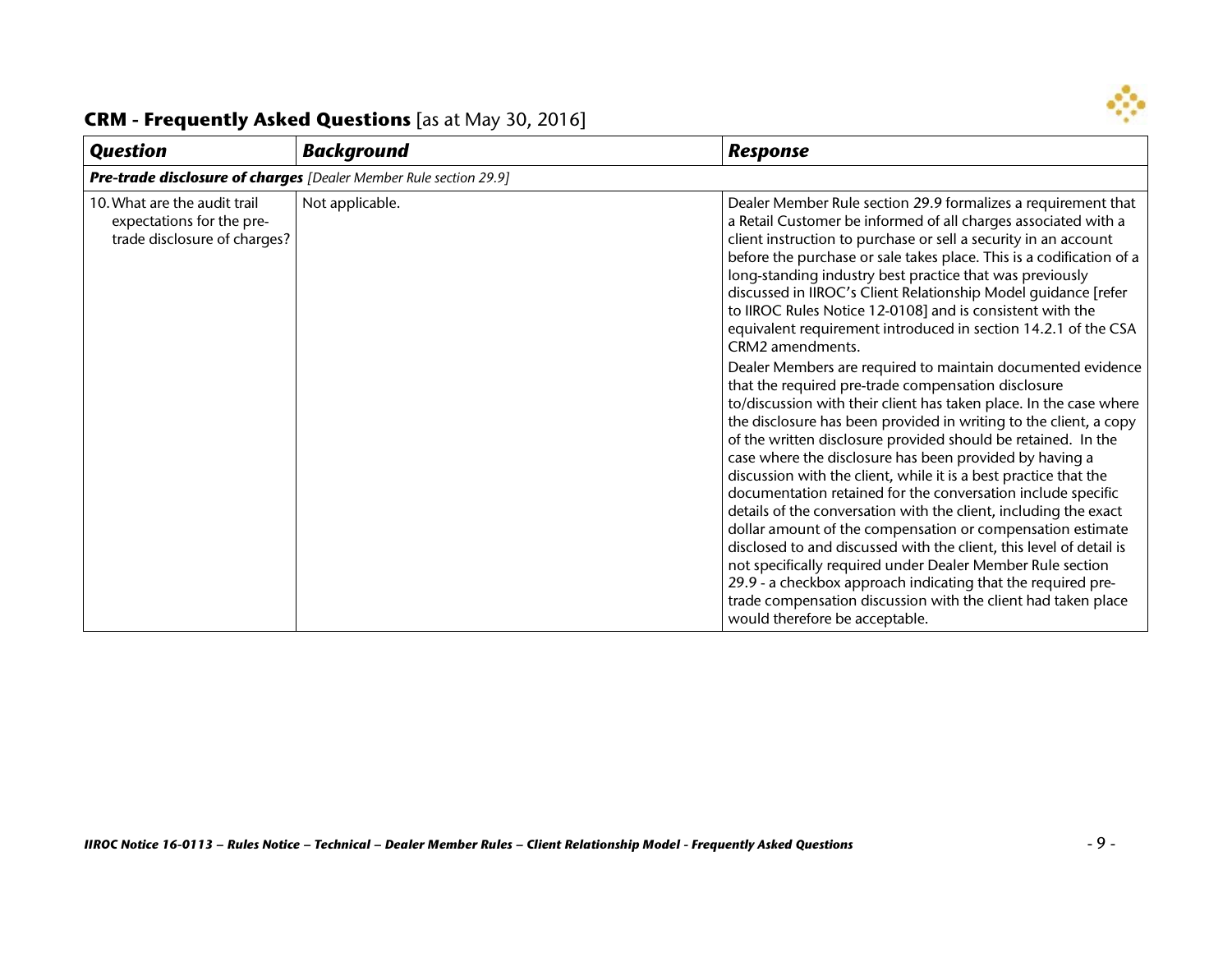

#### *Question Background Response Pre-trade disclosure of charges [Dealer Member Rule section 29.9]* 10.What are the audit trail expectations for the pretrade disclosure of charges? Not applicable. Dealer Member Rule section 29.9 formalizes a requirement that a Retail Customer be informed of all charges associated with a client instruction to purchase or sell a security in an account before the purchase or sale takes place. This is a codification of a long-standing industry best practice that was previously discussed in IIROC's Client Relationship Model guidance [refer to IIROC Rules Notice 12-0108] and is consistent with the equivalent requirement introduced in section 14.2.1 of the CSA CRM2 amendments. Dealer Members are required to maintain documented evidence that the required pre-trade compensation disclosure to/discussion with their client has taken place. In the case where the disclosure has been provided in writing to the client, a copy of the written disclosure provided should be retained. In the case where the disclosure has been provided by having a discussion with the client, while it is a best practice that the documentation retained for the conversation include specific details of the conversation with the client, including the exact dollar amount of the compensation or compensation estimate disclosed to and discussed with the client, this level of detail is not specifically required under Dealer Member Rule section 29.9 - a checkbox approach indicating that the required pretrade compensation discussion with the client had taken place would therefore be acceptable.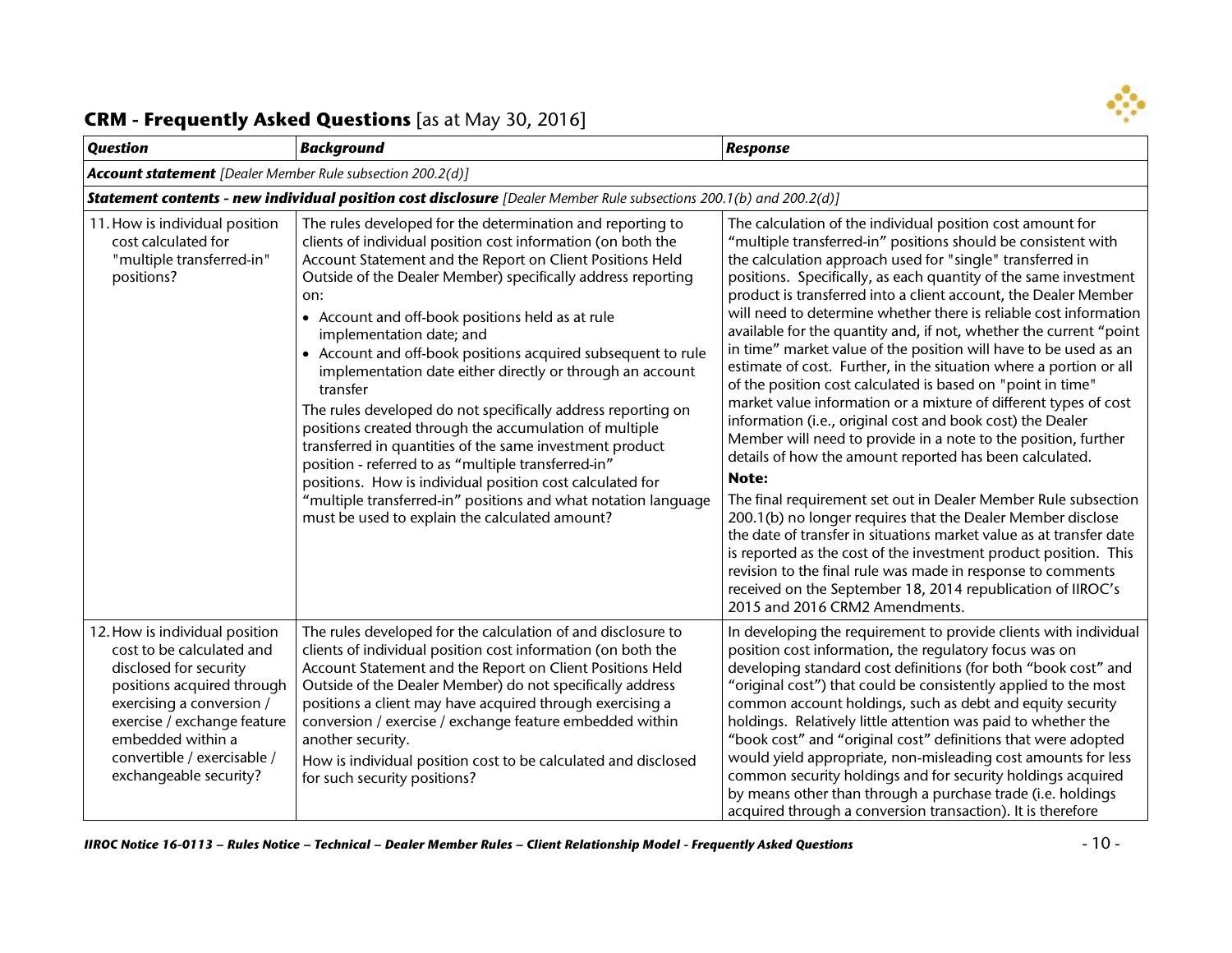

| <b>Question</b>                                                                                                                                                                                                                                               | <b>Background</b>                                                                                                                                                                                                                                                                                                                                                                                                                                                                                                                                                                                                                                                                                                                                                                                                                                                                                                     | <b>Response</b>                                                                                                                                                                                                                                                                                                                                                                                                                                                                                                                                                                                                                                                                                                                                                                                                                                                                                                                                                                                                                                                                                                                                                                                                                                                                                                                                                                                         |
|---------------------------------------------------------------------------------------------------------------------------------------------------------------------------------------------------------------------------------------------------------------|-----------------------------------------------------------------------------------------------------------------------------------------------------------------------------------------------------------------------------------------------------------------------------------------------------------------------------------------------------------------------------------------------------------------------------------------------------------------------------------------------------------------------------------------------------------------------------------------------------------------------------------------------------------------------------------------------------------------------------------------------------------------------------------------------------------------------------------------------------------------------------------------------------------------------|---------------------------------------------------------------------------------------------------------------------------------------------------------------------------------------------------------------------------------------------------------------------------------------------------------------------------------------------------------------------------------------------------------------------------------------------------------------------------------------------------------------------------------------------------------------------------------------------------------------------------------------------------------------------------------------------------------------------------------------------------------------------------------------------------------------------------------------------------------------------------------------------------------------------------------------------------------------------------------------------------------------------------------------------------------------------------------------------------------------------------------------------------------------------------------------------------------------------------------------------------------------------------------------------------------------------------------------------------------------------------------------------------------|
| <b>Account statement</b> [Dealer Member Rule subsection 200.2(d)]                                                                                                                                                                                             |                                                                                                                                                                                                                                                                                                                                                                                                                                                                                                                                                                                                                                                                                                                                                                                                                                                                                                                       |                                                                                                                                                                                                                                                                                                                                                                                                                                                                                                                                                                                                                                                                                                                                                                                                                                                                                                                                                                                                                                                                                                                                                                                                                                                                                                                                                                                                         |
|                                                                                                                                                                                                                                                               | Statement contents - new individual position cost disclosure [Dealer Member Rule subsections 200.1(b) and 200.2(d)]                                                                                                                                                                                                                                                                                                                                                                                                                                                                                                                                                                                                                                                                                                                                                                                                   |                                                                                                                                                                                                                                                                                                                                                                                                                                                                                                                                                                                                                                                                                                                                                                                                                                                                                                                                                                                                                                                                                                                                                                                                                                                                                                                                                                                                         |
| 11. How is individual position<br>cost calculated for<br>"multiple transferred-in"<br>positions?                                                                                                                                                              | The rules developed for the determination and reporting to<br>clients of individual position cost information (on both the<br>Account Statement and the Report on Client Positions Held<br>Outside of the Dealer Member) specifically address reporting<br>on:<br>• Account and off-book positions held as at rule<br>implementation date; and<br>• Account and off-book positions acquired subsequent to rule<br>implementation date either directly or through an account<br>transfer<br>The rules developed do not specifically address reporting on<br>positions created through the accumulation of multiple<br>transferred in quantities of the same investment product<br>position - referred to as "multiple transferred-in"<br>positions. How is individual position cost calculated for<br>"multiple transferred-in" positions and what notation language<br>must be used to explain the calculated amount? | The calculation of the individual position cost amount for<br>"multiple transferred-in" positions should be consistent with<br>the calculation approach used for "single" transferred in<br>positions. Specifically, as each quantity of the same investment<br>product is transferred into a client account, the Dealer Member<br>will need to determine whether there is reliable cost information<br>available for the quantity and, if not, whether the current "point<br>in time" market value of the position will have to be used as an<br>estimate of cost. Further, in the situation where a portion or all<br>of the position cost calculated is based on "point in time"<br>market value information or a mixture of different types of cost<br>information (i.e., original cost and book cost) the Dealer<br>Member will need to provide in a note to the position, further<br>details of how the amount reported has been calculated.<br>Note:<br>The final requirement set out in Dealer Member Rule subsection<br>200.1(b) no longer requires that the Dealer Member disclose<br>the date of transfer in situations market value as at transfer date<br>is reported as the cost of the investment product position. This<br>revision to the final rule was made in response to comments<br>received on the September 18, 2014 republication of IIROC's<br>2015 and 2016 CRM2 Amendments. |
| 12. How is individual position<br>cost to be calculated and<br>disclosed for security<br>positions acquired through<br>exercising a conversion /<br>exercise / exchange feature<br>embedded within a<br>convertible / exercisable /<br>exchangeable security? | The rules developed for the calculation of and disclosure to<br>clients of individual position cost information (on both the<br>Account Statement and the Report on Client Positions Held<br>Outside of the Dealer Member) do not specifically address<br>positions a client may have acquired through exercising a<br>conversion / exercise / exchange feature embedded within<br>another security.<br>How is individual position cost to be calculated and disclosed<br>for such security positions?                                                                                                                                                                                                                                                                                                                                                                                                                | In developing the requirement to provide clients with individual<br>position cost information, the regulatory focus was on<br>developing standard cost definitions (for both "book cost" and<br>"original cost") that could be consistently applied to the most<br>common account holdings, such as debt and equity security<br>holdings. Relatively little attention was paid to whether the<br>"book cost" and "original cost" definitions that were adopted<br>would yield appropriate, non-misleading cost amounts for less<br>common security holdings and for security holdings acquired<br>by means other than through a purchase trade (i.e. holdings<br>acquired through a conversion transaction). It is therefore                                                                                                                                                                                                                                                                                                                                                                                                                                                                                                                                                                                                                                                                            |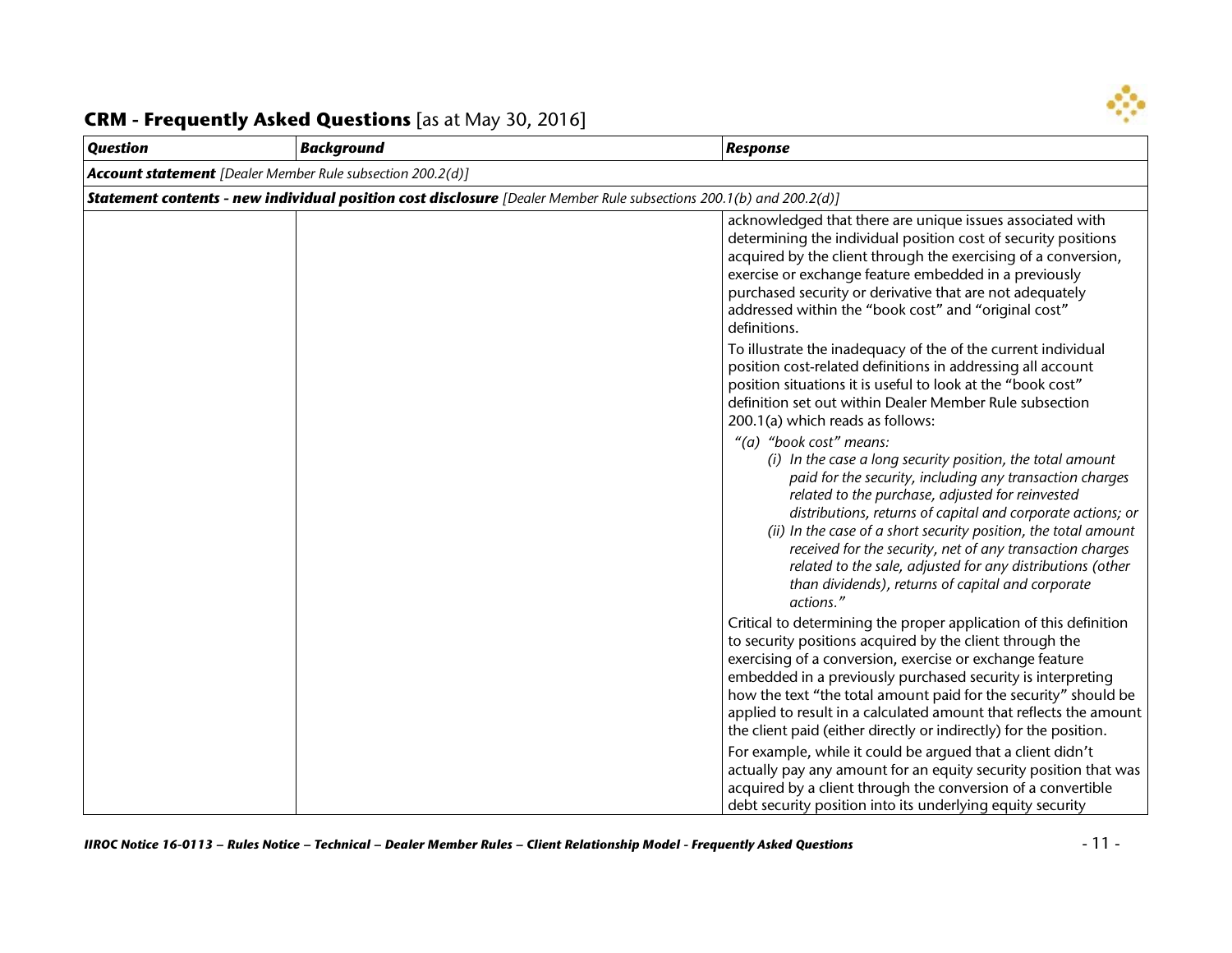

| <b>Question</b>                                                   | <b>Background</b>                                                                                                          | <b>Response</b>                                                                                                                                                                                                                                                                                                                                                                                                                                                                                                                                                                                                                                                                                                                                                                                                                    |
|-------------------------------------------------------------------|----------------------------------------------------------------------------------------------------------------------------|------------------------------------------------------------------------------------------------------------------------------------------------------------------------------------------------------------------------------------------------------------------------------------------------------------------------------------------------------------------------------------------------------------------------------------------------------------------------------------------------------------------------------------------------------------------------------------------------------------------------------------------------------------------------------------------------------------------------------------------------------------------------------------------------------------------------------------|
| <b>Account statement</b> [Dealer Member Rule subsection 200.2(d)] |                                                                                                                            |                                                                                                                                                                                                                                                                                                                                                                                                                                                                                                                                                                                                                                                                                                                                                                                                                                    |
|                                                                   | <b>Statement contents - new individual position cost disclosure</b> [Dealer Member Rule subsections 200.1(b) and 200.2(d)] |                                                                                                                                                                                                                                                                                                                                                                                                                                                                                                                                                                                                                                                                                                                                                                                                                                    |
|                                                                   |                                                                                                                            | acknowledged that there are unique issues associated with<br>determining the individual position cost of security positions<br>acquired by the client through the exercising of a conversion,<br>exercise or exchange feature embedded in a previously<br>purchased security or derivative that are not adequately<br>addressed within the "book cost" and "original cost"<br>definitions.                                                                                                                                                                                                                                                                                                                                                                                                                                         |
|                                                                   |                                                                                                                            | To illustrate the inadequacy of the of the current individual<br>position cost-related definitions in addressing all account<br>position situations it is useful to look at the "book cost"<br>definition set out within Dealer Member Rule subsection<br>200.1(a) which reads as follows:<br>"(a) "book cost" means:<br>(i) In the case a long security position, the total amount<br>paid for the security, including any transaction charges<br>related to the purchase, adjusted for reinvested<br>distributions, returns of capital and corporate actions; or<br>(ii) In the case of a short security position, the total amount<br>received for the security, net of any transaction charges<br>related to the sale, adjusted for any distributions (other<br>than dividends), returns of capital and corporate<br>actions." |
|                                                                   |                                                                                                                            | Critical to determining the proper application of this definition<br>to security positions acquired by the client through the<br>exercising of a conversion, exercise or exchange feature<br>embedded in a previously purchased security is interpreting<br>how the text "the total amount paid for the security" should be<br>applied to result in a calculated amount that reflects the amount<br>the client paid (either directly or indirectly) for the position.<br>For example, while it could be argued that a client didn't<br>actually pay any amount for an equity security position that was<br>acquired by a client through the conversion of a convertible<br>debt security position into its underlying equity security                                                                                              |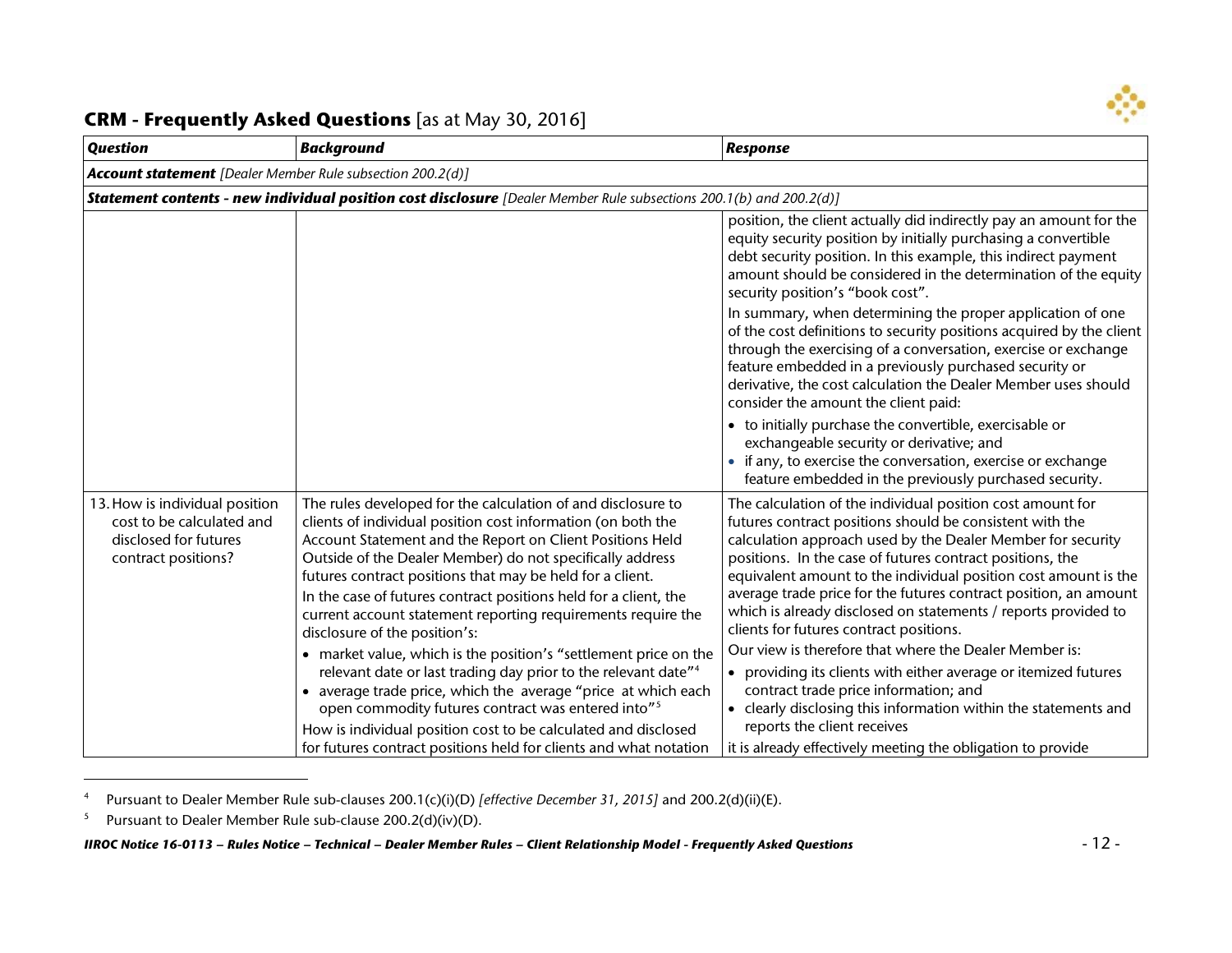<span id="page-11-1"></span><span id="page-11-0"></span>

| <b>Question</b>                                                                                             | <b>Background</b>                                                                                                                                                                                                                                                                                                                                                                                                                                                                                                                                                                                                                                                                                                                                                                                                                                                                                                    | <b>Response</b>                                                                                                                                                                                                                                                                                                                                                                                                                                                                                                                                                                                                                                                                                                                                                                                                                             |
|-------------------------------------------------------------------------------------------------------------|----------------------------------------------------------------------------------------------------------------------------------------------------------------------------------------------------------------------------------------------------------------------------------------------------------------------------------------------------------------------------------------------------------------------------------------------------------------------------------------------------------------------------------------------------------------------------------------------------------------------------------------------------------------------------------------------------------------------------------------------------------------------------------------------------------------------------------------------------------------------------------------------------------------------|---------------------------------------------------------------------------------------------------------------------------------------------------------------------------------------------------------------------------------------------------------------------------------------------------------------------------------------------------------------------------------------------------------------------------------------------------------------------------------------------------------------------------------------------------------------------------------------------------------------------------------------------------------------------------------------------------------------------------------------------------------------------------------------------------------------------------------------------|
| <b>Account statement</b> [Dealer Member Rule subsection 200.2(d)]                                           |                                                                                                                                                                                                                                                                                                                                                                                                                                                                                                                                                                                                                                                                                                                                                                                                                                                                                                                      |                                                                                                                                                                                                                                                                                                                                                                                                                                                                                                                                                                                                                                                                                                                                                                                                                                             |
|                                                                                                             | <b>Statement contents - new individual position cost disclosure</b> [Dealer Member Rule subsections 200.1(b) and 200.2(d)]                                                                                                                                                                                                                                                                                                                                                                                                                                                                                                                                                                                                                                                                                                                                                                                           |                                                                                                                                                                                                                                                                                                                                                                                                                                                                                                                                                                                                                                                                                                                                                                                                                                             |
|                                                                                                             |                                                                                                                                                                                                                                                                                                                                                                                                                                                                                                                                                                                                                                                                                                                                                                                                                                                                                                                      | position, the client actually did indirectly pay an amount for the<br>equity security position by initially purchasing a convertible<br>debt security position. In this example, this indirect payment<br>amount should be considered in the determination of the equity<br>security position's "book cost".                                                                                                                                                                                                                                                                                                                                                                                                                                                                                                                                |
|                                                                                                             |                                                                                                                                                                                                                                                                                                                                                                                                                                                                                                                                                                                                                                                                                                                                                                                                                                                                                                                      | In summary, when determining the proper application of one<br>of the cost definitions to security positions acquired by the client<br>through the exercising of a conversation, exercise or exchange<br>feature embedded in a previously purchased security or<br>derivative, the cost calculation the Dealer Member uses should<br>consider the amount the client paid:                                                                                                                                                                                                                                                                                                                                                                                                                                                                    |
|                                                                                                             |                                                                                                                                                                                                                                                                                                                                                                                                                                                                                                                                                                                                                                                                                                                                                                                                                                                                                                                      | • to initially purchase the convertible, exercisable or<br>exchangeable security or derivative; and<br>• if any, to exercise the conversation, exercise or exchange<br>feature embedded in the previously purchased security.                                                                                                                                                                                                                                                                                                                                                                                                                                                                                                                                                                                                               |
| 13. How is individual position<br>cost to be calculated and<br>disclosed for futures<br>contract positions? | The rules developed for the calculation of and disclosure to<br>clients of individual position cost information (on both the<br>Account Statement and the Report on Client Positions Held<br>Outside of the Dealer Member) do not specifically address<br>futures contract positions that may be held for a client.<br>In the case of futures contract positions held for a client, the<br>current account statement reporting requirements require the<br>disclosure of the position's:<br>• market value, which is the position's "settlement price on the<br>relevant date or last trading day prior to the relevant date" <sup>4</sup><br>• average trade price, which the average "price at which each<br>open commodity futures contract was entered into" <sup>5</sup><br>How is individual position cost to be calculated and disclosed<br>for futures contract positions held for clients and what notation | The calculation of the individual position cost amount for<br>futures contract positions should be consistent with the<br>calculation approach used by the Dealer Member for security<br>positions. In the case of futures contract positions, the<br>equivalent amount to the individual position cost amount is the<br>average trade price for the futures contract position, an amount<br>which is already disclosed on statements / reports provided to<br>clients for futures contract positions.<br>Our view is therefore that where the Dealer Member is:<br>providing its clients with either average or itemized futures<br>contract trade price information; and<br>• clearly disclosing this information within the statements and<br>reports the client receives<br>it is already effectively meeting the obligation to provide |

<sup>4</sup> Pursuant to Dealer Member Rule sub-clauses 200.1(c)(i)(D) *[effective December 31, 2015]* and 200.2(d)(ii)(E).

 $\overline{a}$ 

<sup>&</sup>lt;sup>5</sup> Pursuant to Dealer Member Rule sub-clause 200.2(d)(iv)(D).

*IIROC Notice 16-0113 – Rules Notice – Technical – Dealer Member Rules – Client Relationship Model - Frequently Asked Questions* - 12 -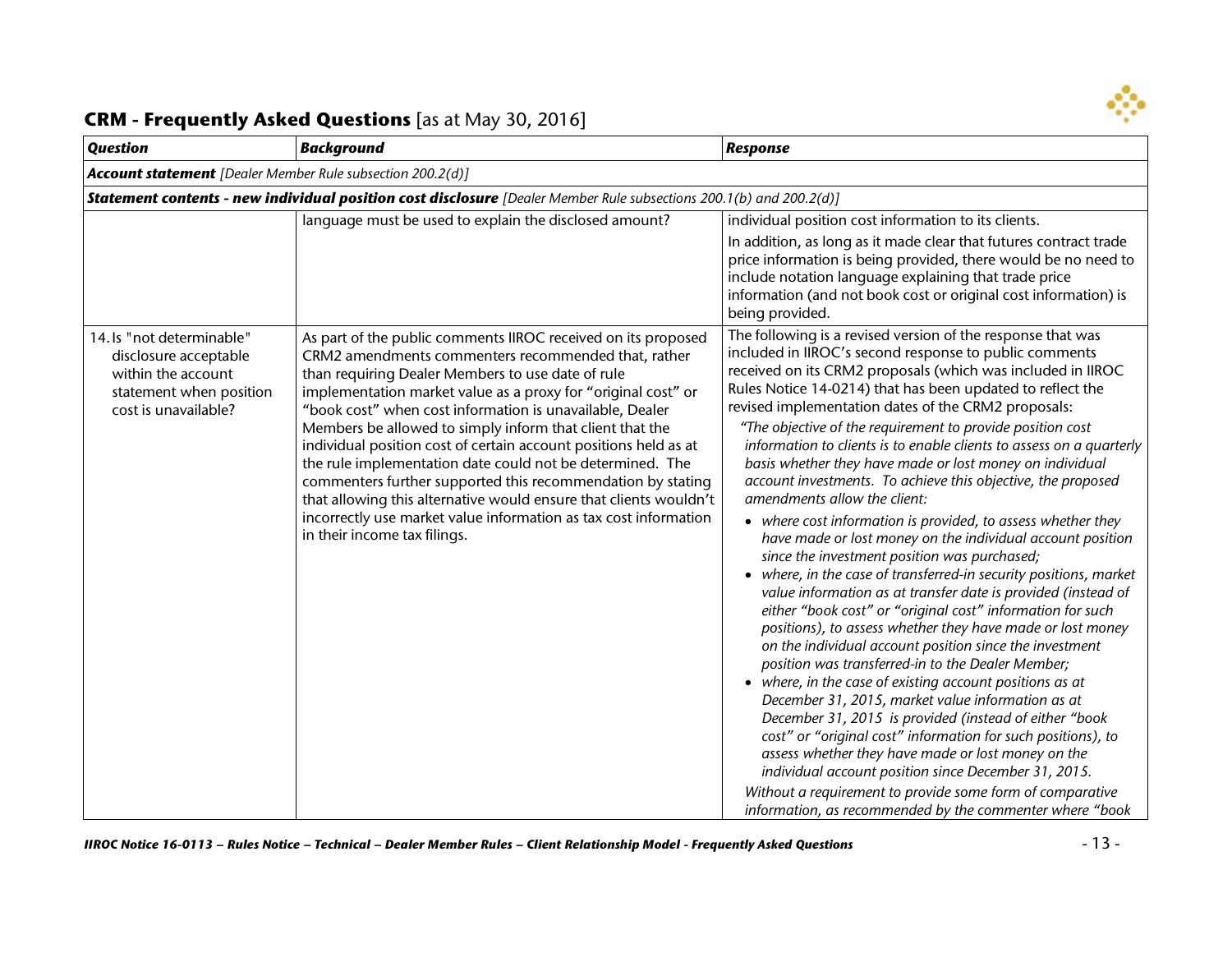

| <b>Question</b>                                                                                                             | <b>Background</b>                                                                                                                                                                                                                                                                                                                                                                                                                                                                                                                                                                                                                                                                                                                           | <b>Response</b>                                                                                                                                                                                                                                                                                                                                                                                                                                                                                                                                                                                                                                                                                                                                                                                                                                                                                                                                                                                                                                                                                                                                                                                                                                                                                                                                                                                                                                                                                                                                                                                                                                               |
|-----------------------------------------------------------------------------------------------------------------------------|---------------------------------------------------------------------------------------------------------------------------------------------------------------------------------------------------------------------------------------------------------------------------------------------------------------------------------------------------------------------------------------------------------------------------------------------------------------------------------------------------------------------------------------------------------------------------------------------------------------------------------------------------------------------------------------------------------------------------------------------|---------------------------------------------------------------------------------------------------------------------------------------------------------------------------------------------------------------------------------------------------------------------------------------------------------------------------------------------------------------------------------------------------------------------------------------------------------------------------------------------------------------------------------------------------------------------------------------------------------------------------------------------------------------------------------------------------------------------------------------------------------------------------------------------------------------------------------------------------------------------------------------------------------------------------------------------------------------------------------------------------------------------------------------------------------------------------------------------------------------------------------------------------------------------------------------------------------------------------------------------------------------------------------------------------------------------------------------------------------------------------------------------------------------------------------------------------------------------------------------------------------------------------------------------------------------------------------------------------------------------------------------------------------------|
| <b>Account statement</b> [Dealer Member Rule subsection 200.2(d)]                                                           |                                                                                                                                                                                                                                                                                                                                                                                                                                                                                                                                                                                                                                                                                                                                             |                                                                                                                                                                                                                                                                                                                                                                                                                                                                                                                                                                                                                                                                                                                                                                                                                                                                                                                                                                                                                                                                                                                                                                                                                                                                                                                                                                                                                                                                                                                                                                                                                                                               |
|                                                                                                                             | Statement contents - new individual position cost disclosure [Dealer Member Rule subsections 200.1(b) and 200.2(d)]                                                                                                                                                                                                                                                                                                                                                                                                                                                                                                                                                                                                                         |                                                                                                                                                                                                                                                                                                                                                                                                                                                                                                                                                                                                                                                                                                                                                                                                                                                                                                                                                                                                                                                                                                                                                                                                                                                                                                                                                                                                                                                                                                                                                                                                                                                               |
|                                                                                                                             | language must be used to explain the disclosed amount?                                                                                                                                                                                                                                                                                                                                                                                                                                                                                                                                                                                                                                                                                      | individual position cost information to its clients.<br>In addition, as long as it made clear that futures contract trade<br>price information is being provided, there would be no need to<br>include notation language explaining that trade price<br>information (and not book cost or original cost information) is<br>being provided.                                                                                                                                                                                                                                                                                                                                                                                                                                                                                                                                                                                                                                                                                                                                                                                                                                                                                                                                                                                                                                                                                                                                                                                                                                                                                                                    |
| 14. Is "not determinable"<br>disclosure acceptable<br>within the account<br>statement when position<br>cost is unavailable? | As part of the public comments IIROC received on its proposed<br>CRM2 amendments commenters recommended that, rather<br>than requiring Dealer Members to use date of rule<br>implementation market value as a proxy for "original cost" or<br>"book cost" when cost information is unavailable, Dealer<br>Members be allowed to simply inform that client that the<br>individual position cost of certain account positions held as at<br>the rule implementation date could not be determined. The<br>commenters further supported this recommendation by stating<br>that allowing this alternative would ensure that clients wouldn't<br>incorrectly use market value information as tax cost information<br>in their income tax filings. | The following is a revised version of the response that was<br>included in IIROC's second response to public comments<br>received on its CRM2 proposals (which was included in IIROC<br>Rules Notice 14-0214) that has been updated to reflect the<br>revised implementation dates of the CRM2 proposals:<br>"The objective of the requirement to provide position cost<br>information to clients is to enable clients to assess on a quarterly<br>basis whether they have made or lost money on individual<br>account investments. To achieve this objective, the proposed<br>amendments allow the client:<br>• where cost information is provided, to assess whether they<br>have made or lost money on the individual account position<br>since the investment position was purchased;<br>• where, in the case of transferred-in security positions, market<br>value information as at transfer date is provided (instead of<br>either "book cost" or "original cost" information for such<br>positions), to assess whether they have made or lost money<br>on the individual account position since the investment<br>position was transferred-in to the Dealer Member;<br>• where, in the case of existing account positions as at<br>December 31, 2015, market value information as at<br>December 31, 2015 is provided (instead of either "book<br>cost" or "original cost" information for such positions), to<br>assess whether they have made or lost money on the<br>individual account position since December 31, 2015.<br>Without a requirement to provide some form of comparative<br>information, as recommended by the commenter where "book |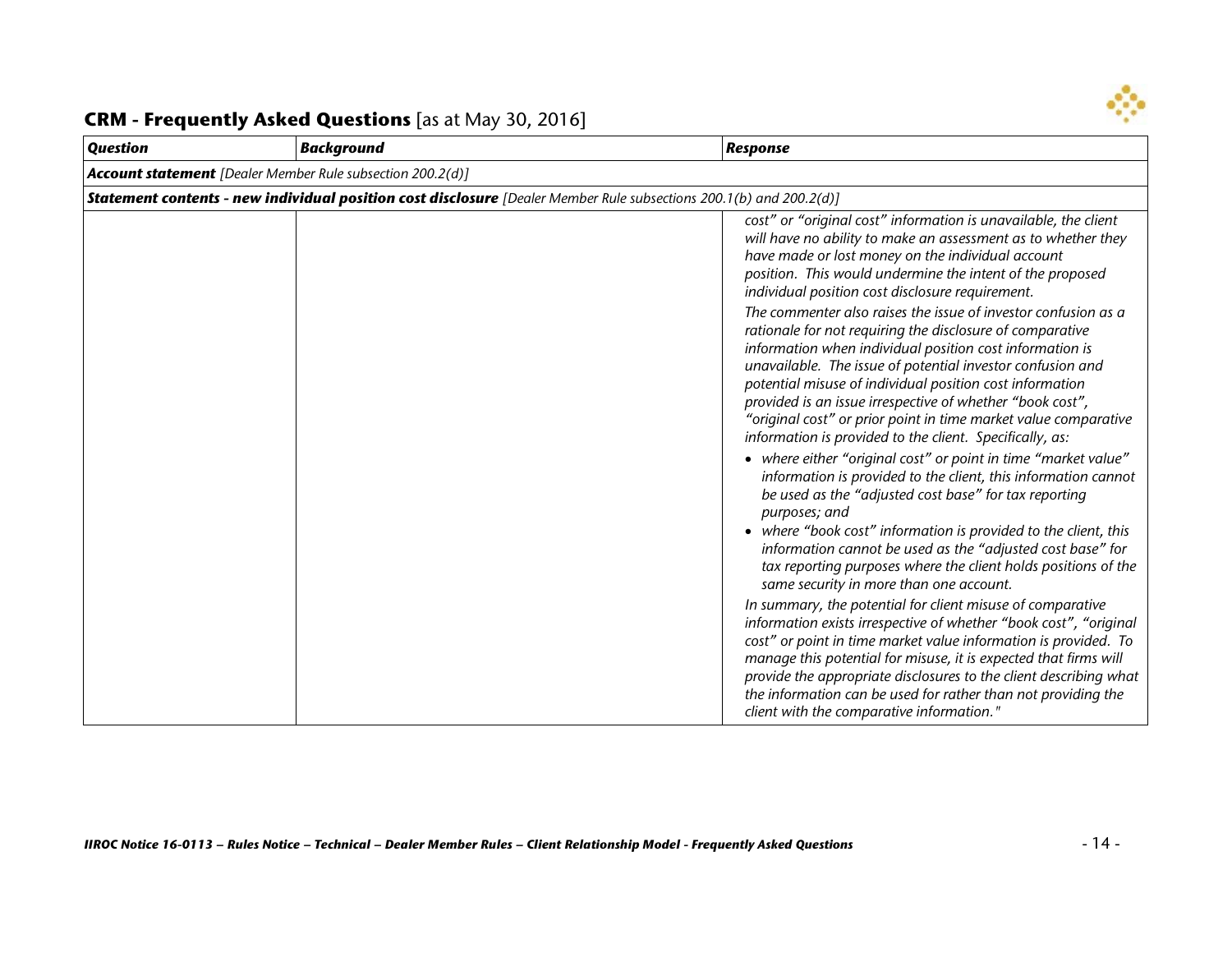

| <b>Question</b> | <b>Background</b>                                                                                                          | <b>Response</b>                                                                                                                                                                                                                                                                                                                                                                                                                                                                                               |
|-----------------|----------------------------------------------------------------------------------------------------------------------------|---------------------------------------------------------------------------------------------------------------------------------------------------------------------------------------------------------------------------------------------------------------------------------------------------------------------------------------------------------------------------------------------------------------------------------------------------------------------------------------------------------------|
|                 | <b>Account statement</b> [Dealer Member Rule subsection 200.2(d)]                                                          |                                                                                                                                                                                                                                                                                                                                                                                                                                                                                                               |
|                 | <b>Statement contents - new individual position cost disclosure</b> [Dealer Member Rule subsections 200.1(b) and 200.2(d)] |                                                                                                                                                                                                                                                                                                                                                                                                                                                                                                               |
|                 |                                                                                                                            | cost" or "original cost" information is unavailable, the client<br>will have no ability to make an assessment as to whether they<br>have made or lost money on the individual account<br>position. This would undermine the intent of the proposed<br>individual position cost disclosure requirement.                                                                                                                                                                                                        |
|                 |                                                                                                                            | The commenter also raises the issue of investor confusion as a<br>rationale for not requiring the disclosure of comparative<br>information when individual position cost information is<br>unavailable. The issue of potential investor confusion and<br>potential misuse of individual position cost information<br>provided is an issue irrespective of whether "book cost",<br>"original cost" or prior point in time market value comparative<br>information is provided to the client. Specifically, as: |
|                 |                                                                                                                            | • where either "original cost" or point in time "market value"<br>information is provided to the client, this information cannot<br>be used as the "adjusted cost base" for tax reporting<br>purposes; and<br>• where "book cost" information is provided to the client, this<br>information cannot be used as the "adjusted cost base" for<br>tax reporting purposes where the client holds positions of the<br>same security in more than one account.                                                      |
|                 |                                                                                                                            | In summary, the potential for client misuse of comparative<br>information exists irrespective of whether "book cost", "original<br>cost" or point in time market value information is provided. To<br>manage this potential for misuse, it is expected that firms will<br>provide the appropriate disclosures to the client describing what<br>the information can be used for rather than not providing the<br>client with the comparative information."                                                     |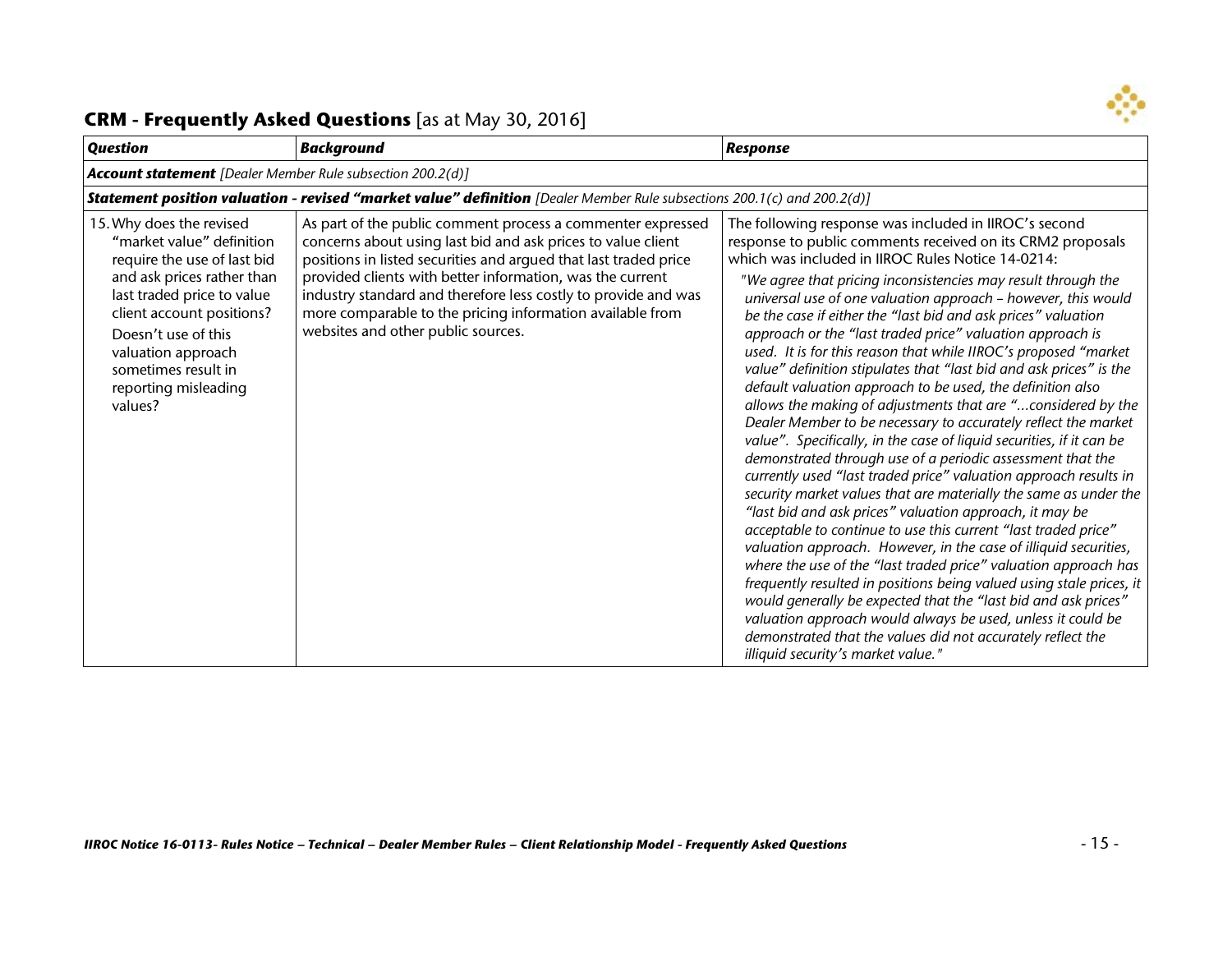

| <b>Question</b>                                                                                                                                                                                                                                                                      | <b>Background</b>                                                                                                                                                                                                                                                                                                                                                                                                                 | <b>Response</b>                                                                                                                                                                                                                                                                                                                                                                                                                                                                                                                                                                                                                                                                                                                                                                                                                                                                                                                                                                                                                                                                                                                                                                                                                                                                                                                                                                                                                                                                                                                                                                                                                                   |
|--------------------------------------------------------------------------------------------------------------------------------------------------------------------------------------------------------------------------------------------------------------------------------------|-----------------------------------------------------------------------------------------------------------------------------------------------------------------------------------------------------------------------------------------------------------------------------------------------------------------------------------------------------------------------------------------------------------------------------------|---------------------------------------------------------------------------------------------------------------------------------------------------------------------------------------------------------------------------------------------------------------------------------------------------------------------------------------------------------------------------------------------------------------------------------------------------------------------------------------------------------------------------------------------------------------------------------------------------------------------------------------------------------------------------------------------------------------------------------------------------------------------------------------------------------------------------------------------------------------------------------------------------------------------------------------------------------------------------------------------------------------------------------------------------------------------------------------------------------------------------------------------------------------------------------------------------------------------------------------------------------------------------------------------------------------------------------------------------------------------------------------------------------------------------------------------------------------------------------------------------------------------------------------------------------------------------------------------------------------------------------------------------|
| <b>Account statement</b> [Dealer Member Rule subsection 200.2(d)]                                                                                                                                                                                                                    |                                                                                                                                                                                                                                                                                                                                                                                                                                   |                                                                                                                                                                                                                                                                                                                                                                                                                                                                                                                                                                                                                                                                                                                                                                                                                                                                                                                                                                                                                                                                                                                                                                                                                                                                                                                                                                                                                                                                                                                                                                                                                                                   |
|                                                                                                                                                                                                                                                                                      | <b>Statement position valuation - revised "market value" definition</b> [Dealer Member Rule subsections 200.1(c) and 200.2(d)]                                                                                                                                                                                                                                                                                                    |                                                                                                                                                                                                                                                                                                                                                                                                                                                                                                                                                                                                                                                                                                                                                                                                                                                                                                                                                                                                                                                                                                                                                                                                                                                                                                                                                                                                                                                                                                                                                                                                                                                   |
| 15. Why does the revised<br>"market value" definition<br>require the use of last bid<br>and ask prices rather than<br>last traded price to value<br>client account positions?<br>Doesn't use of this<br>valuation approach<br>sometimes result in<br>reporting misleading<br>values? | As part of the public comment process a commenter expressed<br>concerns about using last bid and ask prices to value client<br>positions in listed securities and argued that last traded price<br>provided clients with better information, was the current<br>industry standard and therefore less costly to provide and was<br>more comparable to the pricing information available from<br>websites and other public sources. | The following response was included in IIROC's second<br>response to public comments received on its CRM2 proposals<br>which was included in IIROC Rules Notice 14-0214:<br>"We agree that pricing inconsistencies may result through the<br>universal use of one valuation approach - however, this would<br>be the case if either the "last bid and ask prices" valuation<br>approach or the "last traded price" valuation approach is<br>used. It is for this reason that while IIROC's proposed "market<br>value" definition stipulates that "last bid and ask prices" is the<br>default valuation approach to be used, the definition also<br>allows the making of adjustments that are "considered by the<br>Dealer Member to be necessary to accurately reflect the market<br>value". Specifically, in the case of liquid securities, if it can be<br>demonstrated through use of a periodic assessment that the<br>currently used "last traded price" valuation approach results in<br>security market values that are materially the same as under the<br>"last bid and ask prices" valuation approach, it may be<br>acceptable to continue to use this current "last traded price"<br>valuation approach. However, in the case of illiquid securities,<br>where the use of the "last traded price" valuation approach has<br>frequently resulted in positions being valued using stale prices, it<br>would generally be expected that the "last bid and ask prices"<br>valuation approach would always be used, unless it could be<br>demonstrated that the values did not accurately reflect the<br>illiquid security's market value." |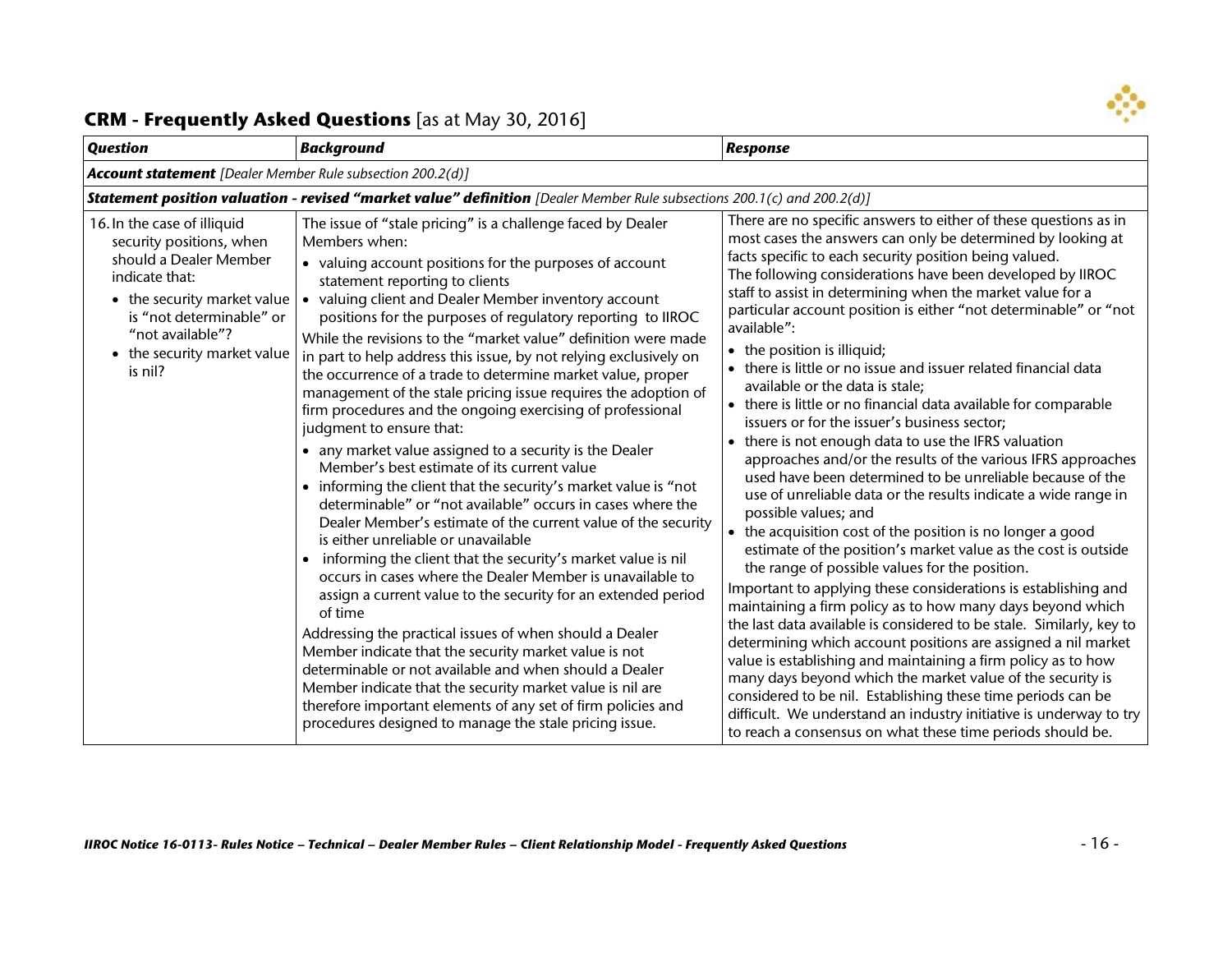

| <b>Question</b>                                                                                                                                                                                                              | <b>Background</b>                                                                                                                                                                                                                                                                                                                                                                                                                                                                                                                                                                                                                                                                                                                                                                                                                                                                                                                                                                                                                                                                                                                                                                                                                                                                                                                                                                                                                                                                                                                                                                                 | <b>Response</b>                                                                                                                                                                                                                                                                                                                                                                                                                                                                                                                                                                                                                                                                                                                                                                                                                                                                                                                                                                                                                                                                                                                                                                                                                                                                                                                                                                                                                                                                                                                                                                                                                                                                                                                            |
|------------------------------------------------------------------------------------------------------------------------------------------------------------------------------------------------------------------------------|---------------------------------------------------------------------------------------------------------------------------------------------------------------------------------------------------------------------------------------------------------------------------------------------------------------------------------------------------------------------------------------------------------------------------------------------------------------------------------------------------------------------------------------------------------------------------------------------------------------------------------------------------------------------------------------------------------------------------------------------------------------------------------------------------------------------------------------------------------------------------------------------------------------------------------------------------------------------------------------------------------------------------------------------------------------------------------------------------------------------------------------------------------------------------------------------------------------------------------------------------------------------------------------------------------------------------------------------------------------------------------------------------------------------------------------------------------------------------------------------------------------------------------------------------------------------------------------------------|--------------------------------------------------------------------------------------------------------------------------------------------------------------------------------------------------------------------------------------------------------------------------------------------------------------------------------------------------------------------------------------------------------------------------------------------------------------------------------------------------------------------------------------------------------------------------------------------------------------------------------------------------------------------------------------------------------------------------------------------------------------------------------------------------------------------------------------------------------------------------------------------------------------------------------------------------------------------------------------------------------------------------------------------------------------------------------------------------------------------------------------------------------------------------------------------------------------------------------------------------------------------------------------------------------------------------------------------------------------------------------------------------------------------------------------------------------------------------------------------------------------------------------------------------------------------------------------------------------------------------------------------------------------------------------------------------------------------------------------------|
| <b>Account statement</b> [Dealer Member Rule subsection 200.2(d)]                                                                                                                                                            |                                                                                                                                                                                                                                                                                                                                                                                                                                                                                                                                                                                                                                                                                                                                                                                                                                                                                                                                                                                                                                                                                                                                                                                                                                                                                                                                                                                                                                                                                                                                                                                                   |                                                                                                                                                                                                                                                                                                                                                                                                                                                                                                                                                                                                                                                                                                                                                                                                                                                                                                                                                                                                                                                                                                                                                                                                                                                                                                                                                                                                                                                                                                                                                                                                                                                                                                                                            |
|                                                                                                                                                                                                                              | Statement position valuation - revised "market value" definition [Dealer Member Rule subsections 200.1(c) and 200.2(d)]                                                                                                                                                                                                                                                                                                                                                                                                                                                                                                                                                                                                                                                                                                                                                                                                                                                                                                                                                                                                                                                                                                                                                                                                                                                                                                                                                                                                                                                                           |                                                                                                                                                                                                                                                                                                                                                                                                                                                                                                                                                                                                                                                                                                                                                                                                                                                                                                                                                                                                                                                                                                                                                                                                                                                                                                                                                                                                                                                                                                                                                                                                                                                                                                                                            |
| 16. In the case of illiquid<br>security positions, when<br>should a Dealer Member<br>indicate that:<br>• the security market value<br>is "not determinable" or<br>"not available"?<br>• the security market value<br>is nil? | The issue of "stale pricing" is a challenge faced by Dealer<br>Members when:<br>• valuing account positions for the purposes of account<br>statement reporting to clients<br>• valuing client and Dealer Member inventory account<br>positions for the purposes of regulatory reporting to IIROC<br>While the revisions to the "market value" definition were made<br>in part to help address this issue, by not relying exclusively on<br>the occurrence of a trade to determine market value, proper<br>management of the stale pricing issue requires the adoption of<br>firm procedures and the ongoing exercising of professional<br>judgment to ensure that:<br>• any market value assigned to a security is the Dealer<br>Member's best estimate of its current value<br>informing the client that the security's market value is "not<br>determinable" or "not available" occurs in cases where the<br>Dealer Member's estimate of the current value of the security<br>is either unreliable or unavailable<br>informing the client that the security's market value is nil<br>occurs in cases where the Dealer Member is unavailable to<br>assign a current value to the security for an extended period<br>of time<br>Addressing the practical issues of when should a Dealer<br>Member indicate that the security market value is not<br>determinable or not available and when should a Dealer<br>Member indicate that the security market value is nil are<br>therefore important elements of any set of firm policies and<br>procedures designed to manage the stale pricing issue. | There are no specific answers to either of these questions as in<br>most cases the answers can only be determined by looking at<br>facts specific to each security position being valued.<br>The following considerations have been developed by IIROC<br>staff to assist in determining when the market value for a<br>particular account position is either "not determinable" or "not<br>available":<br>• the position is illiquid;<br>• there is little or no issue and issuer related financial data<br>available or the data is stale;<br>• there is little or no financial data available for comparable<br>issuers or for the issuer's business sector;<br>there is not enough data to use the IFRS valuation<br>approaches and/or the results of the various IFRS approaches<br>used have been determined to be unreliable because of the<br>use of unreliable data or the results indicate a wide range in<br>possible values; and<br>• the acquisition cost of the position is no longer a good<br>estimate of the position's market value as the cost is outside<br>the range of possible values for the position.<br>Important to applying these considerations is establishing and<br>maintaining a firm policy as to how many days beyond which<br>the last data available is considered to be stale. Similarly, key to<br>determining which account positions are assigned a nil market<br>value is establishing and maintaining a firm policy as to how<br>many days beyond which the market value of the security is<br>considered to be nil. Establishing these time periods can be<br>difficult. We understand an industry initiative is underway to try<br>to reach a consensus on what these time periods should be. |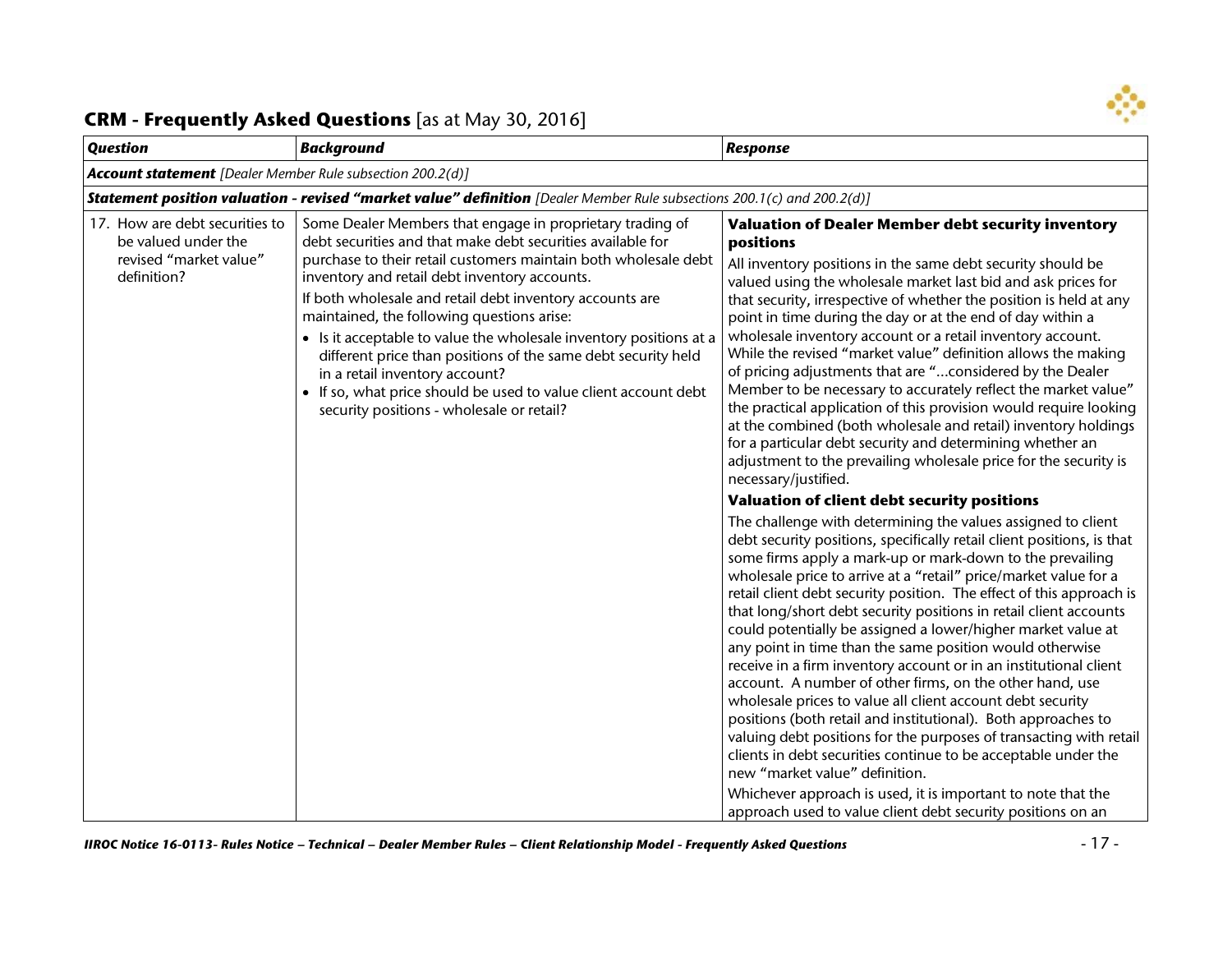

| <b>Question</b>                                                                                | <b>Background</b>                                                                                                                                                                                                                                                                                                                                                                                                                                                                                                                                                                                                                               | <b>Response</b>                                                                                                                                                                                                                                                                                                                                                                                                                                                                                                                                                                                                                                                                                                                                                                                                                                                                                                                                                                                                                                                                                                                                                                                                                                                                                                                                                                                                                                                                                                                                                                                                                                                                                                                                                                                                                                                                                                                                                                                                                                                                      |
|------------------------------------------------------------------------------------------------|-------------------------------------------------------------------------------------------------------------------------------------------------------------------------------------------------------------------------------------------------------------------------------------------------------------------------------------------------------------------------------------------------------------------------------------------------------------------------------------------------------------------------------------------------------------------------------------------------------------------------------------------------|--------------------------------------------------------------------------------------------------------------------------------------------------------------------------------------------------------------------------------------------------------------------------------------------------------------------------------------------------------------------------------------------------------------------------------------------------------------------------------------------------------------------------------------------------------------------------------------------------------------------------------------------------------------------------------------------------------------------------------------------------------------------------------------------------------------------------------------------------------------------------------------------------------------------------------------------------------------------------------------------------------------------------------------------------------------------------------------------------------------------------------------------------------------------------------------------------------------------------------------------------------------------------------------------------------------------------------------------------------------------------------------------------------------------------------------------------------------------------------------------------------------------------------------------------------------------------------------------------------------------------------------------------------------------------------------------------------------------------------------------------------------------------------------------------------------------------------------------------------------------------------------------------------------------------------------------------------------------------------------------------------------------------------------------------------------------------------------|
| <b>Account statement</b> [Dealer Member Rule subsection 200.2(d)]                              |                                                                                                                                                                                                                                                                                                                                                                                                                                                                                                                                                                                                                                                 |                                                                                                                                                                                                                                                                                                                                                                                                                                                                                                                                                                                                                                                                                                                                                                                                                                                                                                                                                                                                                                                                                                                                                                                                                                                                                                                                                                                                                                                                                                                                                                                                                                                                                                                                                                                                                                                                                                                                                                                                                                                                                      |
|                                                                                                | <b>Statement position valuation - revised "market value" definition</b> [Dealer Member Rule subsections 200.1(c) and 200.2(d)]                                                                                                                                                                                                                                                                                                                                                                                                                                                                                                                  |                                                                                                                                                                                                                                                                                                                                                                                                                                                                                                                                                                                                                                                                                                                                                                                                                                                                                                                                                                                                                                                                                                                                                                                                                                                                                                                                                                                                                                                                                                                                                                                                                                                                                                                                                                                                                                                                                                                                                                                                                                                                                      |
| 17. How are debt securities to<br>be valued under the<br>revised "market value"<br>definition? | Some Dealer Members that engage in proprietary trading of<br>debt securities and that make debt securities available for<br>purchase to their retail customers maintain both wholesale debt<br>inventory and retail debt inventory accounts.<br>If both wholesale and retail debt inventory accounts are<br>maintained, the following questions arise:<br>• Is it acceptable to value the wholesale inventory positions at a<br>different price than positions of the same debt security held<br>in a retail inventory account?<br>• If so, what price should be used to value client account debt<br>security positions - wholesale or retail? | <b>Valuation of Dealer Member debt security inventory</b><br>positions<br>All inventory positions in the same debt security should be<br>valued using the wholesale market last bid and ask prices for<br>that security, irrespective of whether the position is held at any<br>point in time during the day or at the end of day within a<br>wholesale inventory account or a retail inventory account.<br>While the revised "market value" definition allows the making<br>of pricing adjustments that are "considered by the Dealer<br>Member to be necessary to accurately reflect the market value"<br>the practical application of this provision would require looking<br>at the combined (both wholesale and retail) inventory holdings<br>for a particular debt security and determining whether an<br>adjustment to the prevailing wholesale price for the security is<br>necessary/justified.<br>Valuation of client debt security positions<br>The challenge with determining the values assigned to client<br>debt security positions, specifically retail client positions, is that<br>some firms apply a mark-up or mark-down to the prevailing<br>wholesale price to arrive at a "retail" price/market value for a<br>retail client debt security position. The effect of this approach is<br>that long/short debt security positions in retail client accounts<br>could potentially be assigned a lower/higher market value at<br>any point in time than the same position would otherwise<br>receive in a firm inventory account or in an institutional client<br>account. A number of other firms, on the other hand, use<br>wholesale prices to value all client account debt security<br>positions (both retail and institutional). Both approaches to<br>valuing debt positions for the purposes of transacting with retail<br>clients in debt securities continue to be acceptable under the<br>new "market value" definition.<br>Whichever approach is used, it is important to note that the<br>approach used to value client debt security positions on an |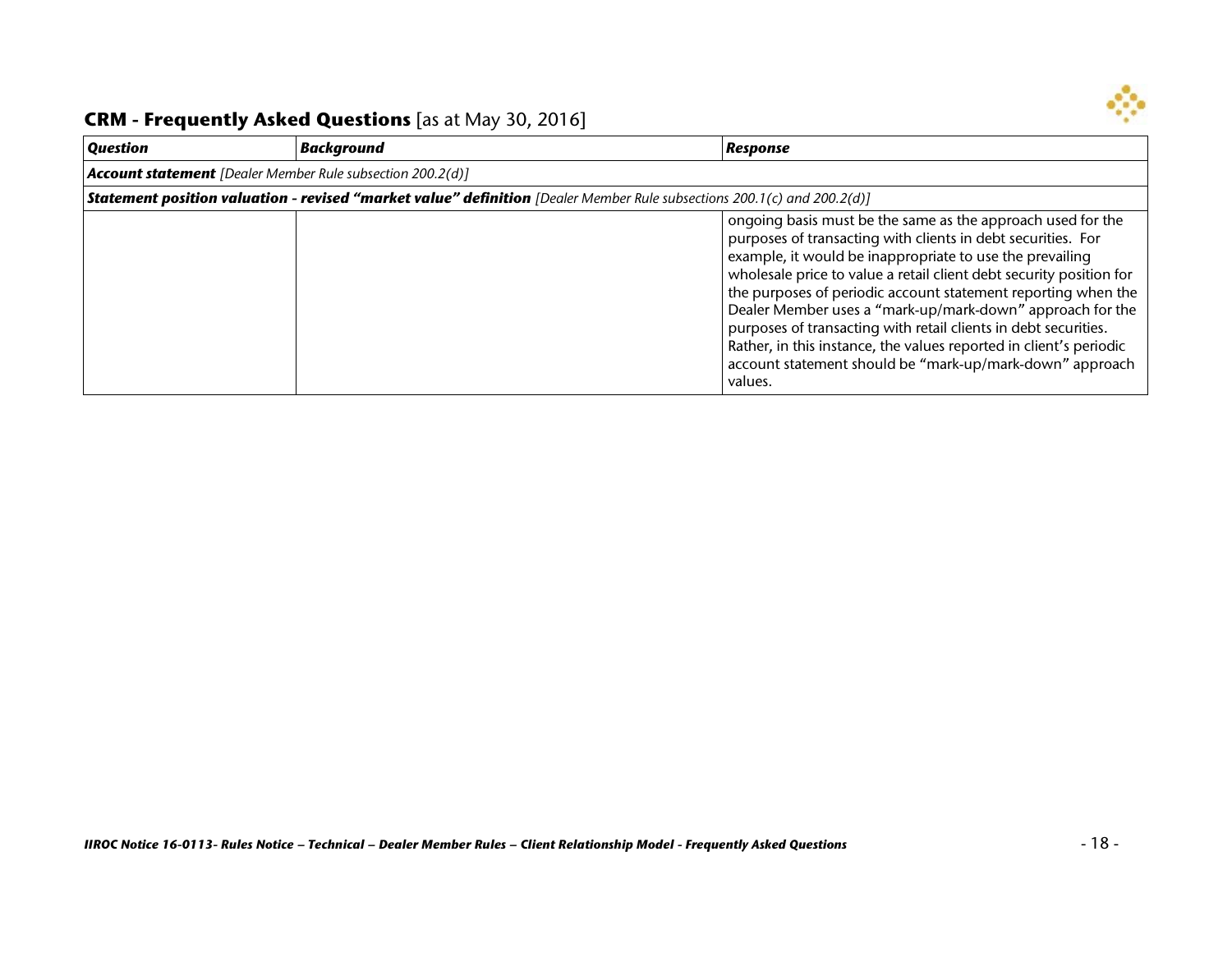

| <b>Question</b>                                                   | <b>Background</b>                                                                                                              | Response                                                                                                                                                                                                                                                                                                                                                                                                                                                                                                                                                                                                     |
|-------------------------------------------------------------------|--------------------------------------------------------------------------------------------------------------------------------|--------------------------------------------------------------------------------------------------------------------------------------------------------------------------------------------------------------------------------------------------------------------------------------------------------------------------------------------------------------------------------------------------------------------------------------------------------------------------------------------------------------------------------------------------------------------------------------------------------------|
| <b>Account statement</b> [Dealer Member Rule subsection 200.2(d)] |                                                                                                                                |                                                                                                                                                                                                                                                                                                                                                                                                                                                                                                                                                                                                              |
|                                                                   | <b>Statement position valuation - revised "market value" definition</b> [Dealer Member Rule subsections 200.1(c) and 200.2(d)] |                                                                                                                                                                                                                                                                                                                                                                                                                                                                                                                                                                                                              |
|                                                                   |                                                                                                                                | ongoing basis must be the same as the approach used for the<br>purposes of transacting with clients in debt securities. For<br>example, it would be inappropriate to use the prevailing<br>wholesale price to value a retail client debt security position for<br>the purposes of periodic account statement reporting when the<br>Dealer Member uses a "mark-up/mark-down" approach for the<br>purposes of transacting with retail clients in debt securities.<br>Rather, in this instance, the values reported in client's periodic<br>account statement should be "mark-up/mark-down" approach<br>values. |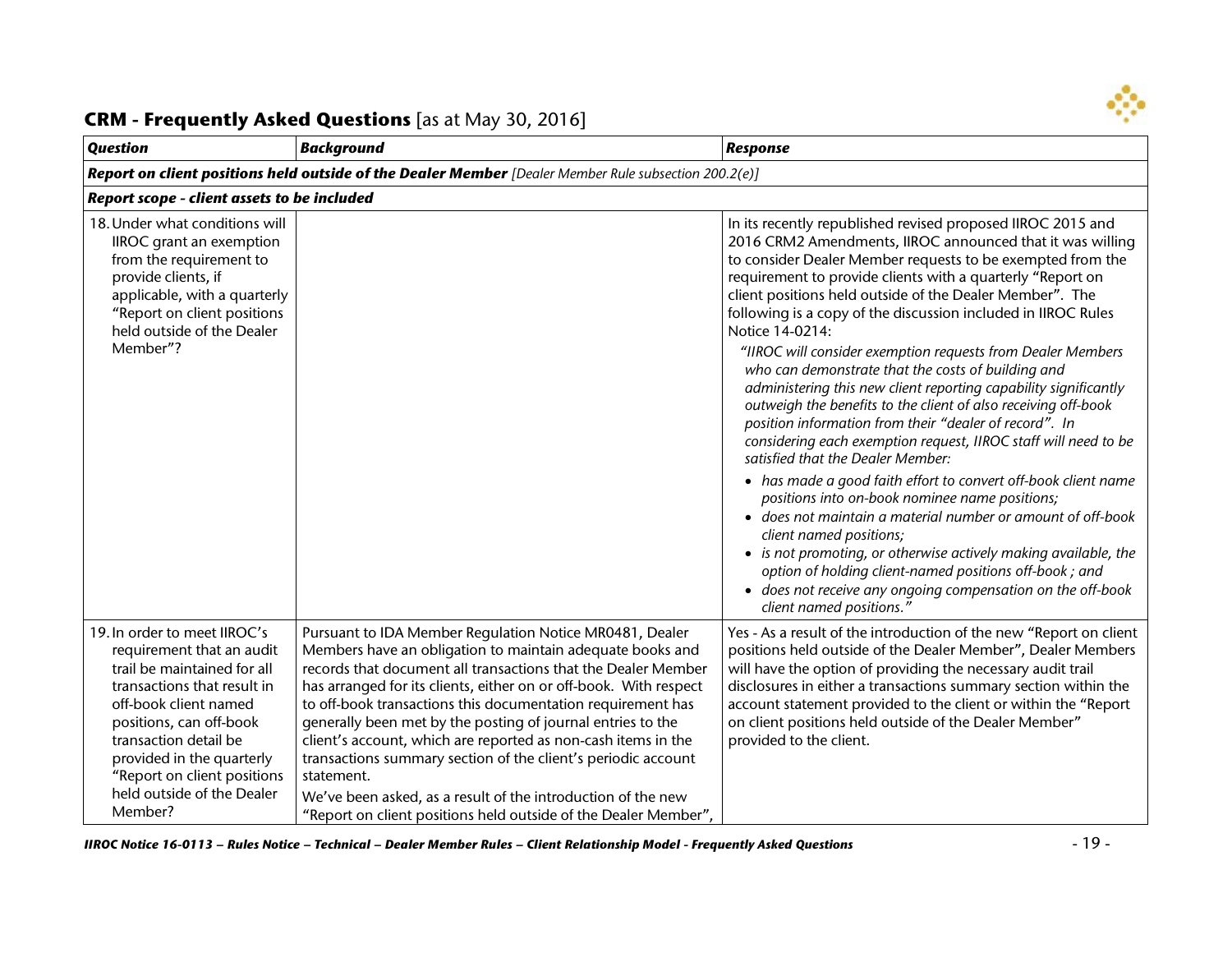

#### *Question Background Response Report on client positions held outside of the Dealer Member [Dealer Member Rule subsection 200.2(e)] Report scope - client assets to be included* 18.Under what conditions will IIROC grant an exemption from the requirement to provide clients, if applicable, with a quarterly "Report on client positions held outside of the Dealer Member"? In its recently republished revised proposed IIROC 2015 and 2016 CRM2 Amendments, IIROC announced that it was willing to consider Dealer Member requests to be exempted from the requirement to provide clients with a quarterly "Report on client positions held outside of the Dealer Member". The following is a copy of the discussion included in IIROC Rules Notice 14-0214: *"IIROC will consider exemption requests from Dealer Members who can demonstrate that the costs of building and administering this new client reporting capability significantly outweigh the benefits to the client of also receiving off-book position information from their "dealer of record". In considering each exemption request, IIROC staff will need to be satisfied that the Dealer Member:* • *has made a good faith effort to convert off-book client name positions into on-book nominee name positions;* • *does not maintain a material number or amount of off-book client named positions;* • *is not promoting, or otherwise actively making available, the option of holding client-named positions off-book ; and* • *does not receive any ongoing compensation on the off-book client named positions."* 19.In order to meet IIROC's requirement that an audit trail be maintained for all transactions that result in off-book client named positions, can off-book transaction detail be provided in the quarterly "Report on client positions held outside of the Dealer Member? Pursuant to IDA Member Regulation Notice MR0481, Dealer Members have an obligation to maintain adequate books and records that document all transactions that the Dealer Member has arranged for its clients, either on or off-book. With respect to off-book transactions this documentation requirement has generally been met by the posting of journal entries to the client's account, which are reported as non-cash items in the transactions summary section of the client's periodic account statement. We've been asked, as a result of the introduction of the new "Report on client positions held outside of the Dealer Member", Yes - As a result of the introduction of the new "Report on client positions held outside of the Dealer Member", Dealer Members will have the option of providing the necessary audit trail disclosures in either a transactions summary section within the account statement provided to the client or within the "Report on client positions held outside of the Dealer Member" provided to the client.

#### **CRM - Frequently Asked Questions** [as at May 30, 2016]

*IIROC Notice 16-0113 – Rules Notice – Technical – Dealer Member Rules – Client Relationship Model - Frequently Asked Questions* - 19 -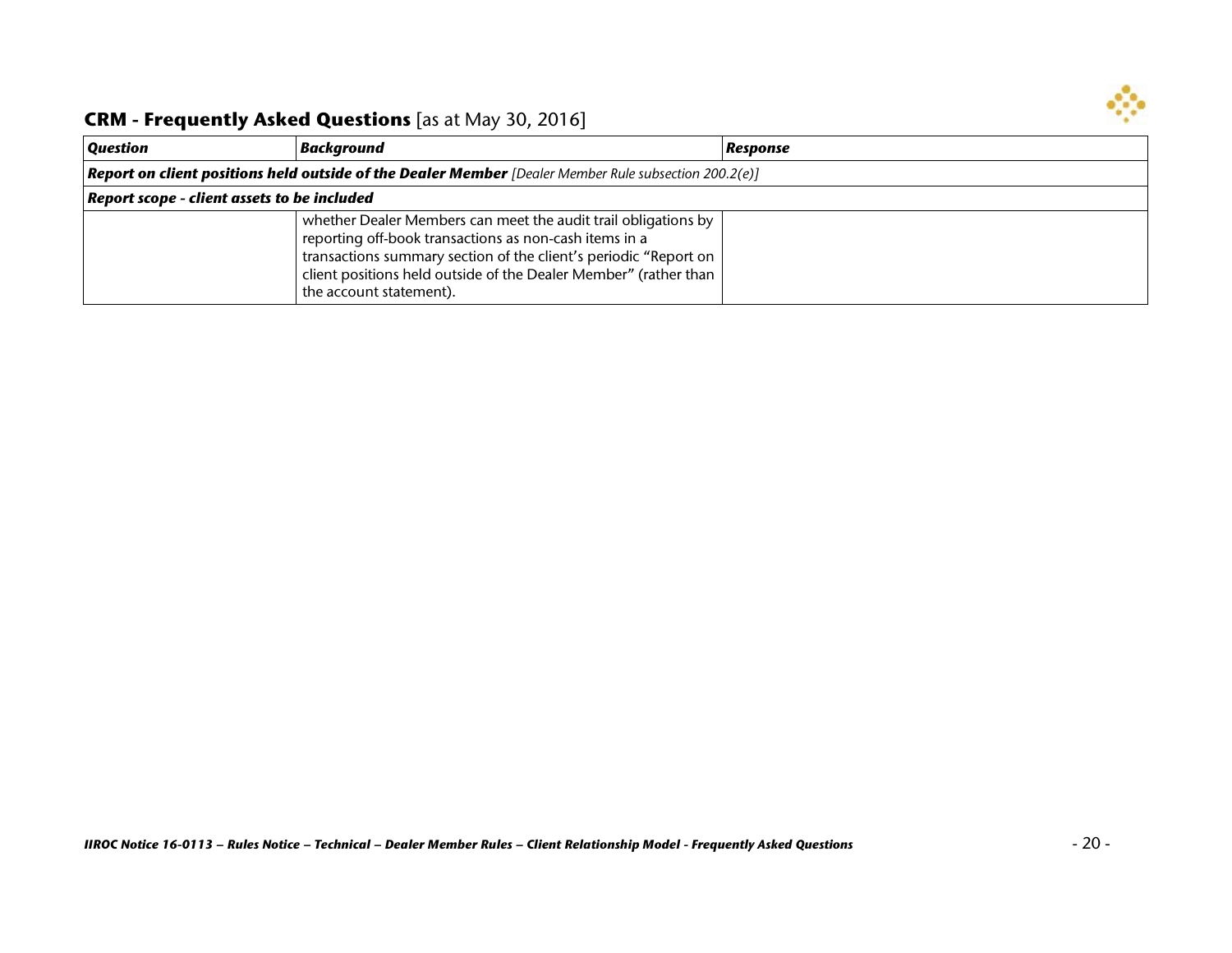

| <b>Question</b>                             | Background                                                                                                                                                                                                                                                                                  | Response |
|---------------------------------------------|---------------------------------------------------------------------------------------------------------------------------------------------------------------------------------------------------------------------------------------------------------------------------------------------|----------|
|                                             | <b>Report on client positions held outside of the Dealer Member</b> [Dealer Member Rule subsection 200.2(e)]                                                                                                                                                                                |          |
| Report scope - client assets to be included |                                                                                                                                                                                                                                                                                             |          |
|                                             | whether Dealer Members can meet the audit trail obligations by<br>reporting off-book transactions as non-cash items in a<br>transactions summary section of the client's periodic "Report on<br>client positions held outside of the Dealer Member" (rather than<br>the account statement). |          |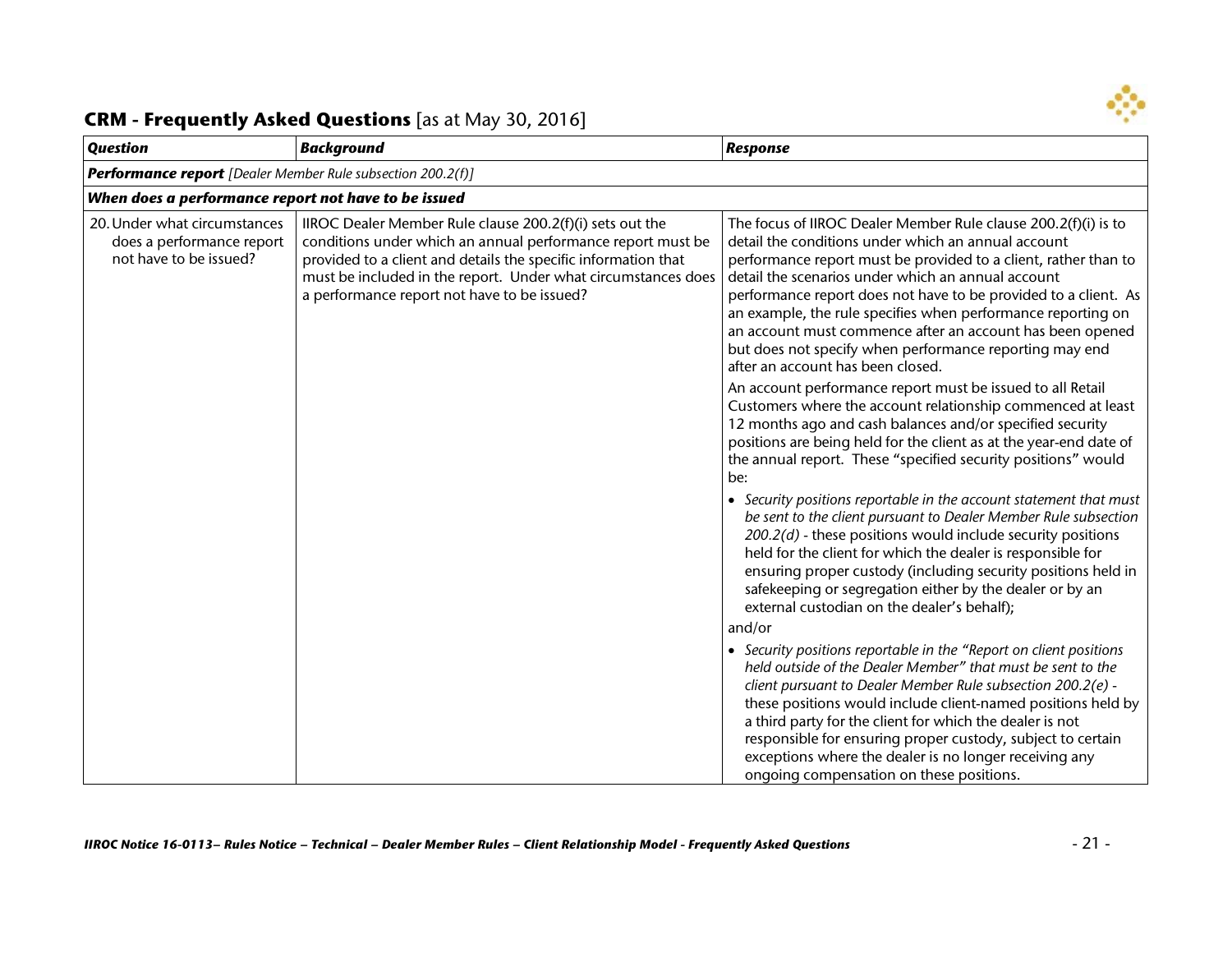

| <b>Background</b>                                                                                                                                                                                                                                                                                         | <b>Response</b>                                                                                                                                                                                                                                                                                                                                                                                                                                                                                                                                                                                                                                                                                                                                                                                                                                                                                                                                                                                                                                                                                                                                                                                                                                                                                                                                                                                                                                                                                                                                                                                                                                                                       |  |
|-----------------------------------------------------------------------------------------------------------------------------------------------------------------------------------------------------------------------------------------------------------------------------------------------------------|---------------------------------------------------------------------------------------------------------------------------------------------------------------------------------------------------------------------------------------------------------------------------------------------------------------------------------------------------------------------------------------------------------------------------------------------------------------------------------------------------------------------------------------------------------------------------------------------------------------------------------------------------------------------------------------------------------------------------------------------------------------------------------------------------------------------------------------------------------------------------------------------------------------------------------------------------------------------------------------------------------------------------------------------------------------------------------------------------------------------------------------------------------------------------------------------------------------------------------------------------------------------------------------------------------------------------------------------------------------------------------------------------------------------------------------------------------------------------------------------------------------------------------------------------------------------------------------------------------------------------------------------------------------------------------------|--|
| <b>Performance report</b> [Dealer Member Rule subsection 200.2(f)]                                                                                                                                                                                                                                        |                                                                                                                                                                                                                                                                                                                                                                                                                                                                                                                                                                                                                                                                                                                                                                                                                                                                                                                                                                                                                                                                                                                                                                                                                                                                                                                                                                                                                                                                                                                                                                                                                                                                                       |  |
| When does a performance report not have to be issued                                                                                                                                                                                                                                                      |                                                                                                                                                                                                                                                                                                                                                                                                                                                                                                                                                                                                                                                                                                                                                                                                                                                                                                                                                                                                                                                                                                                                                                                                                                                                                                                                                                                                                                                                                                                                                                                                                                                                                       |  |
| IIROC Dealer Member Rule clause 200.2(f)(i) sets out the<br>conditions under which an annual performance report must be<br>provided to a client and details the specific information that<br>must be included in the report. Under what circumstances does<br>a performance report not have to be issued? | The focus of IIROC Dealer Member Rule clause 200.2(f)(i) is to<br>detail the conditions under which an annual account<br>performance report must be provided to a client, rather than to<br>detail the scenarios under which an annual account<br>performance report does not have to be provided to a client. As<br>an example, the rule specifies when performance reporting on<br>an account must commence after an account has been opened<br>but does not specify when performance reporting may end<br>after an account has been closed.<br>An account performance report must be issued to all Retail<br>Customers where the account relationship commenced at least<br>12 months ago and cash balances and/or specified security<br>positions are being held for the client as at the year-end date of<br>the annual report. These "specified security positions" would<br>be:<br>• Security positions reportable in the account statement that must<br>be sent to the client pursuant to Dealer Member Rule subsection<br>$200.2(d)$ - these positions would include security positions<br>held for the client for which the dealer is responsible for<br>ensuring proper custody (including security positions held in<br>safekeeping or segregation either by the dealer or by an<br>external custodian on the dealer's behalf);<br>and/or<br>• Security positions reportable in the "Report on client positions<br>held outside of the Dealer Member" that must be sent to the<br>client pursuant to Dealer Member Rule subsection 200.2(e) -<br>these positions would include client-named positions held by<br>a third party for the client for which the dealer is not |  |
|                                                                                                                                                                                                                                                                                                           |                                                                                                                                                                                                                                                                                                                                                                                                                                                                                                                                                                                                                                                                                                                                                                                                                                                                                                                                                                                                                                                                                                                                                                                                                                                                                                                                                                                                                                                                                                                                                                                                                                                                                       |  |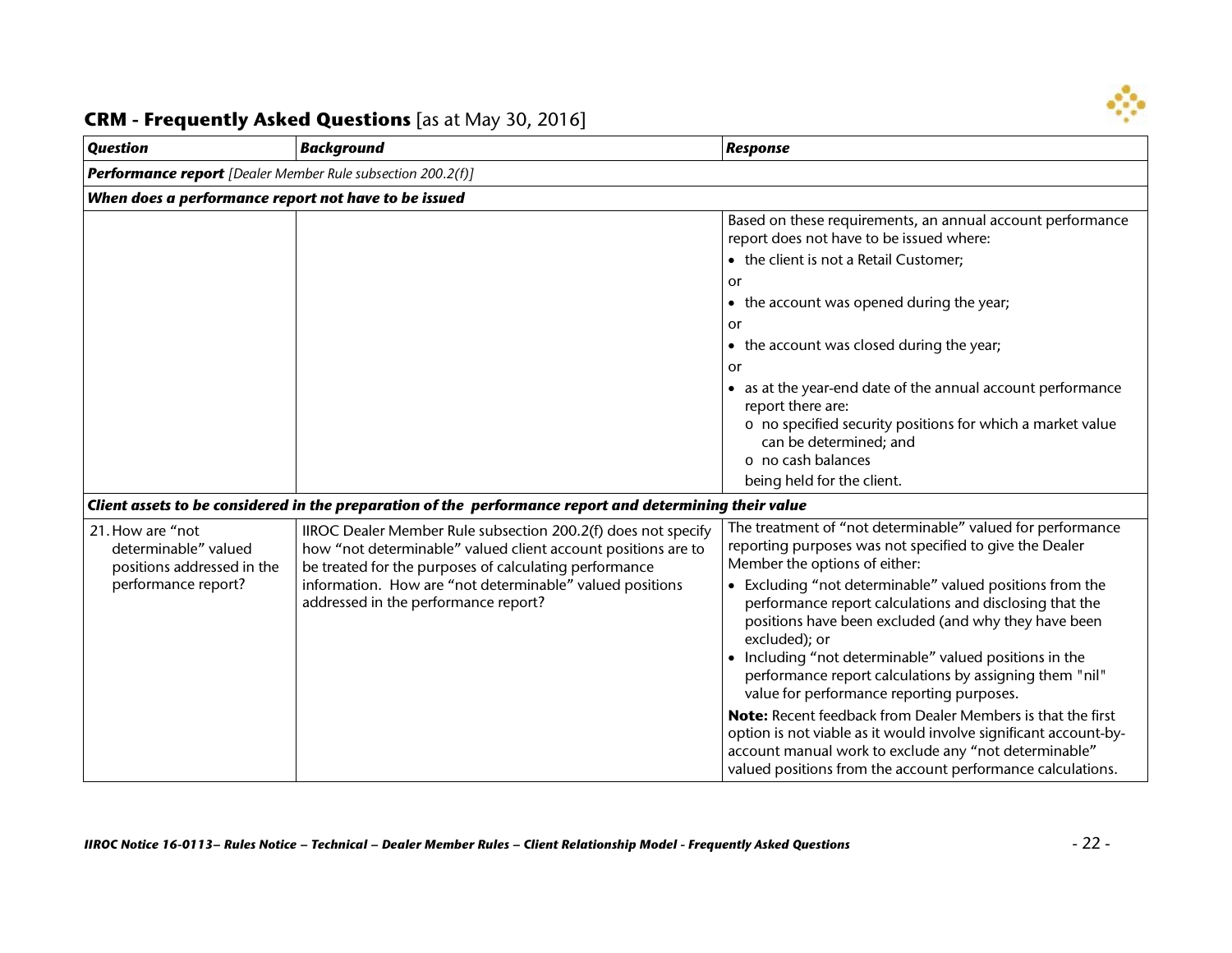

| <b>Question</b>                                                                               | <b>Background</b>                                                                                                                                                                                                                                                                            | Response                                                                                                                                                                                                                                                                                                                                                                                                                                                                                                                                                                                                                                                                                                                                                                            |
|-----------------------------------------------------------------------------------------------|----------------------------------------------------------------------------------------------------------------------------------------------------------------------------------------------------------------------------------------------------------------------------------------------|-------------------------------------------------------------------------------------------------------------------------------------------------------------------------------------------------------------------------------------------------------------------------------------------------------------------------------------------------------------------------------------------------------------------------------------------------------------------------------------------------------------------------------------------------------------------------------------------------------------------------------------------------------------------------------------------------------------------------------------------------------------------------------------|
| <b>Performance report</b> [Dealer Member Rule subsection 200.2(f)]                            |                                                                                                                                                                                                                                                                                              |                                                                                                                                                                                                                                                                                                                                                                                                                                                                                                                                                                                                                                                                                                                                                                                     |
| When does a performance report not have to be issued                                          |                                                                                                                                                                                                                                                                                              |                                                                                                                                                                                                                                                                                                                                                                                                                                                                                                                                                                                                                                                                                                                                                                                     |
|                                                                                               |                                                                                                                                                                                                                                                                                              | Based on these requirements, an annual account performance<br>report does not have to be issued where:                                                                                                                                                                                                                                                                                                                                                                                                                                                                                                                                                                                                                                                                              |
|                                                                                               |                                                                                                                                                                                                                                                                                              | • the client is not a Retail Customer;                                                                                                                                                                                                                                                                                                                                                                                                                                                                                                                                                                                                                                                                                                                                              |
|                                                                                               |                                                                                                                                                                                                                                                                                              | or                                                                                                                                                                                                                                                                                                                                                                                                                                                                                                                                                                                                                                                                                                                                                                                  |
|                                                                                               |                                                                                                                                                                                                                                                                                              | • the account was opened during the year;                                                                                                                                                                                                                                                                                                                                                                                                                                                                                                                                                                                                                                                                                                                                           |
|                                                                                               |                                                                                                                                                                                                                                                                                              | or                                                                                                                                                                                                                                                                                                                                                                                                                                                                                                                                                                                                                                                                                                                                                                                  |
|                                                                                               |                                                                                                                                                                                                                                                                                              | • the account was closed during the year;                                                                                                                                                                                                                                                                                                                                                                                                                                                                                                                                                                                                                                                                                                                                           |
|                                                                                               |                                                                                                                                                                                                                                                                                              | or                                                                                                                                                                                                                                                                                                                                                                                                                                                                                                                                                                                                                                                                                                                                                                                  |
|                                                                                               |                                                                                                                                                                                                                                                                                              | • as at the year-end date of the annual account performance<br>report there are:<br>o no specified security positions for which a market value<br>can be determined; and<br>o no cash balances<br>being held for the client.                                                                                                                                                                                                                                                                                                                                                                                                                                                                                                                                                        |
|                                                                                               | Client assets to be considered in the preparation of the performance report and determining their value                                                                                                                                                                                      |                                                                                                                                                                                                                                                                                                                                                                                                                                                                                                                                                                                                                                                                                                                                                                                     |
| 21. How are "not<br>determinable" valued<br>positions addressed in the<br>performance report? | IIROC Dealer Member Rule subsection 200.2(f) does not specify<br>how "not determinable" valued client account positions are to<br>be treated for the purposes of calculating performance<br>information. How are "not determinable" valued positions<br>addressed in the performance report? | The treatment of "not determinable" valued for performance<br>reporting purposes was not specified to give the Dealer<br>Member the options of either:<br>• Excluding "not determinable" valued positions from the<br>performance report calculations and disclosing that the<br>positions have been excluded (and why they have been<br>excluded); or<br>• Including "not determinable" valued positions in the<br>performance report calculations by assigning them "nil"<br>value for performance reporting purposes.<br>Note: Recent feedback from Dealer Members is that the first<br>option is not viable as it would involve significant account-by-<br>account manual work to exclude any "not determinable"<br>valued positions from the account performance calculations. |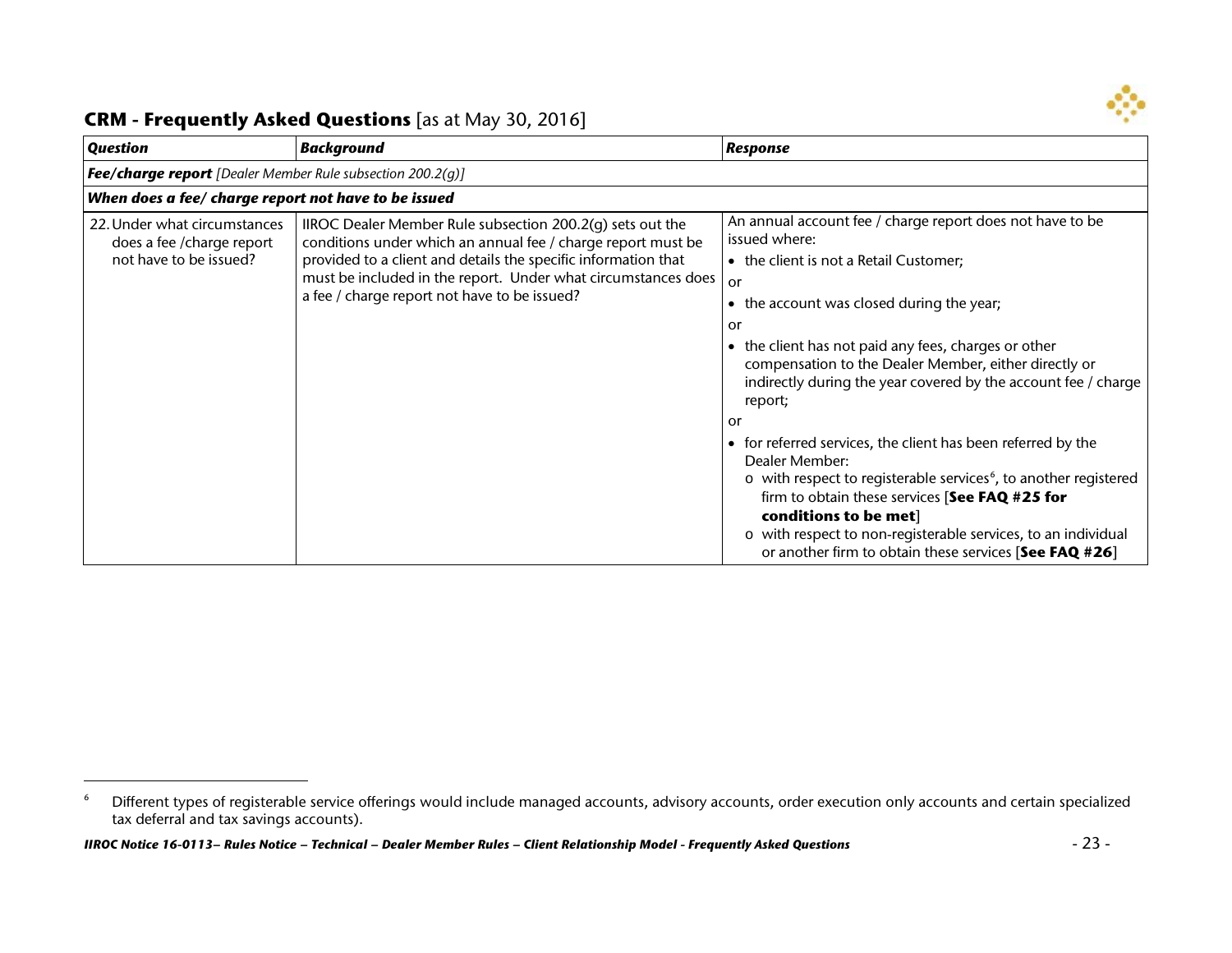<span id="page-22-0"></span>

 $\overline{a}$ 

| <b>Question</b>                                                                      | <b>Background</b>                                                                                                                                                                                                                                                                                            | Response                                                                                                                                                                                                                                                                                                              |  |
|--------------------------------------------------------------------------------------|--------------------------------------------------------------------------------------------------------------------------------------------------------------------------------------------------------------------------------------------------------------------------------------------------------------|-----------------------------------------------------------------------------------------------------------------------------------------------------------------------------------------------------------------------------------------------------------------------------------------------------------------------|--|
|                                                                                      | <b>Fee/charge report</b> [Dealer Member Rule subsection 200.2(g)]                                                                                                                                                                                                                                            |                                                                                                                                                                                                                                                                                                                       |  |
| When does a fee/ charge report not have to be issued                                 |                                                                                                                                                                                                                                                                                                              |                                                                                                                                                                                                                                                                                                                       |  |
| 22. Under what circumstances<br>does a fee / charge report<br>not have to be issued? | IIROC Dealer Member Rule subsection 200.2(q) sets out the<br>conditions under which an annual fee / charge report must be<br>provided to a client and details the specific information that<br>must be included in the report. Under what circumstances does<br>a fee / charge report not have to be issued? | An annual account fee / charge report does not have to be<br>issued where:<br>• the client is not a Retail Customer;<br>or<br>the account was closed during the year;<br>$\bullet$<br>or<br>the client has not paid any fees, charges or other<br>$\bullet$                                                           |  |
|                                                                                      |                                                                                                                                                                                                                                                                                                              | compensation to the Dealer Member, either directly or<br>indirectly during the year covered by the account fee / charge<br>report;<br>or<br>for referred services, the client has been referred by the<br>$\bullet$<br>Dealer Member:<br>o with respect to registerable services <sup>6</sup> , to another registered |  |
|                                                                                      |                                                                                                                                                                                                                                                                                                              | firm to obtain these services [See FAQ #25 for<br>conditions to be met]<br>o with respect to non-registerable services, to an individual<br>or another firm to obtain these services [See FAQ #26]                                                                                                                    |  |

<sup>&</sup>lt;sup>6</sup> Different types of registerable service offerings would include managed accounts, advisory accounts, order execution only accounts and certain specialized tax deferral and tax savings accounts).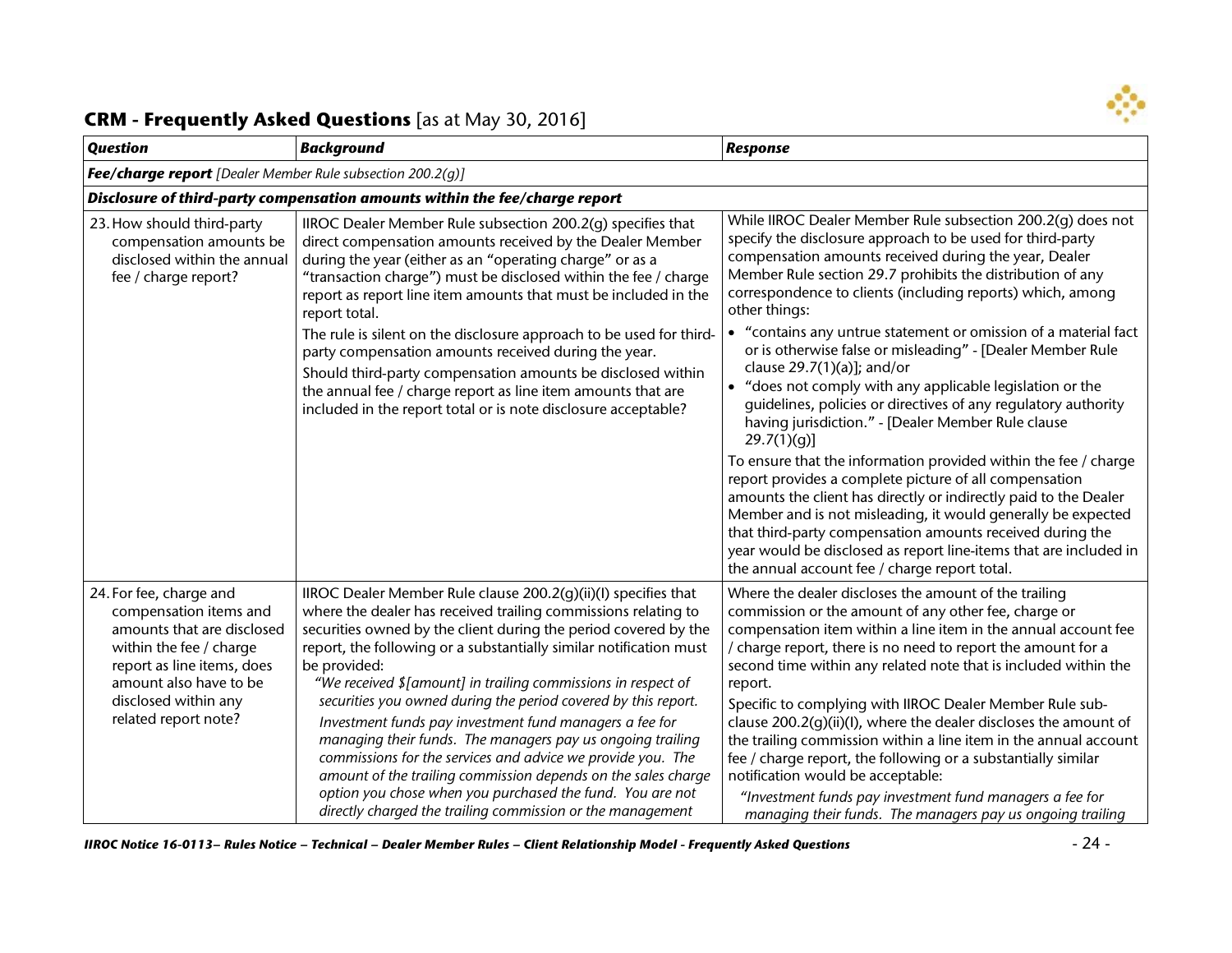

| <b>Question</b>                                                                                                                                                                                                    | <b>Background</b>                                                                                                                                                                                                                                                                                                                                                                                                                                                                                                                                                                                                                                                                                                                                                                                                | <b>Response</b>                                                                                                                                                                                                                                                                                                                                                                                                                                                                                                                                                                                                                                                                                                                                                                                                                                                                                                                                                                                                                                                                                                                                           |
|--------------------------------------------------------------------------------------------------------------------------------------------------------------------------------------------------------------------|------------------------------------------------------------------------------------------------------------------------------------------------------------------------------------------------------------------------------------------------------------------------------------------------------------------------------------------------------------------------------------------------------------------------------------------------------------------------------------------------------------------------------------------------------------------------------------------------------------------------------------------------------------------------------------------------------------------------------------------------------------------------------------------------------------------|-----------------------------------------------------------------------------------------------------------------------------------------------------------------------------------------------------------------------------------------------------------------------------------------------------------------------------------------------------------------------------------------------------------------------------------------------------------------------------------------------------------------------------------------------------------------------------------------------------------------------------------------------------------------------------------------------------------------------------------------------------------------------------------------------------------------------------------------------------------------------------------------------------------------------------------------------------------------------------------------------------------------------------------------------------------------------------------------------------------------------------------------------------------|
| <b>Fee/charge report</b> [Dealer Member Rule subsection 200.2(q)]                                                                                                                                                  |                                                                                                                                                                                                                                                                                                                                                                                                                                                                                                                                                                                                                                                                                                                                                                                                                  |                                                                                                                                                                                                                                                                                                                                                                                                                                                                                                                                                                                                                                                                                                                                                                                                                                                                                                                                                                                                                                                                                                                                                           |
|                                                                                                                                                                                                                    | Disclosure of third-party compensation amounts within the fee/charge report                                                                                                                                                                                                                                                                                                                                                                                                                                                                                                                                                                                                                                                                                                                                      |                                                                                                                                                                                                                                                                                                                                                                                                                                                                                                                                                                                                                                                                                                                                                                                                                                                                                                                                                                                                                                                                                                                                                           |
| 23. How should third-party<br>compensation amounts be<br>disclosed within the annual<br>fee / charge report?                                                                                                       | IIROC Dealer Member Rule subsection 200.2(g) specifies that<br>direct compensation amounts received by the Dealer Member<br>during the year (either as an "operating charge" or as a<br>"transaction charge") must be disclosed within the fee / charge<br>report as report line item amounts that must be included in the<br>report total.<br>The rule is silent on the disclosure approach to be used for third-<br>party compensation amounts received during the year.                                                                                                                                                                                                                                                                                                                                       | While IIROC Dealer Member Rule subsection 200.2(g) does not<br>specify the disclosure approach to be used for third-party<br>compensation amounts received during the year, Dealer<br>Member Rule section 29.7 prohibits the distribution of any<br>correspondence to clients (including reports) which, among<br>other things:<br>• "contains any untrue statement or omission of a material fact<br>or is otherwise false or misleading" - [Dealer Member Rule<br>clause $29.7(1)(a)$ ; and/or<br>"does not comply with any applicable legislation or the<br>guidelines, policies or directives of any regulatory authority<br>having jurisdiction." - [Dealer Member Rule clause<br>$29.7(1)(g)$ ]<br>To ensure that the information provided within the fee / charge<br>report provides a complete picture of all compensation<br>amounts the client has directly or indirectly paid to the Dealer<br>Member and is not misleading, it would generally be expected<br>that third-party compensation amounts received during the<br>year would be disclosed as report line-items that are included in<br>the annual account fee / charge report total. |
|                                                                                                                                                                                                                    | Should third-party compensation amounts be disclosed within<br>the annual fee / charge report as line item amounts that are<br>included in the report total or is note disclosure acceptable?                                                                                                                                                                                                                                                                                                                                                                                                                                                                                                                                                                                                                    |                                                                                                                                                                                                                                                                                                                                                                                                                                                                                                                                                                                                                                                                                                                                                                                                                                                                                                                                                                                                                                                                                                                                                           |
| 24. For fee, charge and<br>compensation items and<br>amounts that are disclosed<br>within the fee / charge<br>report as line items, does<br>amount also have to be<br>disclosed within any<br>related report note? | IIROC Dealer Member Rule clause 200.2(g)(ii)(I) specifies that<br>where the dealer has received trailing commissions relating to<br>securities owned by the client during the period covered by the<br>report, the following or a substantially similar notification must<br>be provided:<br>"We received \$[amount] in trailing commissions in respect of<br>securities you owned during the period covered by this report.<br>Investment funds pay investment fund managers a fee for<br>managing their funds. The managers pay us ongoing trailing<br>commissions for the services and advice we provide you. The<br>amount of the trailing commission depends on the sales charge<br>option you chose when you purchased the fund. You are not<br>directly charged the trailing commission or the management | Where the dealer discloses the amount of the trailing<br>commission or the amount of any other fee, charge or<br>compensation item within a line item in the annual account fee<br>/ charge report, there is no need to report the amount for a<br>second time within any related note that is included within the<br>report.<br>Specific to complying with IIROC Dealer Member Rule sub-<br>clause 200.2(g)(ii)(l), where the dealer discloses the amount of<br>the trailing commission within a line item in the annual account<br>fee / charge report, the following or a substantially similar<br>notification would be acceptable:<br>"Investment funds pay investment fund managers a fee for<br>managing their funds. The managers pay us ongoing trailing                                                                                                                                                                                                                                                                                                                                                                                         |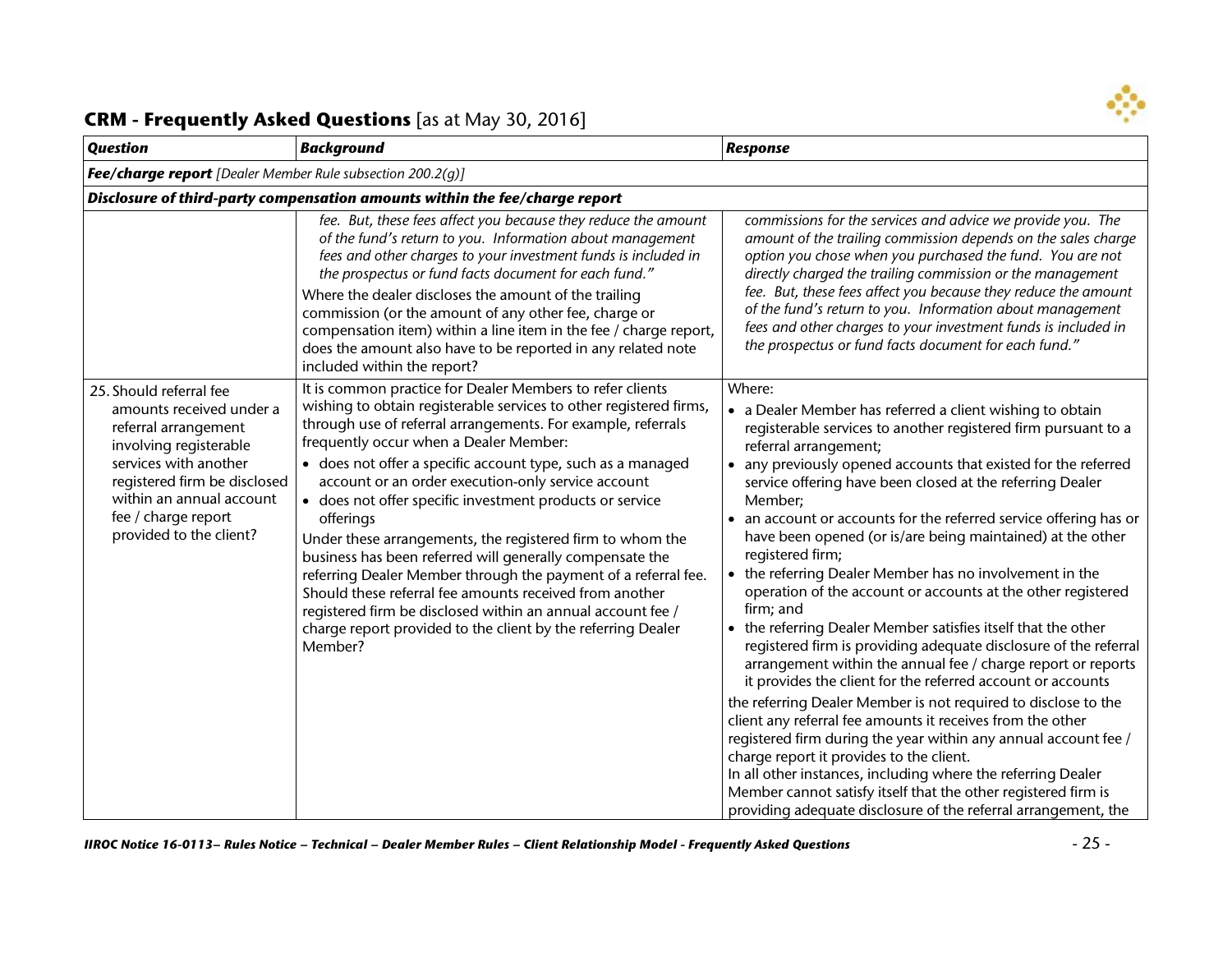

| <b>Background</b>                                                                                                                                                                                                                                                                                                                                                                                                                                                                                                                                                                                                                                                                                                                                                          | <b>Response</b>                                                                                                                                                                                                                                                                                                                                                                                                                                                                                                                                                                                                                                                                                                                                                                                                                                                                                                                                                                                                                                                                                                      |  |
|----------------------------------------------------------------------------------------------------------------------------------------------------------------------------------------------------------------------------------------------------------------------------------------------------------------------------------------------------------------------------------------------------------------------------------------------------------------------------------------------------------------------------------------------------------------------------------------------------------------------------------------------------------------------------------------------------------------------------------------------------------------------------|----------------------------------------------------------------------------------------------------------------------------------------------------------------------------------------------------------------------------------------------------------------------------------------------------------------------------------------------------------------------------------------------------------------------------------------------------------------------------------------------------------------------------------------------------------------------------------------------------------------------------------------------------------------------------------------------------------------------------------------------------------------------------------------------------------------------------------------------------------------------------------------------------------------------------------------------------------------------------------------------------------------------------------------------------------------------------------------------------------------------|--|
| <b>Fee/charge report</b> [Dealer Member Rule subsection 200.2(q)]                                                                                                                                                                                                                                                                                                                                                                                                                                                                                                                                                                                                                                                                                                          |                                                                                                                                                                                                                                                                                                                                                                                                                                                                                                                                                                                                                                                                                                                                                                                                                                                                                                                                                                                                                                                                                                                      |  |
| Disclosure of third-party compensation amounts within the fee/charge report                                                                                                                                                                                                                                                                                                                                                                                                                                                                                                                                                                                                                                                                                                |                                                                                                                                                                                                                                                                                                                                                                                                                                                                                                                                                                                                                                                                                                                                                                                                                                                                                                                                                                                                                                                                                                                      |  |
| fee. But, these fees affect you because they reduce the amount<br>of the fund's return to you. Information about management<br>fees and other charges to your investment funds is included in<br>the prospectus or fund facts document for each fund."<br>Where the dealer discloses the amount of the trailing<br>commission (or the amount of any other fee, charge or<br>compensation item) within a line item in the fee / charge report,<br>does the amount also have to be reported in any related note<br>included within the report?                                                                                                                                                                                                                               | commissions for the services and advice we provide you. The<br>amount of the trailing commission depends on the sales charge<br>option you chose when you purchased the fund. You are not<br>directly charged the trailing commission or the management<br>fee. But, these fees affect you because they reduce the amount<br>of the fund's return to you. Information about management<br>fees and other charges to your investment funds is included in<br>the prospectus or fund facts document for each fund."                                                                                                                                                                                                                                                                                                                                                                                                                                                                                                                                                                                                    |  |
| wishing to obtain registerable services to other registered firms,<br>through use of referral arrangements. For example, referrals<br>frequently occur when a Dealer Member:<br>• does not offer a specific account type, such as a managed<br>account or an order execution-only service account<br>• does not offer specific investment products or service<br>offerings<br>Under these arrangements, the registered firm to whom the<br>business has been referred will generally compensate the<br>referring Dealer Member through the payment of a referral fee.<br>Should these referral fee amounts received from another<br>registered firm be disclosed within an annual account fee /<br>charge report provided to the client by the referring Dealer<br>Member? | Where:<br>• a Dealer Member has referred a client wishing to obtain<br>registerable services to another registered firm pursuant to a<br>referral arrangement;<br>any previously opened accounts that existed for the referred<br>service offering have been closed at the referring Dealer<br>Member;<br>• an account or accounts for the referred service offering has or<br>have been opened (or is/are being maintained) at the other<br>registered firm;<br>the referring Dealer Member has no involvement in the<br>operation of the account or accounts at the other registered<br>firm; and<br>the referring Dealer Member satisfies itself that the other<br>registered firm is providing adequate disclosure of the referral<br>arrangement within the annual fee / charge report or reports<br>it provides the client for the referred account or accounts<br>the referring Dealer Member is not required to disclose to the<br>client any referral fee amounts it receives from the other<br>registered firm during the year within any annual account fee /<br>charge report it provides to the client. |  |
|                                                                                                                                                                                                                                                                                                                                                                                                                                                                                                                                                                                                                                                                                                                                                                            | It is common practice for Dealer Members to refer clients                                                                                                                                                                                                                                                                                                                                                                                                                                                                                                                                                                                                                                                                                                                                                                                                                                                                                                                                                                                                                                                            |  |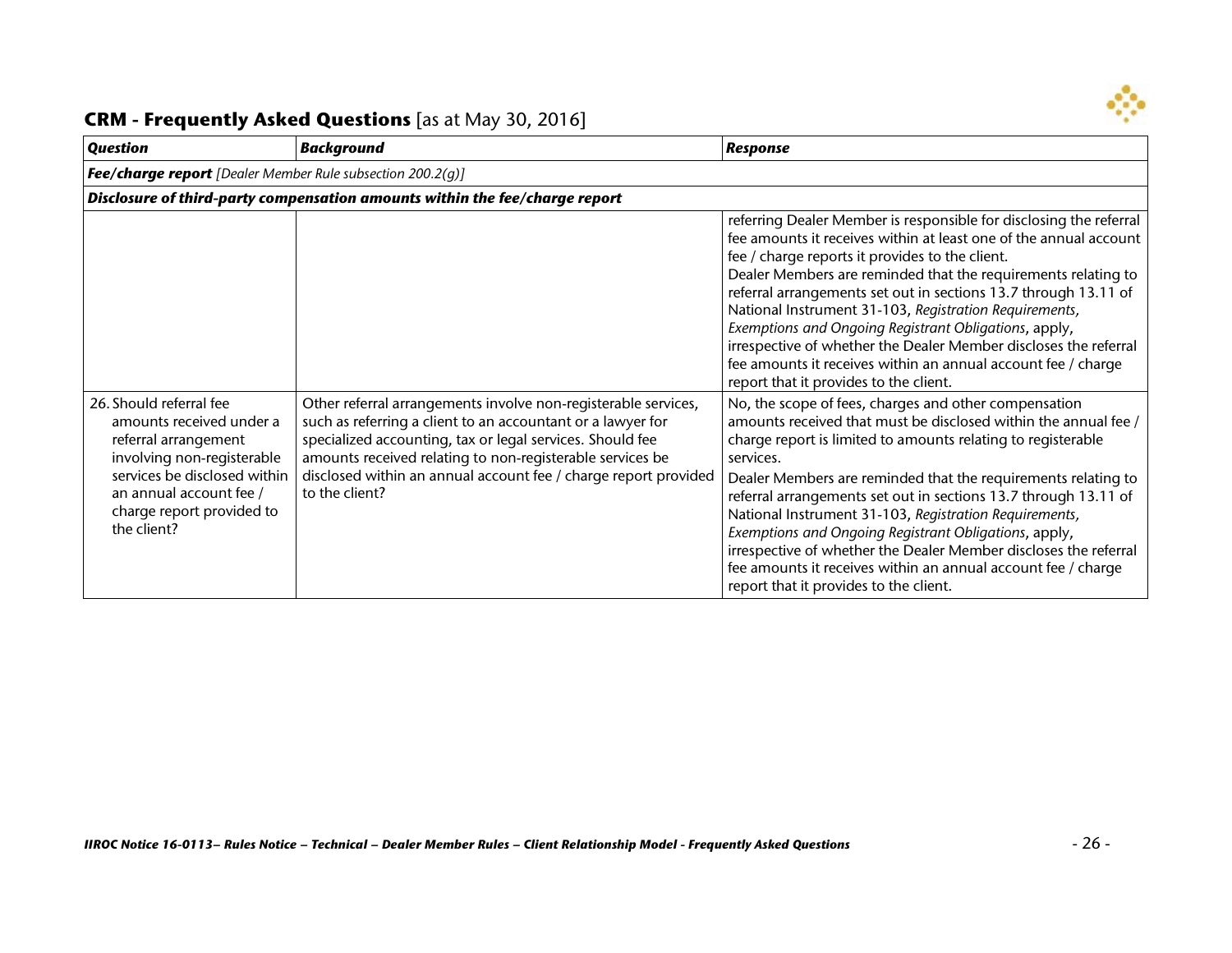

| <b>Question</b>                                                                                                                                                                                                  | <b>Background</b>                                                                                                                                                                                                                                                                                                                            | <b>Response</b>                                                                                                                                                                                                                                                                                                                                                                                                                                                                                                                                                                                                                             |  |
|------------------------------------------------------------------------------------------------------------------------------------------------------------------------------------------------------------------|----------------------------------------------------------------------------------------------------------------------------------------------------------------------------------------------------------------------------------------------------------------------------------------------------------------------------------------------|---------------------------------------------------------------------------------------------------------------------------------------------------------------------------------------------------------------------------------------------------------------------------------------------------------------------------------------------------------------------------------------------------------------------------------------------------------------------------------------------------------------------------------------------------------------------------------------------------------------------------------------------|--|
|                                                                                                                                                                                                                  | <b>Fee/charge report</b> [Dealer Member Rule subsection 200.2(g)]                                                                                                                                                                                                                                                                            |                                                                                                                                                                                                                                                                                                                                                                                                                                                                                                                                                                                                                                             |  |
|                                                                                                                                                                                                                  | Disclosure of third-party compensation amounts within the fee/charge report                                                                                                                                                                                                                                                                  |                                                                                                                                                                                                                                                                                                                                                                                                                                                                                                                                                                                                                                             |  |
|                                                                                                                                                                                                                  |                                                                                                                                                                                                                                                                                                                                              | referring Dealer Member is responsible for disclosing the referral<br>fee amounts it receives within at least one of the annual account<br>fee / charge reports it provides to the client.<br>Dealer Members are reminded that the requirements relating to<br>referral arrangements set out in sections 13.7 through 13.11 of<br>National Instrument 31-103, Registration Requirements,<br>Exemptions and Ongoing Registrant Obligations, apply,<br>irrespective of whether the Dealer Member discloses the referral<br>fee amounts it receives within an annual account fee / charge<br>report that it provides to the client.            |  |
| 26. Should referral fee<br>amounts received under a<br>referral arrangement<br>involving non-registerable<br>services be disclosed within<br>an annual account fee /<br>charge report provided to<br>the client? | Other referral arrangements involve non-registerable services,<br>such as referring a client to an accountant or a lawyer for<br>specialized accounting, tax or legal services. Should fee<br>amounts received relating to non-registerable services be<br>disclosed within an annual account fee / charge report provided<br>to the client? | No, the scope of fees, charges and other compensation<br>amounts received that must be disclosed within the annual fee /<br>charge report is limited to amounts relating to registerable<br>services.<br>Dealer Members are reminded that the requirements relating to<br>referral arrangements set out in sections 13.7 through 13.11 of<br>National Instrument 31-103, Registration Requirements,<br>Exemptions and Ongoing Registrant Obligations, apply,<br>irrespective of whether the Dealer Member discloses the referral<br>fee amounts it receives within an annual account fee / charge<br>report that it provides to the client. |  |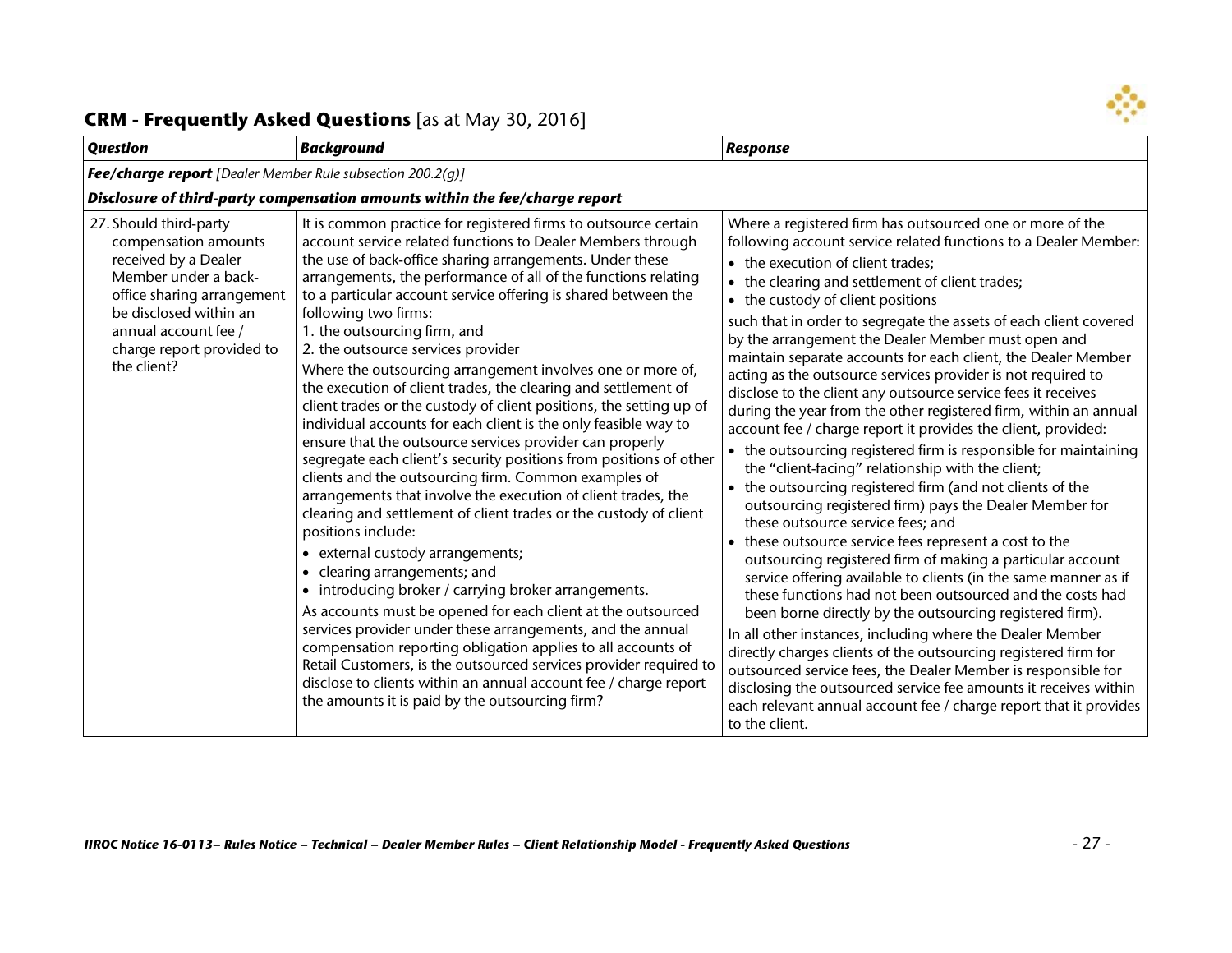

| <b>Question</b>                                                                                                                                                                                                            | <b>Background</b>                                                                                                                                                                                                                                                                                                                                                                                                                                                                                                                                                                                                                                                                                                                                                                                                                                                                                                                                                                                                                                                                                                                                                                                                                                                                                                                                                                                                                                                                                                                                                                  | <b>Response</b>                                                                                                                                                                                                                                                                                                                                                                                                                                                                                                                                                                                                                                                                                                                                                                                                                                                                                                                                                                                                                                                                                                                                                                                                                                                                                                                                                                                                                                                                                                                                                                                                                                                                                   |
|----------------------------------------------------------------------------------------------------------------------------------------------------------------------------------------------------------------------------|------------------------------------------------------------------------------------------------------------------------------------------------------------------------------------------------------------------------------------------------------------------------------------------------------------------------------------------------------------------------------------------------------------------------------------------------------------------------------------------------------------------------------------------------------------------------------------------------------------------------------------------------------------------------------------------------------------------------------------------------------------------------------------------------------------------------------------------------------------------------------------------------------------------------------------------------------------------------------------------------------------------------------------------------------------------------------------------------------------------------------------------------------------------------------------------------------------------------------------------------------------------------------------------------------------------------------------------------------------------------------------------------------------------------------------------------------------------------------------------------------------------------------------------------------------------------------------|---------------------------------------------------------------------------------------------------------------------------------------------------------------------------------------------------------------------------------------------------------------------------------------------------------------------------------------------------------------------------------------------------------------------------------------------------------------------------------------------------------------------------------------------------------------------------------------------------------------------------------------------------------------------------------------------------------------------------------------------------------------------------------------------------------------------------------------------------------------------------------------------------------------------------------------------------------------------------------------------------------------------------------------------------------------------------------------------------------------------------------------------------------------------------------------------------------------------------------------------------------------------------------------------------------------------------------------------------------------------------------------------------------------------------------------------------------------------------------------------------------------------------------------------------------------------------------------------------------------------------------------------------------------------------------------------------|
| <b>Fee/charge report</b> [Dealer Member Rule subsection 200.2(q)]                                                                                                                                                          |                                                                                                                                                                                                                                                                                                                                                                                                                                                                                                                                                                                                                                                                                                                                                                                                                                                                                                                                                                                                                                                                                                                                                                                                                                                                                                                                                                                                                                                                                                                                                                                    |                                                                                                                                                                                                                                                                                                                                                                                                                                                                                                                                                                                                                                                                                                                                                                                                                                                                                                                                                                                                                                                                                                                                                                                                                                                                                                                                                                                                                                                                                                                                                                                                                                                                                                   |
|                                                                                                                                                                                                                            | Disclosure of third-party compensation amounts within the fee/charge report                                                                                                                                                                                                                                                                                                                                                                                                                                                                                                                                                                                                                                                                                                                                                                                                                                                                                                                                                                                                                                                                                                                                                                                                                                                                                                                                                                                                                                                                                                        |                                                                                                                                                                                                                                                                                                                                                                                                                                                                                                                                                                                                                                                                                                                                                                                                                                                                                                                                                                                                                                                                                                                                                                                                                                                                                                                                                                                                                                                                                                                                                                                                                                                                                                   |
| 27. Should third-party<br>compensation amounts<br>received by a Dealer<br>Member under a back-<br>office sharing arrangement<br>be disclosed within an<br>annual account fee /<br>charge report provided to<br>the client? | It is common practice for registered firms to outsource certain<br>account service related functions to Dealer Members through<br>the use of back-office sharing arrangements. Under these<br>arrangements, the performance of all of the functions relating<br>to a particular account service offering is shared between the<br>following two firms:<br>1. the outsourcing firm, and<br>2. the outsource services provider<br>Where the outsourcing arrangement involves one or more of,<br>the execution of client trades, the clearing and settlement of<br>client trades or the custody of client positions, the setting up of<br>individual accounts for each client is the only feasible way to<br>ensure that the outsource services provider can properly<br>segregate each client's security positions from positions of other<br>clients and the outsourcing firm. Common examples of<br>arrangements that involve the execution of client trades, the<br>clearing and settlement of client trades or the custody of client<br>positions include:<br>• external custody arrangements;<br>• clearing arrangements; and<br>• introducing broker / carrying broker arrangements.<br>As accounts must be opened for each client at the outsourced<br>services provider under these arrangements, and the annual<br>compensation reporting obligation applies to all accounts of<br>Retail Customers, is the outsourced services provider required to<br>disclose to clients within an annual account fee / charge report<br>the amounts it is paid by the outsourcing firm? | Where a registered firm has outsourced one or more of the<br>following account service related functions to a Dealer Member:<br>• the execution of client trades;<br>• the clearing and settlement of client trades;<br>• the custody of client positions<br>such that in order to segregate the assets of each client covered<br>by the arrangement the Dealer Member must open and<br>maintain separate accounts for each client, the Dealer Member<br>acting as the outsource services provider is not required to<br>disclose to the client any outsource service fees it receives<br>during the year from the other registered firm, within an annual<br>account fee / charge report it provides the client, provided:<br>• the outsourcing registered firm is responsible for maintaining<br>the "client-facing" relationship with the client;<br>• the outsourcing registered firm (and not clients of the<br>outsourcing registered firm) pays the Dealer Member for<br>these outsource service fees; and<br>• these outsource service fees represent a cost to the<br>outsourcing registered firm of making a particular account<br>service offering available to clients (in the same manner as if<br>these functions had not been outsourced and the costs had<br>been borne directly by the outsourcing registered firm).<br>In all other instances, including where the Dealer Member<br>directly charges clients of the outsourcing registered firm for<br>outsourced service fees, the Dealer Member is responsible for<br>disclosing the outsourced service fee amounts it receives within<br>each relevant annual account fee / charge report that it provides<br>to the client. |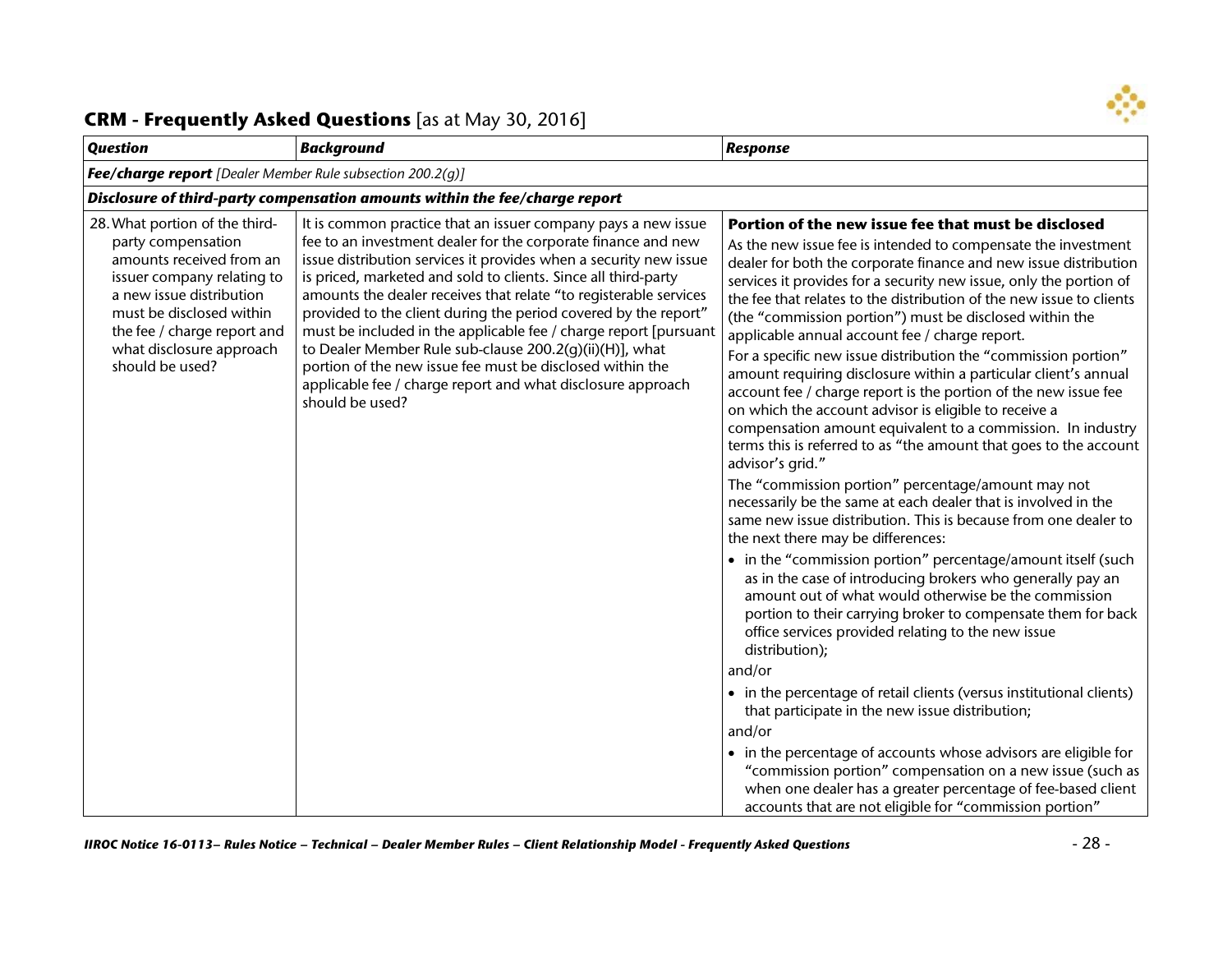

| <b>Question</b>                                                                                                                                                                                                                                      | <b>Background</b>                                                                                                                                                                                                                                                                                                                                                                                                                                                                                                                                                                                                                                                                           | <b>Response</b>                                                                                                                                                                                                                                                                                                                                                                                                                                                                                                                                                                                                                                                                                                                                                                                                                                                                                                                                                                                                                                                                                                                                                                                                                                                                                                                                                                                                                                                                                                                                                                                                                                                                                                                                                                                                                                       |
|------------------------------------------------------------------------------------------------------------------------------------------------------------------------------------------------------------------------------------------------------|---------------------------------------------------------------------------------------------------------------------------------------------------------------------------------------------------------------------------------------------------------------------------------------------------------------------------------------------------------------------------------------------------------------------------------------------------------------------------------------------------------------------------------------------------------------------------------------------------------------------------------------------------------------------------------------------|-------------------------------------------------------------------------------------------------------------------------------------------------------------------------------------------------------------------------------------------------------------------------------------------------------------------------------------------------------------------------------------------------------------------------------------------------------------------------------------------------------------------------------------------------------------------------------------------------------------------------------------------------------------------------------------------------------------------------------------------------------------------------------------------------------------------------------------------------------------------------------------------------------------------------------------------------------------------------------------------------------------------------------------------------------------------------------------------------------------------------------------------------------------------------------------------------------------------------------------------------------------------------------------------------------------------------------------------------------------------------------------------------------------------------------------------------------------------------------------------------------------------------------------------------------------------------------------------------------------------------------------------------------------------------------------------------------------------------------------------------------------------------------------------------------------------------------------------------------|
| <b>Fee/charge report</b> [Dealer Member Rule subsection 200.2(g)]                                                                                                                                                                                    |                                                                                                                                                                                                                                                                                                                                                                                                                                                                                                                                                                                                                                                                                             |                                                                                                                                                                                                                                                                                                                                                                                                                                                                                                                                                                                                                                                                                                                                                                                                                                                                                                                                                                                                                                                                                                                                                                                                                                                                                                                                                                                                                                                                                                                                                                                                                                                                                                                                                                                                                                                       |
|                                                                                                                                                                                                                                                      | Disclosure of third-party compensation amounts within the fee/charge report                                                                                                                                                                                                                                                                                                                                                                                                                                                                                                                                                                                                                 |                                                                                                                                                                                                                                                                                                                                                                                                                                                                                                                                                                                                                                                                                                                                                                                                                                                                                                                                                                                                                                                                                                                                                                                                                                                                                                                                                                                                                                                                                                                                                                                                                                                                                                                                                                                                                                                       |
| 28. What portion of the third-<br>party compensation<br>amounts received from an<br>issuer company relating to<br>a new issue distribution<br>must be disclosed within<br>the fee / charge report and<br>what disclosure approach<br>should be used? | It is common practice that an issuer company pays a new issue<br>fee to an investment dealer for the corporate finance and new<br>issue distribution services it provides when a security new issue<br>is priced, marketed and sold to clients. Since all third-party<br>amounts the dealer receives that relate "to registerable services<br>provided to the client during the period covered by the report"<br>must be included in the applicable fee / charge report [pursuant<br>to Dealer Member Rule sub-clause 200.2(q)(ii)(H)], what<br>portion of the new issue fee must be disclosed within the<br>applicable fee / charge report and what disclosure approach<br>should be used? | Portion of the new issue fee that must be disclosed<br>As the new issue fee is intended to compensate the investment<br>dealer for both the corporate finance and new issue distribution<br>services it provides for a security new issue, only the portion of<br>the fee that relates to the distribution of the new issue to clients<br>(the "commission portion") must be disclosed within the<br>applicable annual account fee / charge report.<br>For a specific new issue distribution the "commission portion"<br>amount requiring disclosure within a particular client's annual<br>account fee / charge report is the portion of the new issue fee<br>on which the account advisor is eligible to receive a<br>compensation amount equivalent to a commission. In industry<br>terms this is referred to as "the amount that goes to the account<br>advisor's grid."<br>The "commission portion" percentage/amount may not<br>necessarily be the same at each dealer that is involved in the<br>same new issue distribution. This is because from one dealer to<br>the next there may be differences:<br>• in the "commission portion" percentage/amount itself (such<br>as in the case of introducing brokers who generally pay an<br>amount out of what would otherwise be the commission<br>portion to their carrying broker to compensate them for back<br>office services provided relating to the new issue<br>distribution);<br>and/or<br>• in the percentage of retail clients (versus institutional clients)<br>that participate in the new issue distribution;<br>and/or<br>• in the percentage of accounts whose advisors are eligible for<br>"commission portion" compensation on a new issue (such as<br>when one dealer has a greater percentage of fee-based client<br>accounts that are not eligible for "commission portion" |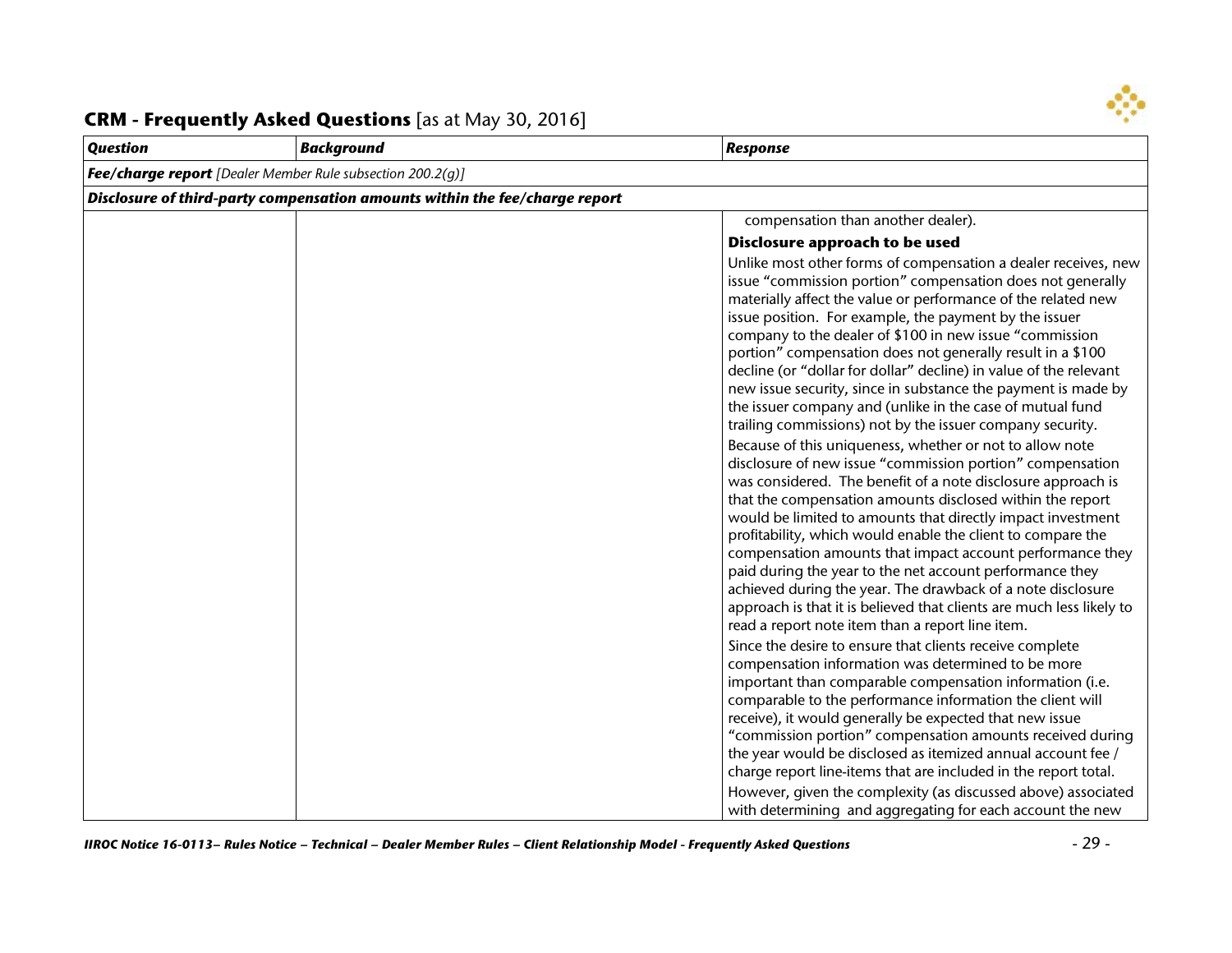

| <b>Question</b> | <b>Background</b>                                                           | <b>Response</b>                                                                                                                                                                                                                                                                                                                                                                                                                                                                                                                                                                                                                                                                                                                                                                                                                                                                                                                                                                                                                                                                                                                                                                                                                                                                                                                                                                                                                                                                                                                                                                                                                                                                                                                                                                                                                                                |  |
|-----------------|-----------------------------------------------------------------------------|----------------------------------------------------------------------------------------------------------------------------------------------------------------------------------------------------------------------------------------------------------------------------------------------------------------------------------------------------------------------------------------------------------------------------------------------------------------------------------------------------------------------------------------------------------------------------------------------------------------------------------------------------------------------------------------------------------------------------------------------------------------------------------------------------------------------------------------------------------------------------------------------------------------------------------------------------------------------------------------------------------------------------------------------------------------------------------------------------------------------------------------------------------------------------------------------------------------------------------------------------------------------------------------------------------------------------------------------------------------------------------------------------------------------------------------------------------------------------------------------------------------------------------------------------------------------------------------------------------------------------------------------------------------------------------------------------------------------------------------------------------------------------------------------------------------------------------------------------------------|--|
|                 | <b>Fee/charge report</b> [Dealer Member Rule subsection 200.2(q)]           |                                                                                                                                                                                                                                                                                                                                                                                                                                                                                                                                                                                                                                                                                                                                                                                                                                                                                                                                                                                                                                                                                                                                                                                                                                                                                                                                                                                                                                                                                                                                                                                                                                                                                                                                                                                                                                                                |  |
|                 | Disclosure of third-party compensation amounts within the fee/charge report |                                                                                                                                                                                                                                                                                                                                                                                                                                                                                                                                                                                                                                                                                                                                                                                                                                                                                                                                                                                                                                                                                                                                                                                                                                                                                                                                                                                                                                                                                                                                                                                                                                                                                                                                                                                                                                                                |  |
|                 |                                                                             | compensation than another dealer).                                                                                                                                                                                                                                                                                                                                                                                                                                                                                                                                                                                                                                                                                                                                                                                                                                                                                                                                                                                                                                                                                                                                                                                                                                                                                                                                                                                                                                                                                                                                                                                                                                                                                                                                                                                                                             |  |
|                 |                                                                             | Disclosure approach to be used                                                                                                                                                                                                                                                                                                                                                                                                                                                                                                                                                                                                                                                                                                                                                                                                                                                                                                                                                                                                                                                                                                                                                                                                                                                                                                                                                                                                                                                                                                                                                                                                                                                                                                                                                                                                                                 |  |
|                 |                                                                             | Unlike most other forms of compensation a dealer receives, new<br>issue "commission portion" compensation does not generally<br>materially affect the value or performance of the related new<br>issue position. For example, the payment by the issuer<br>company to the dealer of \$100 in new issue "commission<br>portion" compensation does not generally result in a \$100<br>decline (or "dollar for dollar" decline) in value of the relevant<br>new issue security, since in substance the payment is made by<br>the issuer company and (unlike in the case of mutual fund<br>trailing commissions) not by the issuer company security.<br>Because of this uniqueness, whether or not to allow note<br>disclosure of new issue "commission portion" compensation<br>was considered. The benefit of a note disclosure approach is<br>that the compensation amounts disclosed within the report<br>would be limited to amounts that directly impact investment<br>profitability, which would enable the client to compare the<br>compensation amounts that impact account performance they<br>paid during the year to the net account performance they<br>achieved during the year. The drawback of a note disclosure<br>approach is that it is believed that clients are much less likely to<br>read a report note item than a report line item.<br>Since the desire to ensure that clients receive complete<br>compensation information was determined to be more<br>important than comparable compensation information (i.e.<br>comparable to the performance information the client will<br>receive), it would generally be expected that new issue<br>"commission portion" compensation amounts received during<br>the year would be disclosed as itemized annual account fee /<br>charge report line-items that are included in the report total. |  |
|                 |                                                                             | However, given the complexity (as discussed above) associated<br>with determining and aggregating for each account the new                                                                                                                                                                                                                                                                                                                                                                                                                                                                                                                                                                                                                                                                                                                                                                                                                                                                                                                                                                                                                                                                                                                                                                                                                                                                                                                                                                                                                                                                                                                                                                                                                                                                                                                                     |  |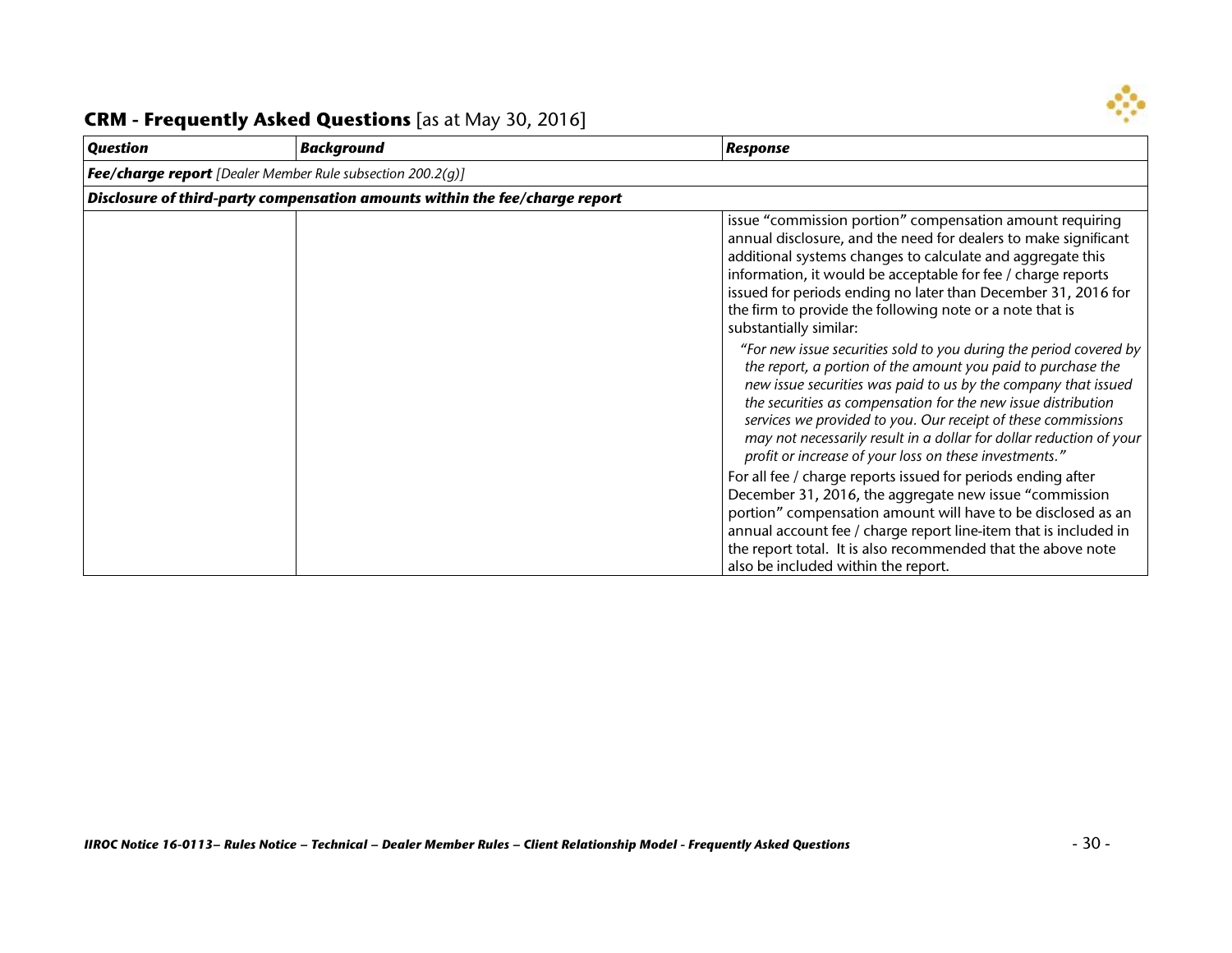

| <b>Question</b>                                                   | <b>Background</b>                                                           | <b>Response</b>                                                                                                                                                                                                                                                                                                                                                                                                                                                                                                                                                                                                                                                                           |  |
|-------------------------------------------------------------------|-----------------------------------------------------------------------------|-------------------------------------------------------------------------------------------------------------------------------------------------------------------------------------------------------------------------------------------------------------------------------------------------------------------------------------------------------------------------------------------------------------------------------------------------------------------------------------------------------------------------------------------------------------------------------------------------------------------------------------------------------------------------------------------|--|
| <b>Fee/charge report</b> [Dealer Member Rule subsection 200.2(g)] |                                                                             |                                                                                                                                                                                                                                                                                                                                                                                                                                                                                                                                                                                                                                                                                           |  |
|                                                                   | Disclosure of third-party compensation amounts within the fee/charge report |                                                                                                                                                                                                                                                                                                                                                                                                                                                                                                                                                                                                                                                                                           |  |
|                                                                   |                                                                             | issue "commission portion" compensation amount requiring<br>annual disclosure, and the need for dealers to make significant<br>additional systems changes to calculate and aggregate this<br>information, it would be acceptable for fee / charge reports<br>issued for periods ending no later than December 31, 2016 for<br>the firm to provide the following note or a note that is<br>substantially similar:<br>"For new issue securities sold to you during the period covered by<br>the report, a portion of the amount you paid to purchase the<br>new issue securities was paid to us by the company that issued<br>the securities as compensation for the new issue distribution |  |
|                                                                   |                                                                             | services we provided to you. Our receipt of these commissions<br>may not necessarily result in a dollar for dollar reduction of your<br>profit or increase of your loss on these investments."                                                                                                                                                                                                                                                                                                                                                                                                                                                                                            |  |
|                                                                   |                                                                             | For all fee / charge reports issued for periods ending after<br>December 31, 2016, the aggregate new issue "commission<br>portion" compensation amount will have to be disclosed as an<br>annual account fee / charge report line-item that is included in<br>the report total. It is also recommended that the above note<br>also be included within the report.                                                                                                                                                                                                                                                                                                                         |  |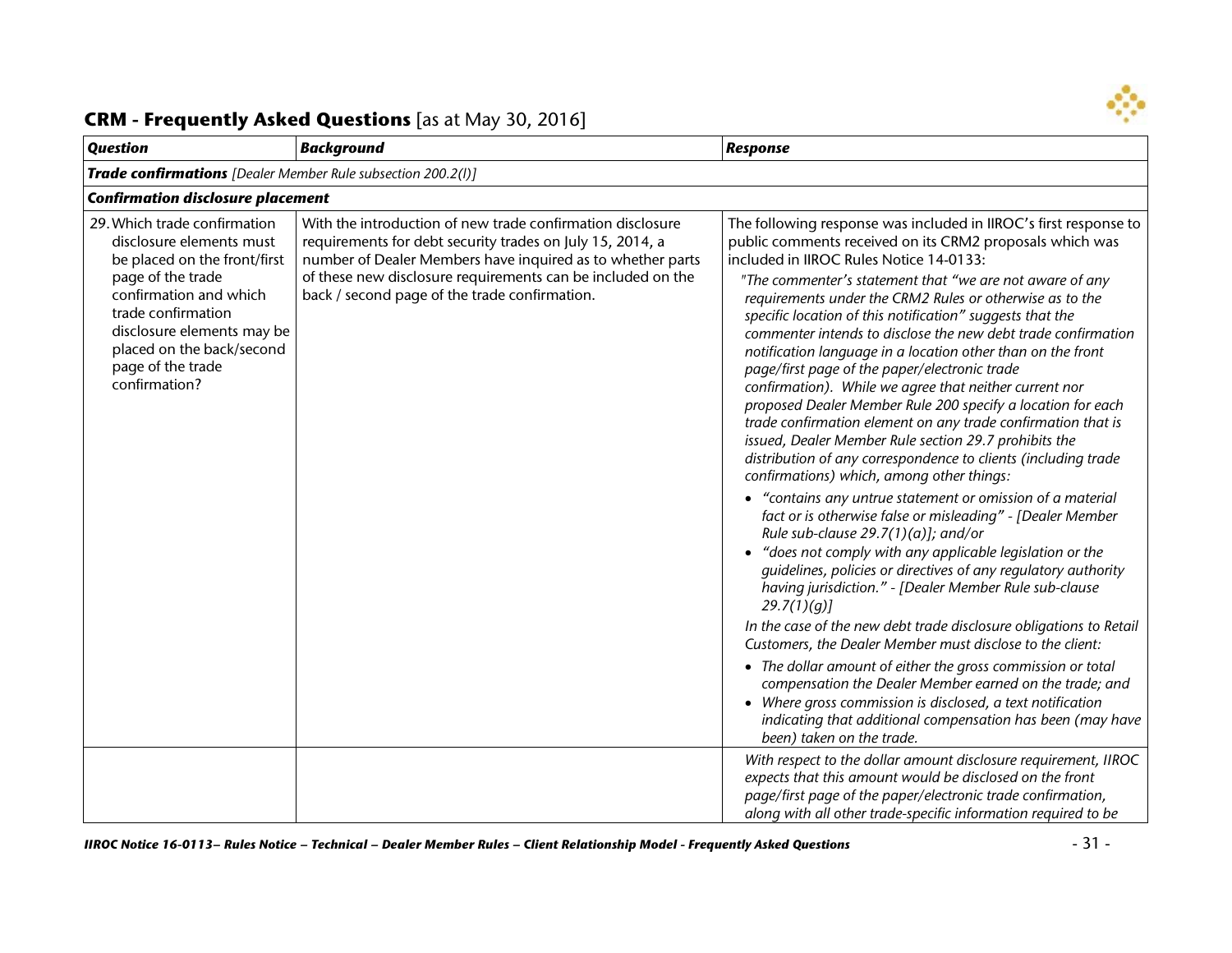

| <b>Question</b>                                                                                                                                                                                                                                                | <b>Background</b>                                                                                                                                                                                                                                                                                     | <b>Response</b>                                                                                                                                                                                                                                                                                                                                                                                                                                                                                                                                                                                                                                                                                                                                                                                                                                                                                                                                                                                                                                                                                                                                                                                                                                                                                                                                                                                                                                                                                                                                                                                                                                                                                                  |
|----------------------------------------------------------------------------------------------------------------------------------------------------------------------------------------------------------------------------------------------------------------|-------------------------------------------------------------------------------------------------------------------------------------------------------------------------------------------------------------------------------------------------------------------------------------------------------|------------------------------------------------------------------------------------------------------------------------------------------------------------------------------------------------------------------------------------------------------------------------------------------------------------------------------------------------------------------------------------------------------------------------------------------------------------------------------------------------------------------------------------------------------------------------------------------------------------------------------------------------------------------------------------------------------------------------------------------------------------------------------------------------------------------------------------------------------------------------------------------------------------------------------------------------------------------------------------------------------------------------------------------------------------------------------------------------------------------------------------------------------------------------------------------------------------------------------------------------------------------------------------------------------------------------------------------------------------------------------------------------------------------------------------------------------------------------------------------------------------------------------------------------------------------------------------------------------------------------------------------------------------------------------------------------------------------|
| <b>Trade confirmations</b> [Dealer Member Rule subsection 200.2(I)]                                                                                                                                                                                            |                                                                                                                                                                                                                                                                                                       |                                                                                                                                                                                                                                                                                                                                                                                                                                                                                                                                                                                                                                                                                                                                                                                                                                                                                                                                                                                                                                                                                                                                                                                                                                                                                                                                                                                                                                                                                                                                                                                                                                                                                                                  |
| <b>Confirmation disclosure placement</b>                                                                                                                                                                                                                       |                                                                                                                                                                                                                                                                                                       |                                                                                                                                                                                                                                                                                                                                                                                                                                                                                                                                                                                                                                                                                                                                                                                                                                                                                                                                                                                                                                                                                                                                                                                                                                                                                                                                                                                                                                                                                                                                                                                                                                                                                                                  |
| 29. Which trade confirmation<br>disclosure elements must<br>be placed on the front/first<br>page of the trade<br>confirmation and which<br>trade confirmation<br>disclosure elements may be<br>placed on the back/second<br>page of the trade<br>confirmation? | With the introduction of new trade confirmation disclosure<br>requirements for debt security trades on July 15, 2014, a<br>number of Dealer Members have inquired as to whether parts<br>of these new disclosure requirements can be included on the<br>back / second page of the trade confirmation. | The following response was included in IIROC's first response to<br>public comments received on its CRM2 proposals which was<br>included in IIROC Rules Notice 14-0133:<br>"The commenter's statement that "we are not aware of any<br>requirements under the CRM2 Rules or otherwise as to the<br>specific location of this notification" suggests that the<br>commenter intends to disclose the new debt trade confirmation<br>notification language in a location other than on the front<br>page/first page of the paper/electronic trade<br>confirmation). While we agree that neither current nor<br>proposed Dealer Member Rule 200 specify a location for each<br>trade confirmation element on any trade confirmation that is<br>issued, Dealer Member Rule section 29.7 prohibits the<br>distribution of any correspondence to clients (including trade<br>confirmations) which, among other things:<br>• "contains any untrue statement or omission of a material<br>fact or is otherwise false or misleading" - [Dealer Member<br>Rule sub-clause $29.7(1)(a)$ ; and/or<br>• "does not comply with any applicable legislation or the<br>guidelines, policies or directives of any regulatory authority<br>having jurisdiction." - [Dealer Member Rule sub-clause<br>29.7(1)(q)<br>In the case of the new debt trade disclosure obligations to Retail<br>Customers, the Dealer Member must disclose to the client:<br>• The dollar amount of either the gross commission or total<br>compensation the Dealer Member earned on the trade; and<br>• Where gross commission is disclosed, a text notification<br>indicating that additional compensation has been (may have<br>been) taken on the trade. |
|                                                                                                                                                                                                                                                                |                                                                                                                                                                                                                                                                                                       | With respect to the dollar amount disclosure requirement, IIROC<br>expects that this amount would be disclosed on the front<br>page/first page of the paper/electronic trade confirmation,<br>along with all other trade-specific information required to be                                                                                                                                                                                                                                                                                                                                                                                                                                                                                                                                                                                                                                                                                                                                                                                                                                                                                                                                                                                                                                                                                                                                                                                                                                                                                                                                                                                                                                                     |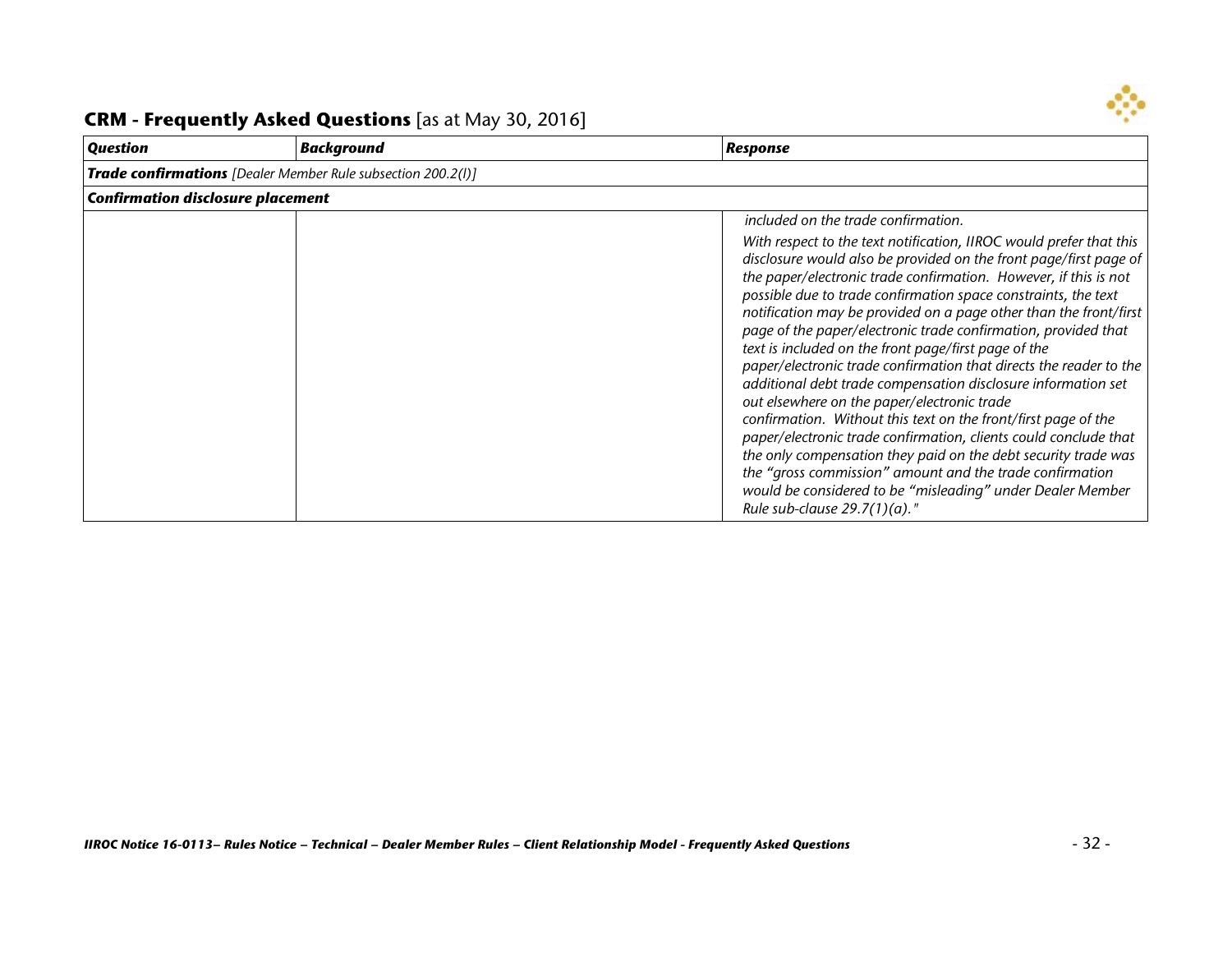

#### *Question Background Response Trade confirmations [Dealer Member Rule subsection 200.2(l)] Confirmation disclosure placement included on the trade confirmation. With respect to the text notification, IIROC would prefer that this disclosure would also be provided on the front page/first page of the paper/electronic trade confirmation. However, if this is not possible due to trade confirmation space constraints, the text notification may be provided on a page other than the front/first page of the paper/electronic trade confirmation, provided that text is included on the front page/first page of the paper/electronic trade confirmation that directs the reader to the additional debt trade compensation disclosure information set out elsewhere on the paper/electronic trade confirmation. Without this text on the front/first page of the paper/electronic trade confirmation, clients could conclude that the only compensation they paid on the debt security trade was the "gross commission" amount and the trade confirmation would be considered to be "misleading" under Dealer Member Rule sub-clause 29.7(1)(a)."*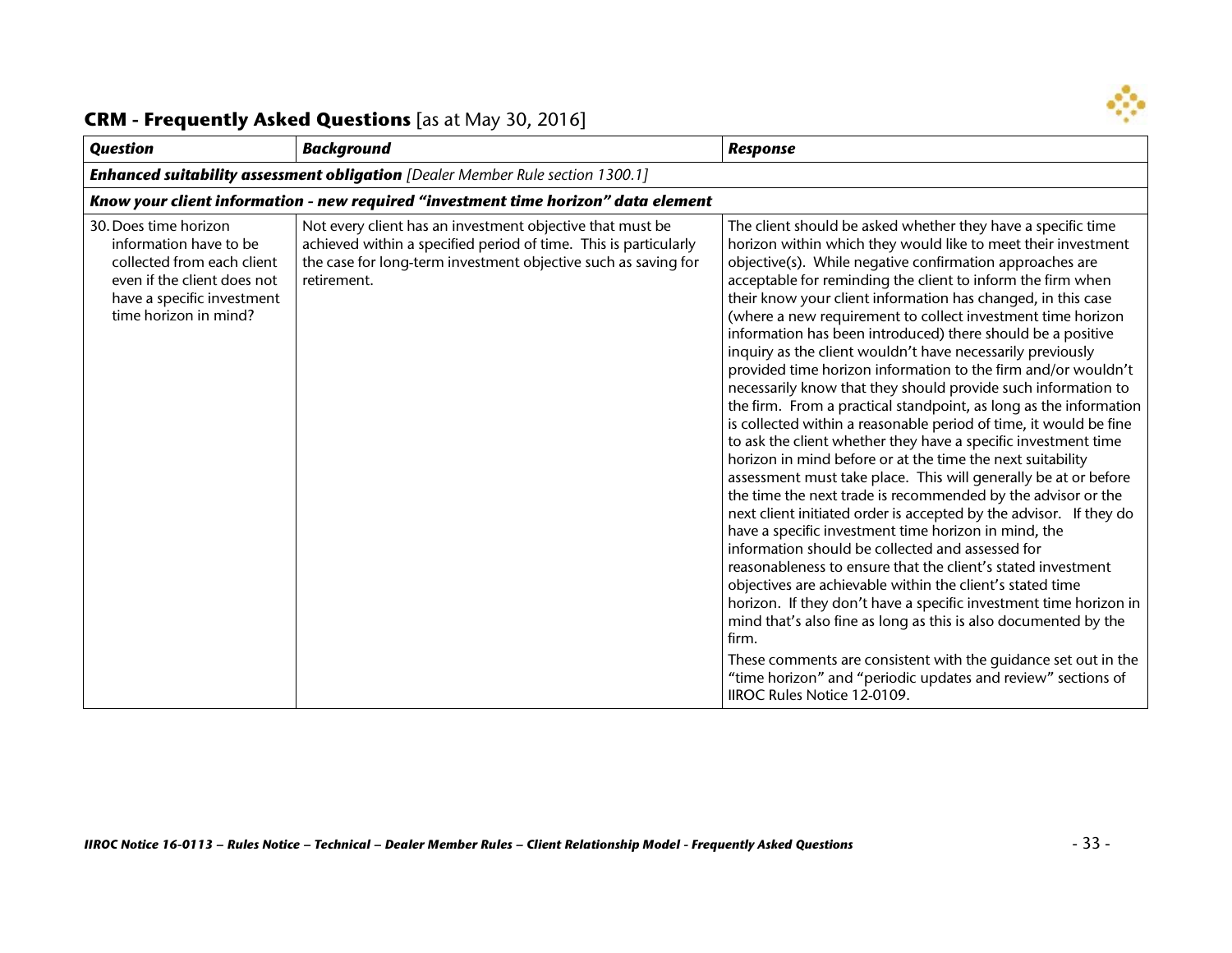

| <b>Question</b>                                                                                                                                                     | <b>Background</b>                                                                                                                                                                                              | <b>Response</b>                                                                                                                                                                                                                                                                                                                                                                                                                                                                                                                                                                                                                                                                                                                                                                                                                                                                                                                                                                                                                                                                                                                                                                                                                                                                                                                                                                                                                                                                                                                                                                                                                                                                                      |
|---------------------------------------------------------------------------------------------------------------------------------------------------------------------|----------------------------------------------------------------------------------------------------------------------------------------------------------------------------------------------------------------|------------------------------------------------------------------------------------------------------------------------------------------------------------------------------------------------------------------------------------------------------------------------------------------------------------------------------------------------------------------------------------------------------------------------------------------------------------------------------------------------------------------------------------------------------------------------------------------------------------------------------------------------------------------------------------------------------------------------------------------------------------------------------------------------------------------------------------------------------------------------------------------------------------------------------------------------------------------------------------------------------------------------------------------------------------------------------------------------------------------------------------------------------------------------------------------------------------------------------------------------------------------------------------------------------------------------------------------------------------------------------------------------------------------------------------------------------------------------------------------------------------------------------------------------------------------------------------------------------------------------------------------------------------------------------------------------------|
|                                                                                                                                                                     | <b>Enhanced suitability assessment obligation</b> [Dealer Member Rule section 1300.1]                                                                                                                          |                                                                                                                                                                                                                                                                                                                                                                                                                                                                                                                                                                                                                                                                                                                                                                                                                                                                                                                                                                                                                                                                                                                                                                                                                                                                                                                                                                                                                                                                                                                                                                                                                                                                                                      |
|                                                                                                                                                                     | Know your client information - new required "investment time horizon" data element                                                                                                                             |                                                                                                                                                                                                                                                                                                                                                                                                                                                                                                                                                                                                                                                                                                                                                                                                                                                                                                                                                                                                                                                                                                                                                                                                                                                                                                                                                                                                                                                                                                                                                                                                                                                                                                      |
| 30. Does time horizon<br>information have to be<br>collected from each client<br>even if the client does not<br>have a specific investment<br>time horizon in mind? | Not every client has an investment objective that must be<br>achieved within a specified period of time. This is particularly<br>the case for long-term investment objective such as saving for<br>retirement. | The client should be asked whether they have a specific time<br>horizon within which they would like to meet their investment<br>objective(s). While negative confirmation approaches are<br>acceptable for reminding the client to inform the firm when<br>their know your client information has changed, in this case<br>(where a new requirement to collect investment time horizon<br>information has been introduced) there should be a positive<br>inquiry as the client wouldn't have necessarily previously<br>provided time horizon information to the firm and/or wouldn't<br>necessarily know that they should provide such information to<br>the firm. From a practical standpoint, as long as the information<br>is collected within a reasonable period of time, it would be fine<br>to ask the client whether they have a specific investment time<br>horizon in mind before or at the time the next suitability<br>assessment must take place. This will generally be at or before<br>the time the next trade is recommended by the advisor or the<br>next client initiated order is accepted by the advisor. If they do<br>have a specific investment time horizon in mind, the<br>information should be collected and assessed for<br>reasonableness to ensure that the client's stated investment<br>objectives are achievable within the client's stated time<br>horizon. If they don't have a specific investment time horizon in<br>mind that's also fine as long as this is also documented by the<br>firm.<br>These comments are consistent with the guidance set out in the<br>"time horizon" and "periodic updates and review" sections of<br>IIROC Rules Notice 12-0109. |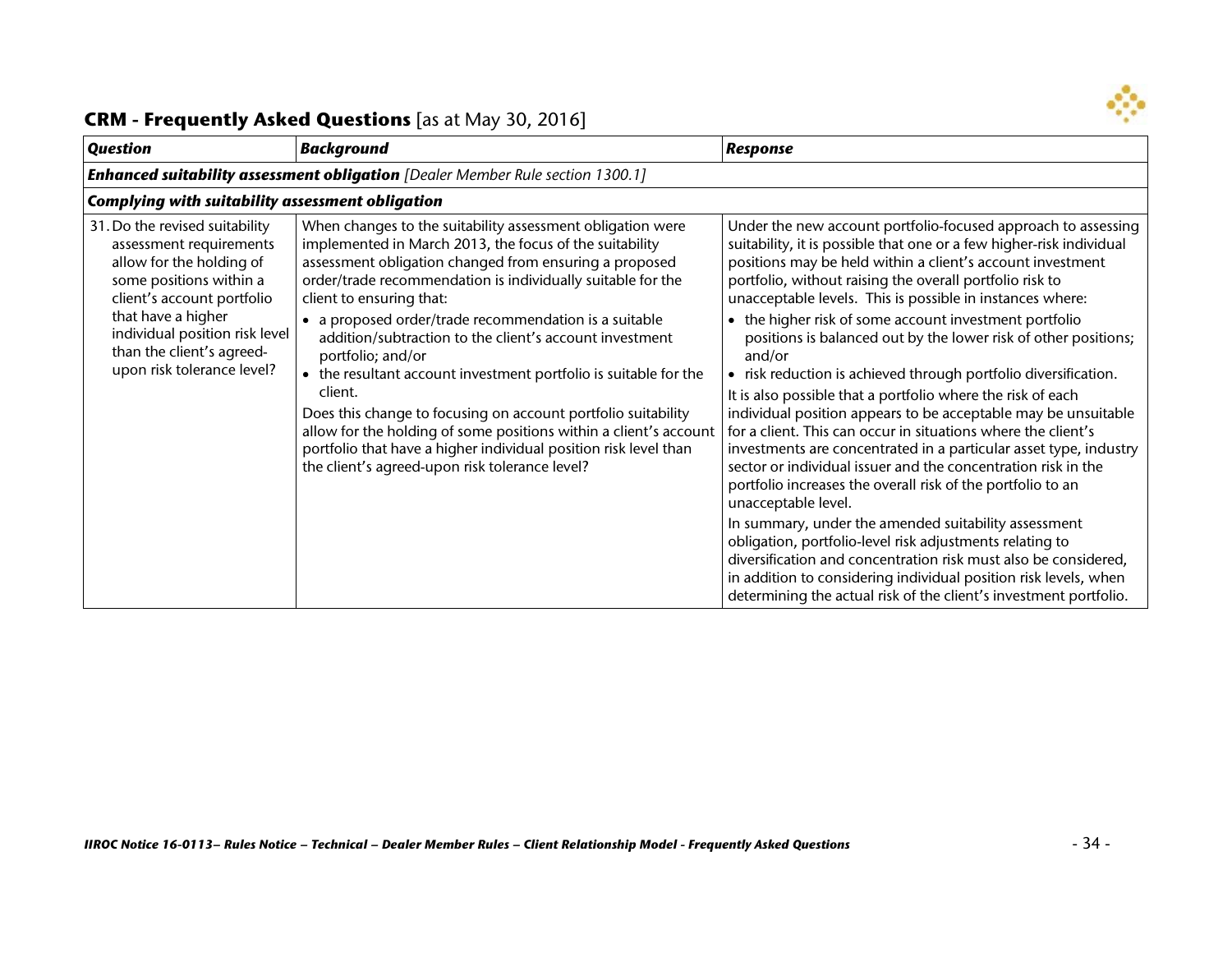

| <b>Question</b>                                                                                                                                                                                                                                                   | <b>Background</b>                                                                                                                                                                                                                                                                                                                                                                                                                                                                                                                                                                                                                                                                                                                                              | <b>Response</b>                                                                                                                                                                                                                                                                                                                                                                                                                                                                                                                                                                                                                                                                                                                                                                                                                                                                                                                                                                                                                                                                      |  |  |
|-------------------------------------------------------------------------------------------------------------------------------------------------------------------------------------------------------------------------------------------------------------------|----------------------------------------------------------------------------------------------------------------------------------------------------------------------------------------------------------------------------------------------------------------------------------------------------------------------------------------------------------------------------------------------------------------------------------------------------------------------------------------------------------------------------------------------------------------------------------------------------------------------------------------------------------------------------------------------------------------------------------------------------------------|--------------------------------------------------------------------------------------------------------------------------------------------------------------------------------------------------------------------------------------------------------------------------------------------------------------------------------------------------------------------------------------------------------------------------------------------------------------------------------------------------------------------------------------------------------------------------------------------------------------------------------------------------------------------------------------------------------------------------------------------------------------------------------------------------------------------------------------------------------------------------------------------------------------------------------------------------------------------------------------------------------------------------------------------------------------------------------------|--|--|
|                                                                                                                                                                                                                                                                   | <b>Enhanced suitability assessment obligation</b> [Dealer Member Rule section 1300.1]                                                                                                                                                                                                                                                                                                                                                                                                                                                                                                                                                                                                                                                                          |                                                                                                                                                                                                                                                                                                                                                                                                                                                                                                                                                                                                                                                                                                                                                                                                                                                                                                                                                                                                                                                                                      |  |  |
|                                                                                                                                                                                                                                                                   | <b>Complying with suitability assessment obligation</b>                                                                                                                                                                                                                                                                                                                                                                                                                                                                                                                                                                                                                                                                                                        |                                                                                                                                                                                                                                                                                                                                                                                                                                                                                                                                                                                                                                                                                                                                                                                                                                                                                                                                                                                                                                                                                      |  |  |
| 31. Do the revised suitability<br>assessment requirements<br>allow for the holding of<br>some positions within a<br>client's account portfolio<br>that have a higher<br>individual position risk level<br>than the client's agreed-<br>upon risk tolerance level? | When changes to the suitability assessment obligation were<br>implemented in March 2013, the focus of the suitability<br>assessment obligation changed from ensuring a proposed<br>order/trade recommendation is individually suitable for the<br>client to ensuring that:<br>• a proposed order/trade recommendation is a suitable<br>addition/subtraction to the client's account investment<br>portfolio; and/or<br>• the resultant account investment portfolio is suitable for the<br>client.<br>Does this change to focusing on account portfolio suitability<br>allow for the holding of some positions within a client's account<br>portfolio that have a higher individual position risk level than<br>the client's agreed-upon risk tolerance level? | Under the new account portfolio-focused approach to assessing<br>suitability, it is possible that one or a few higher-risk individual<br>positions may be held within a client's account investment<br>portfolio, without raising the overall portfolio risk to<br>unacceptable levels. This is possible in instances where:<br>the higher risk of some account investment portfolio<br>positions is balanced out by the lower risk of other positions;<br>and/or<br>risk reduction is achieved through portfolio diversification.<br>It is also possible that a portfolio where the risk of each<br>individual position appears to be acceptable may be unsuitable<br>for a client. This can occur in situations where the client's<br>investments are concentrated in a particular asset type, industry<br>sector or individual issuer and the concentration risk in the<br>portfolio increases the overall risk of the portfolio to an<br>unacceptable level.<br>In summary, under the amended suitability assessment<br>obligation, portfolio-level risk adjustments relating to |  |  |
|                                                                                                                                                                                                                                                                   |                                                                                                                                                                                                                                                                                                                                                                                                                                                                                                                                                                                                                                                                                                                                                                | diversification and concentration risk must also be considered,<br>in addition to considering individual position risk levels, when<br>determining the actual risk of the client's investment portfolio.                                                                                                                                                                                                                                                                                                                                                                                                                                                                                                                                                                                                                                                                                                                                                                                                                                                                             |  |  |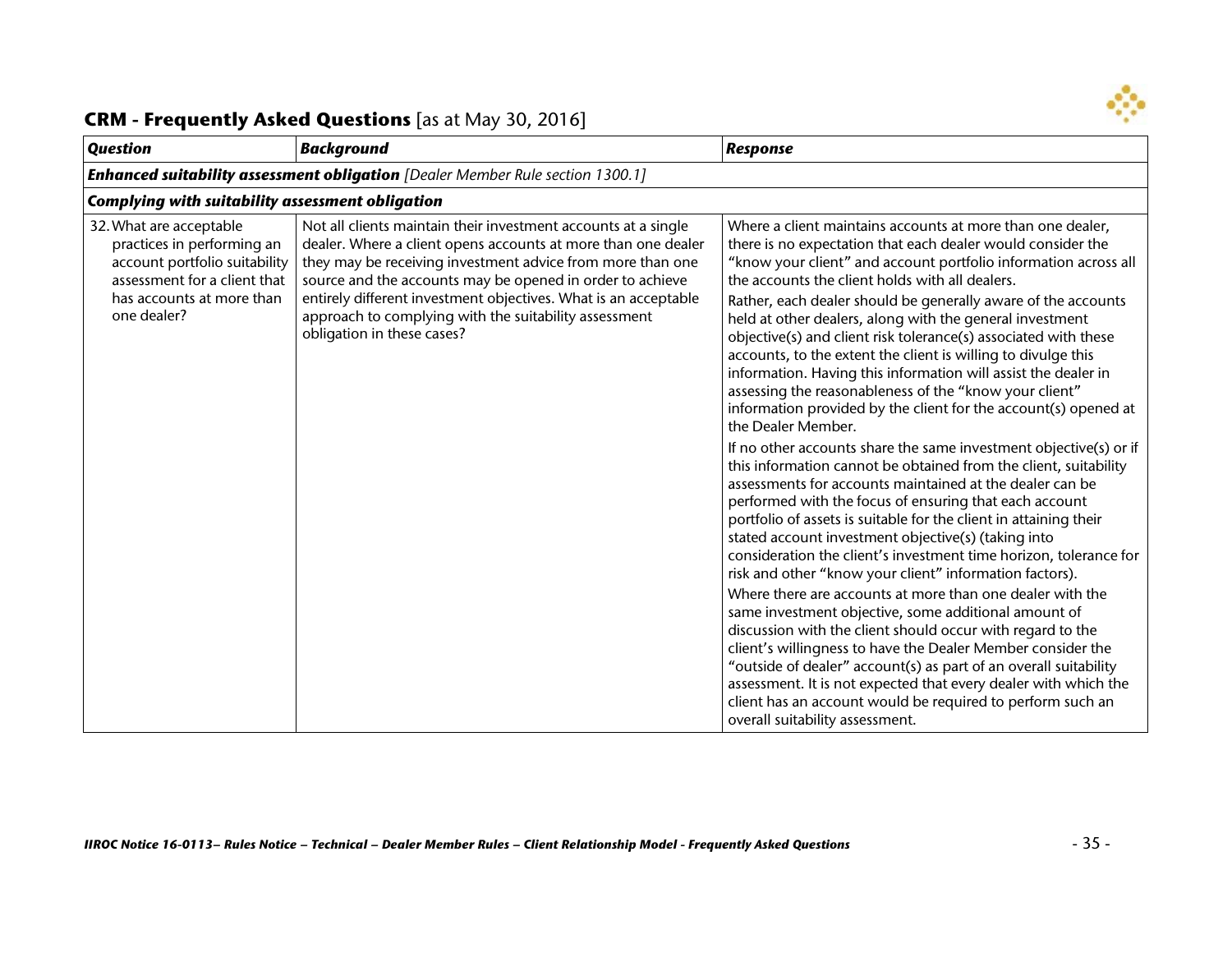

| <b>Question</b>                                                                                                                                                    | <b>Background</b>                                                                                                                                                                                                                                                                                                                                                                                                    | <b>Response</b>                                                                                                                                                                                                                                                                                                                                                                                                                                                                                                                                                                                                                                                                                                                                                                                                                                                                                                                                                                                                                                                                                                                                                                                                                                                                                                                                                                                                                                                                                                                                                                                                                                                                                                         |
|--------------------------------------------------------------------------------------------------------------------------------------------------------------------|----------------------------------------------------------------------------------------------------------------------------------------------------------------------------------------------------------------------------------------------------------------------------------------------------------------------------------------------------------------------------------------------------------------------|-------------------------------------------------------------------------------------------------------------------------------------------------------------------------------------------------------------------------------------------------------------------------------------------------------------------------------------------------------------------------------------------------------------------------------------------------------------------------------------------------------------------------------------------------------------------------------------------------------------------------------------------------------------------------------------------------------------------------------------------------------------------------------------------------------------------------------------------------------------------------------------------------------------------------------------------------------------------------------------------------------------------------------------------------------------------------------------------------------------------------------------------------------------------------------------------------------------------------------------------------------------------------------------------------------------------------------------------------------------------------------------------------------------------------------------------------------------------------------------------------------------------------------------------------------------------------------------------------------------------------------------------------------------------------------------------------------------------------|
|                                                                                                                                                                    | <b>Enhanced suitability assessment obligation</b> [Dealer Member Rule section 1300.1]                                                                                                                                                                                                                                                                                                                                |                                                                                                                                                                                                                                                                                                                                                                                                                                                                                                                                                                                                                                                                                                                                                                                                                                                                                                                                                                                                                                                                                                                                                                                                                                                                                                                                                                                                                                                                                                                                                                                                                                                                                                                         |
| <b>Complying with suitability assessment obligation</b>                                                                                                            |                                                                                                                                                                                                                                                                                                                                                                                                                      |                                                                                                                                                                                                                                                                                                                                                                                                                                                                                                                                                                                                                                                                                                                                                                                                                                                                                                                                                                                                                                                                                                                                                                                                                                                                                                                                                                                                                                                                                                                                                                                                                                                                                                                         |
| 32. What are acceptable<br>practices in performing an<br>account portfolio suitability<br>assessment for a client that<br>has accounts at more than<br>one dealer? | Not all clients maintain their investment accounts at a single<br>dealer. Where a client opens accounts at more than one dealer<br>they may be receiving investment advice from more than one<br>source and the accounts may be opened in order to achieve<br>entirely different investment objectives. What is an acceptable<br>approach to complying with the suitability assessment<br>obligation in these cases? | Where a client maintains accounts at more than one dealer,<br>there is no expectation that each dealer would consider the<br>"know your client" and account portfolio information across all<br>the accounts the client holds with all dealers.<br>Rather, each dealer should be generally aware of the accounts<br>held at other dealers, along with the general investment<br>objective(s) and client risk tolerance(s) associated with these<br>accounts, to the extent the client is willing to divulge this<br>information. Having this information will assist the dealer in<br>assessing the reasonableness of the "know your client"<br>information provided by the client for the account(s) opened at<br>the Dealer Member.<br>If no other accounts share the same investment objective(s) or if<br>this information cannot be obtained from the client, suitability<br>assessments for accounts maintained at the dealer can be<br>performed with the focus of ensuring that each account<br>portfolio of assets is suitable for the client in attaining their<br>stated account investment objective(s) (taking into<br>consideration the client's investment time horizon, tolerance for<br>risk and other "know your client" information factors).<br>Where there are accounts at more than one dealer with the<br>same investment objective, some additional amount of<br>discussion with the client should occur with regard to the<br>client's willingness to have the Dealer Member consider the<br>"outside of dealer" account(s) as part of an overall suitability<br>assessment. It is not expected that every dealer with which the<br>client has an account would be required to perform such an |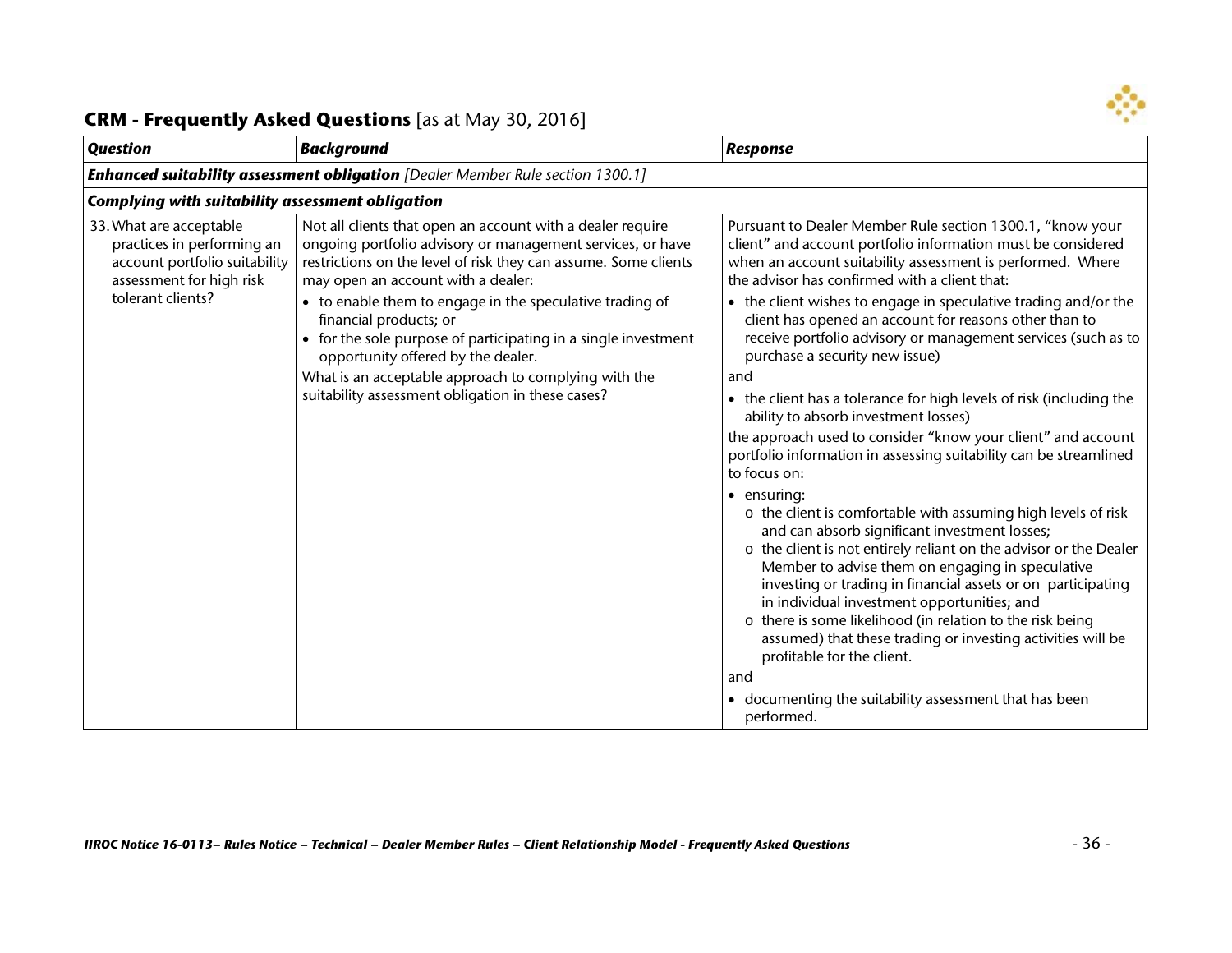

| <b>Question</b>                                                                                                    | <b>Background</b>                                                                                                                                                                                                                                                                                       | <b>Response</b>                                                                                                                                                                                                                                                                                                                                                                                                                                                                                                                                                                                                                                                                                                                                                                                                                                                                                                                                                                                                                                              |  |
|--------------------------------------------------------------------------------------------------------------------|---------------------------------------------------------------------------------------------------------------------------------------------------------------------------------------------------------------------------------------------------------------------------------------------------------|--------------------------------------------------------------------------------------------------------------------------------------------------------------------------------------------------------------------------------------------------------------------------------------------------------------------------------------------------------------------------------------------------------------------------------------------------------------------------------------------------------------------------------------------------------------------------------------------------------------------------------------------------------------------------------------------------------------------------------------------------------------------------------------------------------------------------------------------------------------------------------------------------------------------------------------------------------------------------------------------------------------------------------------------------------------|--|
| <b>Enhanced suitability assessment obligation</b> [Dealer Member Rule section 1300.1]                              |                                                                                                                                                                                                                                                                                                         |                                                                                                                                                                                                                                                                                                                                                                                                                                                                                                                                                                                                                                                                                                                                                                                                                                                                                                                                                                                                                                                              |  |
| <b>Complying with suitability assessment obligation</b>                                                            |                                                                                                                                                                                                                                                                                                         |                                                                                                                                                                                                                                                                                                                                                                                                                                                                                                                                                                                                                                                                                                                                                                                                                                                                                                                                                                                                                                                              |  |
| 33. What are acceptable<br>practices in performing an<br>account portfolio suitability<br>assessment for high risk | Not all clients that open an account with a dealer require<br>ongoing portfolio advisory or management services, or have<br>restrictions on the level of risk they can assume. Some clients<br>may open an account with a dealer:                                                                       | Pursuant to Dealer Member Rule section 1300.1, "know your<br>client" and account portfolio information must be considered<br>when an account suitability assessment is performed. Where<br>the advisor has confirmed with a client that:                                                                                                                                                                                                                                                                                                                                                                                                                                                                                                                                                                                                                                                                                                                                                                                                                     |  |
| tolerant clients?                                                                                                  | • to enable them to engage in the speculative trading of<br>financial products; or<br>• for the sole purpose of participating in a single investment<br>opportunity offered by the dealer.<br>What is an acceptable approach to complying with the<br>suitability assessment obligation in these cases? | • the client wishes to engage in speculative trading and/or the<br>client has opened an account for reasons other than to<br>receive portfolio advisory or management services (such as to<br>purchase a security new issue)<br>and<br>the client has a tolerance for high levels of risk (including the<br>$\bullet$<br>ability to absorb investment losses)<br>the approach used to consider "know your client" and account<br>portfolio information in assessing suitability can be streamlined<br>to focus on:<br>• ensuring:<br>o the client is comfortable with assuming high levels of risk<br>and can absorb significant investment losses;<br>o the client is not entirely reliant on the advisor or the Dealer<br>Member to advise them on engaging in speculative<br>investing or trading in financial assets or on participating<br>in individual investment opportunities; and<br>o there is some likelihood (in relation to the risk being<br>assumed) that these trading or investing activities will be<br>profitable for the client.<br>and |  |
|                                                                                                                    |                                                                                                                                                                                                                                                                                                         | documenting the suitability assessment that has been<br>performed.                                                                                                                                                                                                                                                                                                                                                                                                                                                                                                                                                                                                                                                                                                                                                                                                                                                                                                                                                                                           |  |